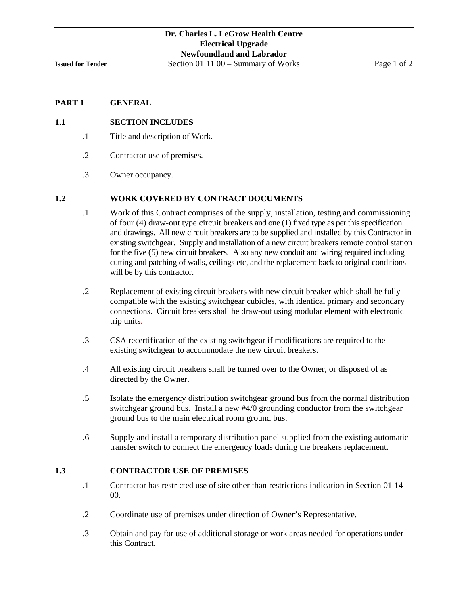# **1.1 SECTION INCLUDES**

- .1 Title and description of Work.
- .2 Contractor use of premises.
- .3 Owner occupancy.

#### **1.2 WORK COVERED BY CONTRACT DOCUMENTS**

- .1 Work of this Contract comprises of the supply, installation, testing and commissioning of four (4) draw-out type circuit breakers and one (1) fixed type as per this specification and drawings. All new circuit breakers are to be supplied and installed by this Contractor in existing switchgear. Supply and installation of a new circuit breakers remote control station for the five (5) new circuit breakers. Also any new conduit and wiring required including cutting and patching of walls, ceilings etc, and the replacement back to original conditions will be by this contractor.
- .2 Replacement of existing circuit breakers with new circuit breaker which shall be fully compatible with the existing switchgear cubicles, with identical primary and secondary connections. Circuit breakers shall be draw-out using modular element with electronic trip units.
- .3 CSA recertification of the existing switchgear if modifications are required to the existing switchgear to accommodate the new circuit breakers.
- .4 All existing circuit breakers shall be turned over to the Owner, or disposed of as directed by the Owner.
- .5 Isolate the emergency distribution switchgear ground bus from the normal distribution switchgear ground bus. Install a new #4/0 grounding conductor from the switchgear ground bus to the main electrical room ground bus.
- .6 Supply and install a temporary distribution panel supplied from the existing automatic transfer switch to connect the emergency loads during the breakers replacement.

#### **1.3 CONTRACTOR USE OF PREMISES**

- .1 Contractor has restricted use of site other than restrictions indication in Section 01 14 00.
- .2 Coordinate use of premises under direction of Owner's Representative.
- .3 Obtain and pay for use of additional storage or work areas needed for operations under this Contract.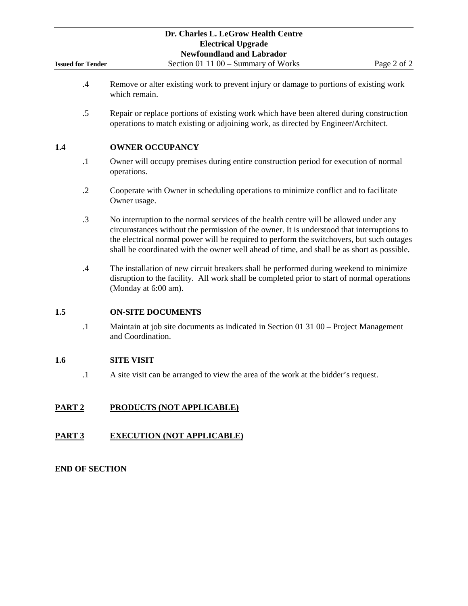|                          | Dr. Charles L. LeGrow Health Centre                                                                                                                                                                                                                                                                                                                                           |
|--------------------------|-------------------------------------------------------------------------------------------------------------------------------------------------------------------------------------------------------------------------------------------------------------------------------------------------------------------------------------------------------------------------------|
|                          | <b>Electrical Upgrade</b><br><b>Newfoundland and Labrador</b>                                                                                                                                                                                                                                                                                                                 |
| <b>Issued for Tender</b> | Section 01 11 00 - Summary of Works<br>Page 2 of 2                                                                                                                                                                                                                                                                                                                            |
| $\cdot$                  | Remove or alter existing work to prevent injury or damage to portions of existing work<br>which remain.                                                                                                                                                                                                                                                                       |
| .5                       | Repair or replace portions of existing work which have been altered during construction<br>operations to match existing or adjoining work, as directed by Engineer/Architect.                                                                                                                                                                                                 |
| 1.4                      | <b>OWNER OCCUPANCY</b>                                                                                                                                                                                                                                                                                                                                                        |
| $\cdot$                  | Owner will occupy premises during entire construction period for execution of normal<br>operations.                                                                                                                                                                                                                                                                           |
| $\cdot$ .2               | Cooperate with Owner in scheduling operations to minimize conflict and to facilitate<br>Owner usage.                                                                                                                                                                                                                                                                          |
| $\cdot$ 3                | No interruption to the normal services of the health centre will be allowed under any<br>circumstances without the permission of the owner. It is understood that interruptions to<br>the electrical normal power will be required to perform the switchovers, but such outages<br>shall be coordinated with the owner well ahead of time, and shall be as short as possible. |
| .4                       | The installation of new circuit breakers shall be performed during weekend to minimize<br>disruption to the facility. All work shall be completed prior to start of normal operations<br>(Monday at 6:00 am).                                                                                                                                                                 |
| 1.5                      | <b>ON-SITE DOCUMENTS</b>                                                                                                                                                                                                                                                                                                                                                      |
| $\cdot$ 1                | Maintain at job site documents as indicated in Section 01 31 00 – Project Management<br>and Coordination.                                                                                                                                                                                                                                                                     |
| 1.6                      | <b>SITE VISIT</b>                                                                                                                                                                                                                                                                                                                                                             |
| $\cdot$                  | A site visit can be arranged to view the area of the work at the bidder's request.                                                                                                                                                                                                                                                                                            |
| PART <sub>2</sub>        | <b>PRODUCTS (NOT APPLICABLE)</b>                                                                                                                                                                                                                                                                                                                                              |
| PART <sub>3</sub>        | <b>EXECUTION (NOT APPLICABLE)</b>                                                                                                                                                                                                                                                                                                                                             |
| <b>END OF SECTION</b>    |                                                                                                                                                                                                                                                                                                                                                                               |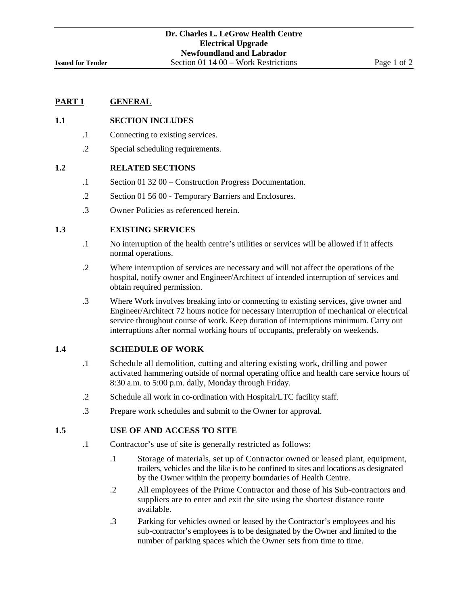#### **1.1 SECTION INCLUDES**

- .1 Connecting to existing services.
- .2 Special scheduling requirements.

#### **1.2 RELATED SECTIONS**

- .1 Section 01 32 00 Construction Progress Documentation.
- .2 Section 01 56 00 Temporary Barriers and Enclosures.
- .3 Owner Policies as referenced herein.

#### **1.3 EXISTING SERVICES**

- .1 No interruption of the health centre's utilities or services will be allowed if it affects normal operations.
- .2 Where interruption of services are necessary and will not affect the operations of the hospital, notify owner and Engineer/Architect of intended interruption of services and obtain required permission.
- .3 Where Work involves breaking into or connecting to existing services, give owner and Engineer/Architect 72 hours notice for necessary interruption of mechanical or electrical service throughout course of work. Keep duration of interruptions minimum. Carry out interruptions after normal working hours of occupants, preferably on weekends.

#### **1.4 SCHEDULE OF WORK**

- .1 Schedule all demolition, cutting and altering existing work, drilling and power activated hammering outside of normal operating office and health care service hours of 8:30 a.m. to 5:00 p.m. daily, Monday through Friday.
- .2 Schedule all work in co-ordination with Hospital/LTC facility staff.
- .3 Prepare work schedules and submit to the Owner for approval.

#### **1.5 USE OF AND ACCESS TO SITE**

- .1 Contractor's use of site is generally restricted as follows:
	- .1 .Storage of materials, set up of Contractor owned or leased plant, equipment, trailers, vehicles and the like is to be confined to sites and locations as designated by the Owner within the property boundaries of Health Centre.
	- .2 .All employees of the Prime Contractor and those of his Sub-contractors and suppliers are to enter and exit the site using the shortest distance route available.
	- .3 .Parking for vehicles owned or leased by the Contractor's employees and his sub-contractor's employees is to be designated by the Owner and limited to the number of parking spaces which the Owner sets from time to time.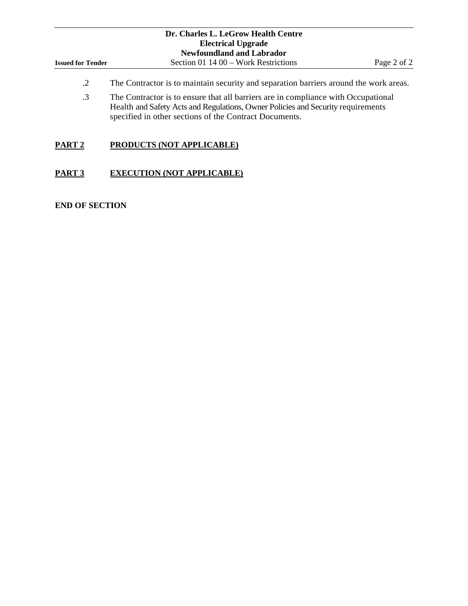|                          | Dr. Charles L. LeGrow Health Centre                                                                                                                                                                                             |             |
|--------------------------|---------------------------------------------------------------------------------------------------------------------------------------------------------------------------------------------------------------------------------|-------------|
|                          | <b>Electrical Upgrade</b>                                                                                                                                                                                                       |             |
|                          | <b>Newfoundland and Labrador</b>                                                                                                                                                                                                |             |
| <b>Issued for Tender</b> | Section 01 14 00 – Work Restrictions                                                                                                                                                                                            | Page 2 of 2 |
| .2                       | The Contractor is to maintain security and separation barriers around the work areas.                                                                                                                                           |             |
| $\cdot$ 3                | The Contractor is to ensure that all barriers are in compliance with Occupational<br>Health and Safety Acts and Regulations, Owner Policies and Security requirements<br>specified in other sections of the Contract Documents. |             |

# **PART 2 PRODUCTS (NOT APPLICABLE)**

# **PART 3 EXECUTION (NOT APPLICABLE)**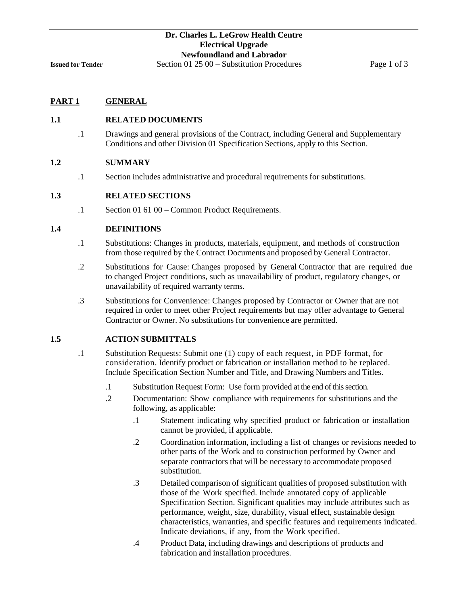# **1.1 RELATED DOCUMENTS**

.1 Drawings and general provisions of the Contract, including General and Supplementary Conditions and other Division 01 Specification Sections, apply to this Section.

# **1.2 SUMMARY**

.1 Section includes administrative and procedural requirements for substitutions.

# **1.3 RELATED SECTIONS**

.1 Section 01 61 00 – Common Product Requirements.

# **1.4 DEFINITIONS**

- .1 Substitutions: Changes in products, materials, equipment, and methods of construction from those required by the Contract Documents and proposed by General Contractor.
- .2 Substitutions for Cause: Changes proposed by General Contractor that are required due to changed Project conditions, such as unavailability of product, regulatory changes, or unavailability of required warranty terms.
- .3 Substitutions for Convenience: Changes proposed by Contractor or Owner that are not required in order to meet other Project requirements but may offer advantage to General Contractor or Owner. No substitutions for convenience are permitted.

# **1.5 ACTION SUBMITTALS**

- .1 Substitution Requests: Submit one (1) copy of each request, in PDF format, for consideration. Identify product or fabrication or installation method to be replaced. Include Specification Section Number and Title, and Drawing Numbers and Titles.
	- .1 Substitution Request Form: Use form provided at the end of this section.
	- .2 Documentation: Show compliance with requirements for substitutions and the following, as applicable:
		- .1 Statement indicating why specified product or fabrication or installation cannot be provided, if applicable.
		- .2 Coordination information, including a list of changes or revisions needed to other parts of the Work and to construction performed by Owner and separate contractors that will be necessary to accommodate proposed substitution.
		- .3 Detailed comparison of significant qualities of proposed substitution with those of the Work specified. Include annotated copy of applicable Specification Section. Significant qualities may include attributes such as performance, weight, size, durability, visual effect, sustainable design characteristics, warranties, and specific features and requirements indicated. Indicate deviations, if any, from the Work specified.
		- .4 Product Data, including drawings and descriptions of products and fabrication and installation procedures.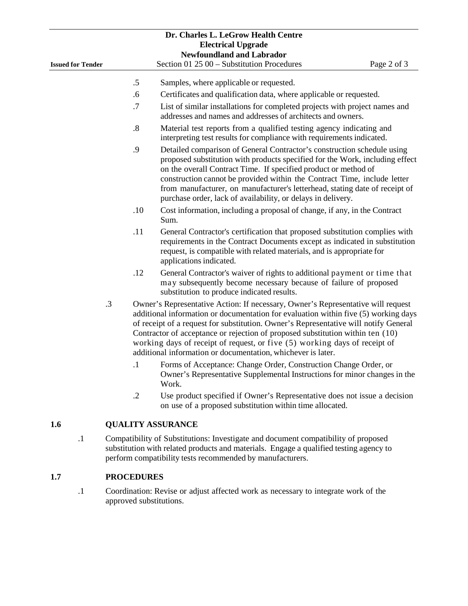|                          |           |                   | Dr. Charles L. LeGrow Health Centre                                                                                                                                                                                                                                                                                                                                                                                                                                                             |
|--------------------------|-----------|-------------------|-------------------------------------------------------------------------------------------------------------------------------------------------------------------------------------------------------------------------------------------------------------------------------------------------------------------------------------------------------------------------------------------------------------------------------------------------------------------------------------------------|
|                          |           |                   | <b>Electrical Upgrade</b><br><b>Newfoundland and Labrador</b>                                                                                                                                                                                                                                                                                                                                                                                                                                   |
| <b>Issued for Tender</b> |           |                   | Section 01 25 00 - Substitution Procedures<br>Page 2 of 3                                                                                                                                                                                                                                                                                                                                                                                                                                       |
|                          |           |                   |                                                                                                                                                                                                                                                                                                                                                                                                                                                                                                 |
|                          |           | .5                | Samples, where applicable or requested.                                                                                                                                                                                                                                                                                                                                                                                                                                                         |
|                          |           | .6                | Certificates and qualification data, where applicable or requested.                                                                                                                                                                                                                                                                                                                                                                                                                             |
|                          |           | .7                | List of similar installations for completed projects with project names and<br>addresses and names and addresses of architects and owners.                                                                                                                                                                                                                                                                                                                                                      |
|                          |           | $\boldsymbol{.8}$ | Material test reports from a qualified testing agency indicating and<br>interpreting test results for compliance with requirements indicated.                                                                                                                                                                                                                                                                                                                                                   |
|                          |           | .9                | Detailed comparison of General Contractor's construction schedule using<br>proposed substitution with products specified for the Work, including effect<br>on the overall Contract Time. If specified product or method of<br>construction cannot be provided within the Contract Time, include letter<br>from manufacturer, on manufacturer's letterhead, stating date of receipt of<br>purchase order, lack of availability, or delays in delivery.                                           |
|                          |           | .10               | Cost information, including a proposal of change, if any, in the Contract<br>Sum.                                                                                                                                                                                                                                                                                                                                                                                                               |
|                          |           | .11               | General Contractor's certification that proposed substitution complies with<br>requirements in the Contract Documents except as indicated in substitution<br>request, is compatible with related materials, and is appropriate for<br>applications indicated.                                                                                                                                                                                                                                   |
|                          |           | .12               | General Contractor's waiver of rights to additional payment or time that<br>may subsequently become necessary because of failure of proposed<br>substitution to produce indicated results.                                                                                                                                                                                                                                                                                                      |
|                          | $\cdot$ 3 |                   | Owner's Representative Action: If necessary, Owner's Representative will request<br>additional information or documentation for evaluation within five (5) working days<br>of receipt of a request for substitution. Owner's Representative will notify General<br>Contractor of acceptance or rejection of proposed substitution within ten (10)<br>working days of receipt of request, or five (5) working days of receipt of<br>additional information or documentation, whichever is later. |
|                          |           | $\cdot$ 1         | Forms of Acceptance: Change Order, Construction Change Order, or<br>Owner's Representative Supplemental Instructions for minor changes in the<br>Work.                                                                                                                                                                                                                                                                                                                                          |
|                          |           | $\cdot$ .2        | Use product specified if Owner's Representative does not issue a decision<br>on use of a proposed substitution within time allocated.                                                                                                                                                                                                                                                                                                                                                           |
| 1.6                      |           |                   | <b>QUALITY ASSURANCE</b>                                                                                                                                                                                                                                                                                                                                                                                                                                                                        |
| $\cdot$ 1                |           |                   | Compatibility of Substitutions: Investigate and document compatibility of proposed<br>substitution with related products and materials. Engage a qualified testing agency to<br>perform compatibility tests recommended by manufacturers.                                                                                                                                                                                                                                                       |
| 1.7                      |           | <b>PROCEDURES</b> |                                                                                                                                                                                                                                                                                                                                                                                                                                                                                                 |
|                          |           |                   |                                                                                                                                                                                                                                                                                                                                                                                                                                                                                                 |

.1 Coordination: Revise or adjust affected work as necessary to integrate work of the approved substitutions.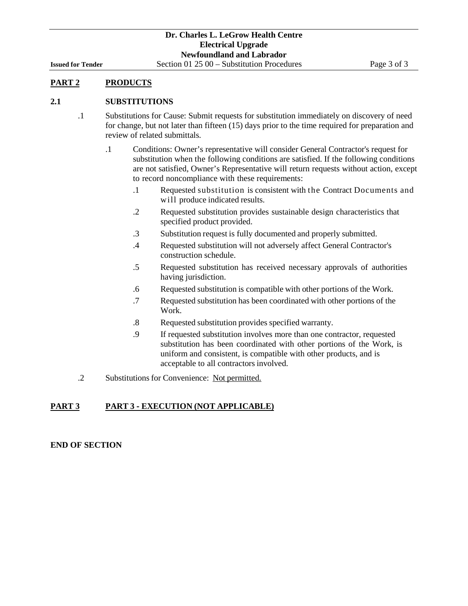# **PART 2 PRODUCTS**

#### **2.1 SUBSTITUTIONS**

- .1 Substitutions for Cause: Submit requests for substitution immediately on discovery of need for change, but not later than fifteen (15) days prior to the time required for preparation and review of related submittals.
	- .1 Conditions: Owner's representative will consider General Contractor's request for substitution when the following conditions are satisfied. If the following conditions are not satisfied, Owner's Representative will return requests without action, except to record noncompliance with these requirements:
		- .1 Requested substitution is consistent with the Contract Documents and will produce indicated results.
		- .2 Requested substitution provides sustainable design characteristics that specified product provided.
		- .3 Substitution request is fully documented and properly submitted.
		- .4 Requested substitution will not adversely affect General Contractor's construction schedule.
		- .5 Requested substitution has received necessary approvals of authorities having jurisdiction.
		- .6 Requested substitution is compatible with other portions of the Work.
		- .7 Requested substitution has been coordinated with other portions of the Work.
		- .8 Requested substitution provides specified warranty.
		- .9 If requested substitution involves more than one contractor, requested substitution has been coordinated with other portions of the Work, is uniform and consistent, is compatible with other products, and is acceptable to all contractors involved.
- .2 Substitutions for Convenience: Not permitted.

# **PART 3 PART 3** ‐ **EXECUTION (NOT APPLICABLE)**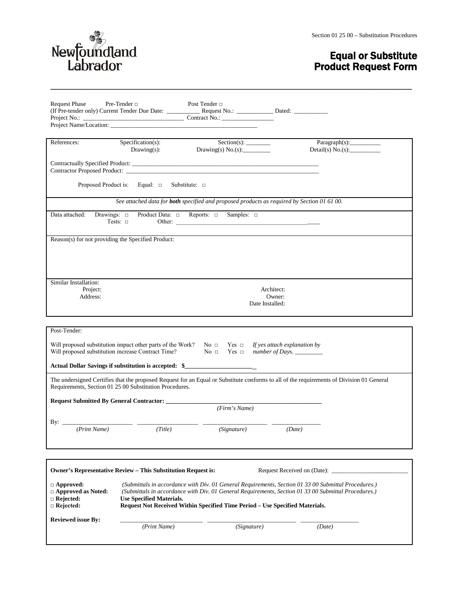

# Equal or Substitute Product Request Form

| <b>Request Phase</b>                                                                  | Pre-Tender $\Box$<br>Project Name/Location:                                     | Post Tender $\Box$                                                                                              |                                                                                                                                                                                                              |
|---------------------------------------------------------------------------------------|---------------------------------------------------------------------------------|-----------------------------------------------------------------------------------------------------------------|--------------------------------------------------------------------------------------------------------------------------------------------------------------------------------------------------------------|
| References:                                                                           | Specification(s):<br>Drawing(s):                                                | Section(s):<br>Drawing(s) $No.(s)$ :                                                                            | Paragnh(s):<br>Detail(s) $No(s)$ :                                                                                                                                                                           |
|                                                                                       |                                                                                 | Contractor Proposed Product:                                                                                    |                                                                                                                                                                                                              |
|                                                                                       | Proposed Product is: Equal: $\Box$ Substitute: $\Box$                           |                                                                                                                 |                                                                                                                                                                                                              |
|                                                                                       |                                                                                 | See attached data for <b>both</b> specified and proposed products as required by Section 01 61 00.              |                                                                                                                                                                                                              |
| Data attached:<br>Drawings: $\square$                                                 | Product Data: $\Box$ Reports: $\Box$<br>Tests: $\Box$                           | Samples: $\square$                                                                                              |                                                                                                                                                                                                              |
| Reason(s) for not providing the Specified Product:                                    |                                                                                 |                                                                                                                 |                                                                                                                                                                                                              |
|                                                                                       |                                                                                 |                                                                                                                 |                                                                                                                                                                                                              |
| Similar Installation:<br>Project:<br>Address:                                         |                                                                                 |                                                                                                                 | Architect:<br>Owner:<br>Date Installed:                                                                                                                                                                      |
| Post-Tender:<br>Will proposed substitution increase Contract Time?                    | Will proposed substitution impact other parts of the Work? No $\Box$ Yes $\Box$ | $No \square$ Yes $\square$<br>Actual Dollar Savings if substitution is accepted: \$____________________________ | If yes attach explanation by<br>number of Days. _________                                                                                                                                                    |
|                                                                                       | Requirements, Section 01 25 00 Substitution Procedures.                         |                                                                                                                 | The undersigned Certifies that the proposed Request for an Equal or Substitute conforms to all of the requirements of Division 01 General                                                                    |
|                                                                                       | <b>Request Submitted By General Contractor:</b>                                 | (Firm's Name)                                                                                                   |                                                                                                                                                                                                              |
| By: $\_\_$                                                                            |                                                                                 |                                                                                                                 |                                                                                                                                                                                                              |
| (Print Name)                                                                          | (Title)                                                                         | (Signature)                                                                                                     | (Date)                                                                                                                                                                                                       |
|                                                                                       |                                                                                 |                                                                                                                 |                                                                                                                                                                                                              |
|                                                                                       | Owner's Representative Review – This Substitution Request is:                   |                                                                                                                 | Request Received on (Date):                                                                                                                                                                                  |
| $\Box$ Approved:<br>$\Box$ Approved as Noted:<br>$\Box$ Rejected:<br>$\Box$ Rejected: | <b>Use Specified Materials.</b>                                                 | Request Not Received Within Specified Time Period - Use Specified Materials.                                    | (Submittals in accordance with Div. 01 General Requirements, Section 01 33 00 Submittal Procedures.)<br>(Submittals in accordance with Div. 01 General Requirements, Section 01 33 00 Submittal Procedures.) |
| <b>Reviewed issue By:</b>                                                             | (Print Name)                                                                    | (Signature)                                                                                                     | (Date)                                                                                                                                                                                                       |

**\_\_\_\_\_\_\_\_\_\_\_\_\_\_\_\_\_\_\_\_\_\_\_\_\_\_\_\_\_\_\_\_\_\_\_\_\_\_\_\_\_\_\_\_\_\_\_\_\_\_\_\_\_\_\_\_\_\_\_\_\_\_\_\_\_\_\_\_\_\_\_\_\_\_\_\_\_\_\_\_\_\_\_\_\_\_**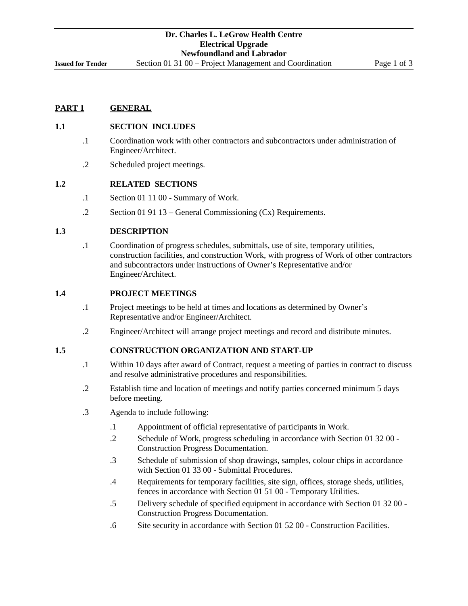**Issued for Tender** Section 01 31 00 – Project Management and Coordination Page 1 of 3

# **PART 1 GENERAL**

#### **1.1 SECTION INCLUDES**

- .1 Coordination work with other contractors and subcontractors under administration of Engineer/Architect.
- .2 Scheduled project meetings.

# **1.2 RELATED SECTIONS**

- .1 Section 01 11 00 Summary of Work.
- .2 Section 01 91 13 General Commissioning (Cx) Requirements.

#### **1.3 DESCRIPTION**

.1 Coordination of progress schedules, submittals, use of site, temporary utilities, construction facilities, and construction Work, with progress of Work of other contractors and subcontractors under instructions of Owner's Representative and/or Engineer/Architect.

#### **1.4 PROJECT MEETINGS**

- .1 Project meetings to be held at times and locations as determined by Owner's Representative and/or Engineer/Architect.
- .2 Engineer/Architect will arrange project meetings and record and distribute minutes.

# **1.5 CONSTRUCTION ORGANIZATION AND START-UP**

- .1 Within 10 days after award of Contract, request a meeting of parties in contract to discuss and resolve administrative procedures and responsibilities.
- .2 Establish time and location of meetings and notify parties concerned minimum 5 days before meeting.
- .3 Agenda to include following:
	- .1 Appointment of official representative of participants in Work.
	- .2 Schedule of Work, progress scheduling in accordance with Section 01 32 00 Construction Progress Documentation.
	- .3 Schedule of submission of shop drawings, samples, colour chips in accordance with Section 01 33 00 - Submittal Procedures.
	- .4 Requirements for temporary facilities, site sign, offices, storage sheds, utilities, fences in accordance with Section 01 51 00 - Temporary Utilities.
	- .5 Delivery schedule of specified equipment in accordance with Section 01 32 00 Construction Progress Documentation.
	- .6 Site security in accordance with Section 01 52 00 Construction Facilities.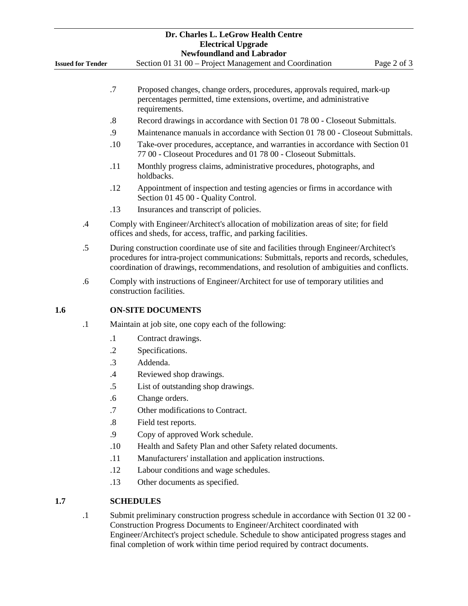|     |                          |                   | Dr. Charles L. LeGrow Health Centre<br><b>Electrical Upgrade</b><br><b>Newfoundland and Labrador</b>                                                                                                                                                                          |
|-----|--------------------------|-------------------|-------------------------------------------------------------------------------------------------------------------------------------------------------------------------------------------------------------------------------------------------------------------------------|
|     | <b>Issued for Tender</b> |                   | Section 01 31 00 – Project Management and Coordination<br>Page 2 of 3                                                                                                                                                                                                         |
|     |                          | .7                | Proposed changes, change orders, procedures, approvals required, mark-up<br>percentages permitted, time extensions, overtime, and administrative<br>requirements.                                                                                                             |
|     |                          | $\boldsymbol{.8}$ | Record drawings in accordance with Section 01 78 00 - Closeout Submittals.                                                                                                                                                                                                    |
|     |                          | .9                | Maintenance manuals in accordance with Section 01 78 00 - Closeout Submittals.                                                                                                                                                                                                |
|     |                          | .10               | Take-over procedures, acceptance, and warranties in accordance with Section 01<br>77 00 - Closeout Procedures and 01 78 00 - Closeout Submittals.                                                                                                                             |
|     |                          | .11               | Monthly progress claims, administrative procedures, photographs, and<br>holdbacks.                                                                                                                                                                                            |
|     |                          | .12               | Appointment of inspection and testing agencies or firms in accordance with<br>Section 01 45 00 - Quality Control.                                                                                                                                                             |
|     |                          | .13               | Insurances and transcript of policies.                                                                                                                                                                                                                                        |
|     | .4                       |                   | Comply with Engineer/Architect's allocation of mobilization areas of site; for field<br>offices and sheds, for access, traffic, and parking facilities.                                                                                                                       |
|     | .5                       |                   | During construction coordinate use of site and facilities through Engineer/Architect's<br>procedures for intra-project communications: Submittals, reports and records, schedules,<br>coordination of drawings, recommendations, and resolution of ambiguities and conflicts. |
|     | .6                       |                   | Comply with instructions of Engineer/Architect for use of temporary utilities and<br>construction facilities.                                                                                                                                                                 |
| 1.6 |                          |                   | <b>ON-SITE DOCUMENTS</b>                                                                                                                                                                                                                                                      |
|     | $\cdot$ 1                |                   | Maintain at job site, one copy each of the following:                                                                                                                                                                                                                         |
|     |                          | $\cdot$           | Contract drawings.                                                                                                                                                                                                                                                            |
|     |                          | $\cdot$           | Specifications.                                                                                                                                                                                                                                                               |
|     |                          | $\cdot$ 3         | Addenda.                                                                                                                                                                                                                                                                      |
|     |                          | .4                | Reviewed shop drawings.                                                                                                                                                                                                                                                       |
|     |                          | .5                | List of outstanding shop drawings.                                                                                                                                                                                                                                            |
|     |                          | .6                | Change orders.                                                                                                                                                                                                                                                                |
|     |                          | .7                | Other modifications to Contract.                                                                                                                                                                                                                                              |
|     |                          | $\boldsymbol{.8}$ | Field test reports.                                                                                                                                                                                                                                                           |
|     |                          | .9                | Copy of approved Work schedule.                                                                                                                                                                                                                                               |
|     |                          | .10               | Health and Safety Plan and other Safety related documents.                                                                                                                                                                                                                    |
|     |                          | .11               | Manufacturers' installation and application instructions.                                                                                                                                                                                                                     |
|     |                          | .12               | Labour conditions and wage schedules.                                                                                                                                                                                                                                         |
|     |                          | .13               | Other documents as specified.                                                                                                                                                                                                                                                 |
| 1.7 |                          |                   | <b>SCHEDULES</b>                                                                                                                                                                                                                                                              |
|     | $\cdot$ 1                |                   | Submit preliminary construction progress schedule in accordance with Section 01 32 00 -<br>Construction Progress Documents to Engineer/Architect coordinated with<br>Engineer/Architect's project schedule. Schedule to show anticipated progress stages and                  |

final completion of work within time period required by contract documents.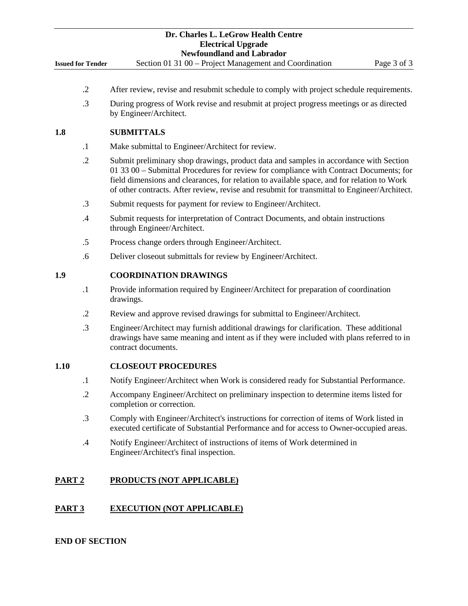|                          | Dr. Charles L. LeGrow Health Centre<br><b>Electrical Upgrade</b><br><b>Newfoundland and Labrador</b>                                                                                                                                                                                                                                                                          |
|--------------------------|-------------------------------------------------------------------------------------------------------------------------------------------------------------------------------------------------------------------------------------------------------------------------------------------------------------------------------------------------------------------------------|
| <b>Issued for Tender</b> | Section 01 31 00 - Project Management and Coordination<br>Page 3 of 3                                                                                                                                                                                                                                                                                                         |
|                          |                                                                                                                                                                                                                                                                                                                                                                               |
| $\cdot$ .2               | After review, revise and resubmit schedule to comply with project schedule requirements.                                                                                                                                                                                                                                                                                      |
| .3                       | During progress of Work revise and resubmit at project progress meetings or as directed<br>by Engineer/Architect.                                                                                                                                                                                                                                                             |
| 1.8                      | <b>SUBMITTALS</b>                                                                                                                                                                                                                                                                                                                                                             |
| $\cdot$                  | Make submittal to Engineer/Architect for review.                                                                                                                                                                                                                                                                                                                              |
| $\cdot$ .2               | Submit preliminary shop drawings, product data and samples in accordance with Section<br>01 33 00 – Submittal Procedures for review for compliance with Contract Documents; for<br>field dimensions and clearances, for relation to available space, and for relation to Work<br>of other contracts. After review, revise and resubmit for transmittal to Engineer/Architect. |
| .3                       | Submit requests for payment for review to Engineer/Architect.                                                                                                                                                                                                                                                                                                                 |
| $\cdot$ 4                | Submit requests for interpretation of Contract Documents, and obtain instructions<br>through Engineer/Architect.                                                                                                                                                                                                                                                              |
| .5                       | Process change orders through Engineer/Architect.                                                                                                                                                                                                                                                                                                                             |
| .6                       | Deliver closeout submittals for review by Engineer/Architect.                                                                                                                                                                                                                                                                                                                 |
| 1.9                      | <b>COORDINATION DRAWINGS</b>                                                                                                                                                                                                                                                                                                                                                  |
| $\cdot$                  | Provide information required by Engineer/Architect for preparation of coordination<br>drawings.                                                                                                                                                                                                                                                                               |
| $\cdot$ .2               | Review and approve revised drawings for submittal to Engineer/Architect.                                                                                                                                                                                                                                                                                                      |
| $\cdot$ 3                | Engineer/Architect may furnish additional drawings for clarification. These additional<br>drawings have same meaning and intent as if they were included with plans referred to in<br>contract documents.                                                                                                                                                                     |
| 1.10                     | <b>CLOSEOUT PROCEDURES</b>                                                                                                                                                                                                                                                                                                                                                    |
| $\cdot$                  | Notify Engineer/Architect when Work is considered ready for Substantial Performance.                                                                                                                                                                                                                                                                                          |
| $\cdot$                  | Accompany Engineer/Architect on preliminary inspection to determine items listed for<br>completion or correction.                                                                                                                                                                                                                                                             |
| .3                       | Comply with Engineer/Architect's instructions for correction of items of Work listed in<br>executed certificate of Substantial Performance and for access to Owner-occupied areas.                                                                                                                                                                                            |
| .4                       | Notify Engineer/Architect of instructions of items of Work determined in<br>Engineer/Architect's final inspection.                                                                                                                                                                                                                                                            |
| <u>PART 2</u>            | <b>PRODUCTS (NOT APPLICABLE)</b>                                                                                                                                                                                                                                                                                                                                              |
| PART 3                   | <b>EXECUTION (NOT APPLICABLE)</b>                                                                                                                                                                                                                                                                                                                                             |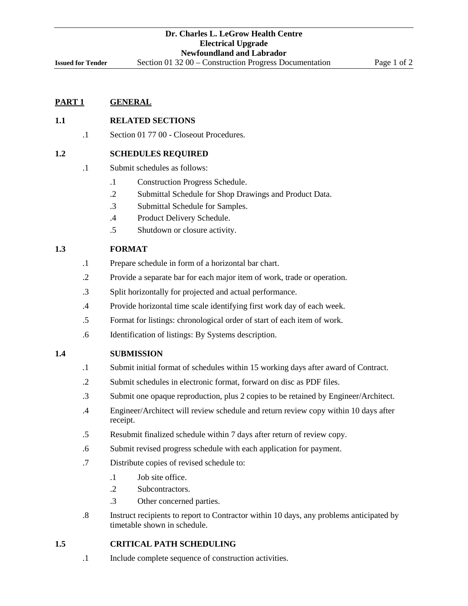# **1.1 RELATED SECTIONS**

.1 Section 01 77 00 - Closeout Procedures.

#### **1.2 SCHEDULES REQUIRED**

- .1 Submit schedules as follows:
	- .1 Construction Progress Schedule.
	- .2 Submittal Schedule for Shop Drawings and Product Data.
	- .3 Submittal Schedule for Samples.
	- .4 Product Delivery Schedule.
	- .5 Shutdown or closure activity.

# **1.3 FORMAT**

- .1 Prepare schedule in form of a horizontal bar chart.
- .2 Provide a separate bar for each major item of work, trade or operation.
- .3 Split horizontally for projected and actual performance.
- .4 Provide horizontal time scale identifying first work day of each week.
- .5 Format for listings: chronological order of start of each item of work.
- .6 Identification of listings: By Systems description.

#### **1.4 SUBMISSION**

- .1 Submit initial format of schedules within 15 working days after award of Contract.
- .2 Submit schedules in electronic format, forward on disc as PDF files.
- .3 Submit one opaque reproduction, plus 2 copies to be retained by Engineer/Architect.
- .4 Engineer/Architect will review schedule and return review copy within 10 days after receipt.
- .5 Resubmit finalized schedule within 7 days after return of review copy.
- .6 Submit revised progress schedule with each application for payment.
- .7 Distribute copies of revised schedule to:
	- .1 Job site office.
	- .2 Subcontractors.
	- .3 Other concerned parties.
- .8 Instruct recipients to report to Contractor within 10 days, any problems anticipated by timetable shown in schedule.

#### **1.5 CRITICAL PATH SCHEDULING**

.1 Include complete sequence of construction activities.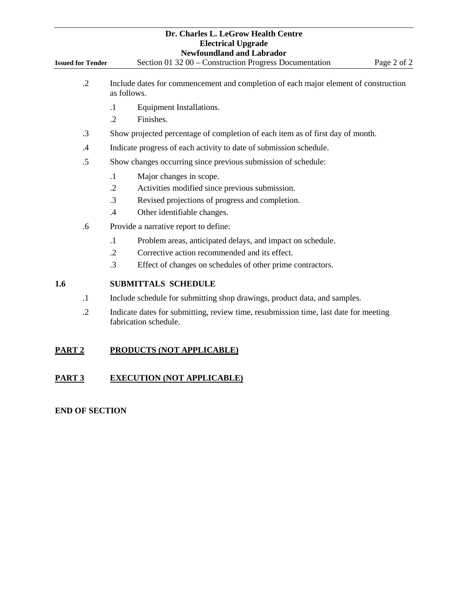| <b>Issued for Tender</b> | Dr. Charles L. LeGrow Health Centre<br><b>Electrical Upgrade</b><br><b>Newfoundland and Labrador</b><br>Section 01 32 00 - Construction Progress Documentation<br>Page 2 of 2                            |
|--------------------------|----------------------------------------------------------------------------------------------------------------------------------------------------------------------------------------------------------|
| $\cdot$ .2               | Include dates for commencement and completion of each major element of construction<br>as follows.                                                                                                       |
|                          | Equipment Installations.<br>$\cdot$<br>$\cdot$ .2<br>Finishes.                                                                                                                                           |
| $\cdot$ 3                | Show projected percentage of completion of each item as of first day of month.                                                                                                                           |
| .4                       | Indicate progress of each activity to date of submission schedule.                                                                                                                                       |
| .5                       | Show changes occurring since previous submission of schedule:                                                                                                                                            |
|                          | $\cdot$ 1<br>Major changes in scope.<br>$\cdot$ .2<br>Activities modified since previous submission.<br>.3<br>Revised projections of progress and completion.<br>Other identifiable changes.<br>.4       |
| .6                       | Provide a narrative report to define:                                                                                                                                                                    |
|                          | Problem areas, anticipated delays, and impact on schedule.<br>$\cdot$<br>$\cdot$ .2<br>Corrective action recommended and its effect.<br>.3<br>Effect of changes on schedules of other prime contractors. |
| 1.6                      | <b>SUBMITTALS SCHEDULE</b>                                                                                                                                                                               |
| $\cdot$ 1                | Include schedule for submitting shop drawings, product data, and samples.                                                                                                                                |
| $\cdot$                  | Indicate dates for submitting, review time, resubmission time, last date for meeting<br>fabrication schedule.                                                                                            |
| PART <sub>2</sub>        | PRODUCTS (NOT APPLICABLE)                                                                                                                                                                                |
| PART <sub>3</sub>        | <b>EXECUTION (NOT APPLICABLE)</b>                                                                                                                                                                        |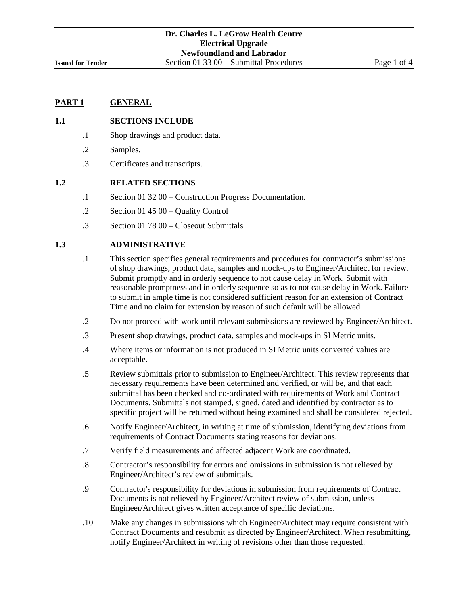#### **1.1 SECTIONS INCLUDE**

- .1 Shop drawings and product data.
- .2 Samples.
- .3 Certificates and transcripts.

#### **1.2 RELATED SECTIONS**

- .1 Section 01 32 00 Construction Progress Documentation.
- .2 Section 01 45 00 Quality Control
- .3 Section 01 78 00 Closeout Submittals

#### **1.3 ADMINISTRATIVE**

- .1 This section specifies general requirements and procedures for contractor's submissions of shop drawings, product data, samples and mock-ups to Engineer/Architect for review. Submit promptly and in orderly sequence to not cause delay in Work. Submit with reasonable promptness and in orderly sequence so as to not cause delay in Work. Failure to submit in ample time is not considered sufficient reason for an extension of Contract Time and no claim for extension by reason of such default will be allowed.
- .2 Do not proceed with work until relevant submissions are reviewed by Engineer/Architect.
- .3 Present shop drawings, product data, samples and mock-ups in SI Metric units.
- .4 Where items or information is not produced in SI Metric units converted values are acceptable.
- .5 Review submittals prior to submission to Engineer/Architect. This review represents that necessary requirements have been determined and verified, or will be, and that each submittal has been checked and co-ordinated with requirements of Work and Contract Documents. Submittals not stamped, signed, dated and identified by contractor as to specific project will be returned without being examined and shall be considered rejected.
- .6 Notify Engineer/Architect, in writing at time of submission, identifying deviations from requirements of Contract Documents stating reasons for deviations.
- .7 Verify field measurements and affected adjacent Work are coordinated.
- .8 Contractor's responsibility for errors and omissions in submission is not relieved by Engineer/Architect's review of submittals.
- .9 Contractor's responsibility for deviations in submission from requirements of Contract Documents is not relieved by Engineer/Architect review of submission, unless Engineer/Architect gives written acceptance of specific deviations.
- .10 Make any changes in submissions which Engineer/Architect may require consistent with Contract Documents and resubmit as directed by Engineer/Architect. When resubmitting, notify Engineer/Architect in writing of revisions other than those requested.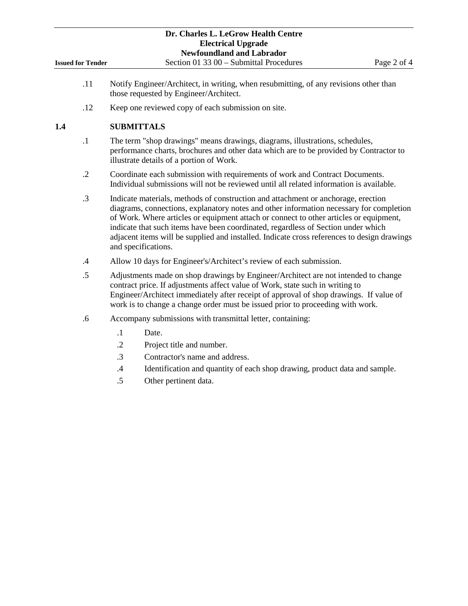- .11 Notify Engineer/Architect, in writing, when resubmitting, of any revisions other than those requested by Engineer/Architect.
- .12 Keep one reviewed copy of each submission on site.

# **1.4 SUBMITTALS**

- .1 The term "shop drawings" means drawings, diagrams, illustrations, schedules, performance charts, brochures and other data which are to be provided by Contractor to illustrate details of a portion of Work.
- .2 Coordinate each submission with requirements of work and Contract Documents. Individual submissions will not be reviewed until all related information is available.
- .3 Indicate materials, methods of construction and attachment or anchorage, erection diagrams, connections, explanatory notes and other information necessary for completion of Work. Where articles or equipment attach or connect to other articles or equipment, indicate that such items have been coordinated, regardless of Section under which adjacent items will be supplied and installed. Indicate cross references to design drawings and specifications.
- .4 Allow 10 days for Engineer's/Architect's review of each submission.
- .5 Adjustments made on shop drawings by Engineer/Architect are not intended to change contract price. If adjustments affect value of Work, state such in writing to Engineer/Architect immediately after receipt of approval of shop drawings. If value of work is to change a change order must be issued prior to proceeding with work.
- .6 Accompany submissions with transmittal letter, containing:
	- .1 Date.
	- .2 Project title and number.
	- .3 Contractor's name and address.
	- .4 Identification and quantity of each shop drawing, product data and sample.
	- .5 Other pertinent data.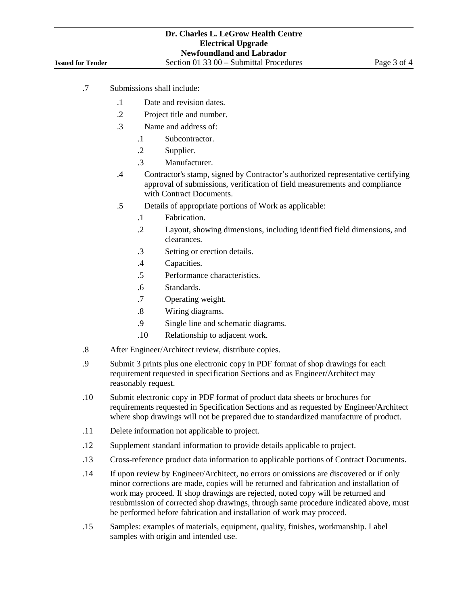- .7 Submissions shall include:
	- .1 Date and revision dates.
	- .2 Project title and number.
	- .3 Name and address of:
		- .1 Subcontractor.
		- .2 Supplier.
		- .3 Manufacturer.
	- .4 Contractor's stamp, signed by Contractor's authorized representative certifying approval of submissions, verification of field measurements and compliance with Contract Documents.
	- .5 Details of appropriate portions of Work as applicable:
		- .1 Fabrication.
		- .2 Layout, showing dimensions, including identified field dimensions, and clearances.
		- .3 Setting or erection details.
		- .4 Capacities.
		- .5 Performance characteristics.
		- .6 Standards.
		- .7 Operating weight.
		- .8 Wiring diagrams.
		- .9 Single line and schematic diagrams.
		- .10 Relationship to adjacent work.
- .8 After Engineer/Architect review, distribute copies.
- .9 Submit 3 prints plus one electronic copy in PDF format of shop drawings for each requirement requested in specification Sections and as Engineer/Architect may reasonably request.
- .10 Submit electronic copy in PDF format of product data sheets or brochures for requirements requested in Specification Sections and as requested by Engineer/Architect where shop drawings will not be prepared due to standardized manufacture of product.
- .11 Delete information not applicable to project.
- .12 Supplement standard information to provide details applicable to project.
- .13 Cross-reference product data information to applicable portions of Contract Documents.
- .14 If upon review by Engineer/Architect, no errors or omissions are discovered or if only minor corrections are made, copies will be returned and fabrication and installation of work may proceed. If shop drawings are rejected, noted copy will be returned and resubmission of corrected shop drawings, through same procedure indicated above, must be performed before fabrication and installation of work may proceed.
- .15 Samples: examples of materials, equipment, quality, finishes, workmanship. Label samples with origin and intended use.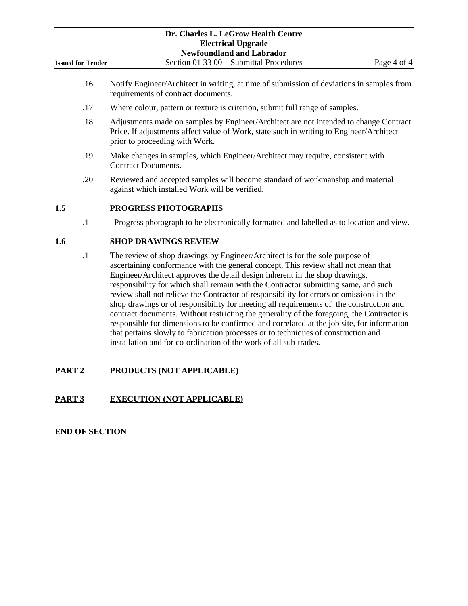|                          | Dr. Charles L. LeGrow Health Centre                                                                                              |             |
|--------------------------|----------------------------------------------------------------------------------------------------------------------------------|-------------|
|                          | <b>Electrical Upgrade</b>                                                                                                        |             |
|                          | <b>Newfoundland and Labrador</b>                                                                                                 |             |
| <b>Issued for Tender</b> | Section 01 33 00 – Submittal Procedures                                                                                          | Page 4 of 4 |
| .16                      | Notify Engineer/Architect in writing, at time of submission of deviations in samples from<br>requirements of contract documents. |             |

- .17 Where colour, pattern or texture is criterion, submit full range of samples.
- .18 Adjustments made on samples by Engineer/Architect are not intended to change Contract Price. If adjustments affect value of Work, state such in writing to Engineer/Architect prior to proceeding with Work.
- .19 Make changes in samples, which Engineer/Architect may require, consistent with Contract Documents.
- .20 Reviewed and accepted samples will become standard of workmanship and material against which installed Work will be verified.

# **1.5 PROGRESS PHOTOGRAPHS**

.1 Progress photograph to be electronically formatted and labelled as to location and view.

# **1.6 SHOP DRAWINGS REVIEW**

.1 The review of shop drawings by Engineer/Architect is for the sole purpose of ascertaining conformance with the general concept. This review shall not mean that Engineer/Architect approves the detail design inherent in the shop drawings, responsibility for which shall remain with the Contractor submitting same, and such review shall not relieve the Contractor of responsibility for errors or omissions in the shop drawings or of responsibility for meeting all requirements of the construction and contract documents. Without restricting the generality of the foregoing, the Contractor is responsible for dimensions to be confirmed and correlated at the job site, for information that pertains slowly to fabrication processes or to techniques of construction and installation and for co-ordination of the work of all sub-trades.

# **PART 2 PRODUCTS (NOT APPLICABLE)**

# **PART 3 EXECUTION (NOT APPLICABLE)**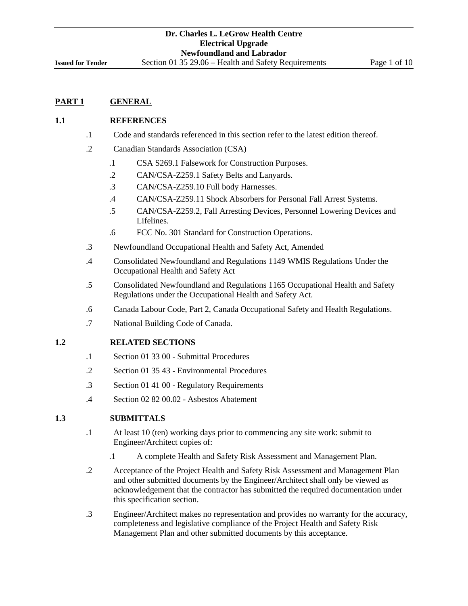# **1.1 REFERENCES**

- .1 Code and standards referenced in this section refer to the latest edition thereof.
- .2 Canadian Standards Association (CSA)
	- .1 CSA S269.1 Falsework for Construction Purposes.
	- .2 CAN/CSA-Z259.1 Safety Belts and Lanyards.
	- .3 CAN/CSA-Z259.10 Full body Harnesses.
	- .4 CAN/CSA-Z259.11 Shock Absorbers for Personal Fall Arrest Systems.
	- .5 CAN/CSA-Z259.2, Fall Arresting Devices, Personnel Lowering Devices and Lifelines.
	- .6 FCC No. 301 Standard for Construction Operations.
- .3 Newfoundland Occupational Health and Safety Act, Amended
- .4 Consolidated Newfoundland and Regulations 1149 WMIS Regulations Under the Occupational Health and Safety Act
- .5 Consolidated Newfoundland and Regulations 1165 Occupational Health and Safety Regulations under the Occupational Health and Safety Act.
- .6 Canada Labour Code, Part 2, Canada Occupational Safety and Health Regulations.
- .7 National Building Code of Canada.

#### **1.2 RELATED SECTIONS**

- .1 Section 01 33 00 Submittal Procedures
- .2 Section 01 35 43 Environmental Procedures
- .3 Section 01 41 00 Regulatory Requirements
- .4 Section 02 82 00.02 Asbestos Abatement

#### **1.3 SUBMITTALS**

- .1 At least 10 (ten) working days prior to commencing any site work: submit to Engineer/Architect copies of:
	- .1 A complete Health and Safety Risk Assessment and Management Plan.
- .2 Acceptance of the Project Health and Safety Risk Assessment and Management Plan and other submitted documents by the Engineer/Architect shall only be viewed as acknowledgement that the contractor has submitted the required documentation under this specification section.
- .3 Engineer/Architect makes no representation and provides no warranty for the accuracy, completeness and legislative compliance of the Project Health and Safety Risk Management Plan and other submitted documents by this acceptance.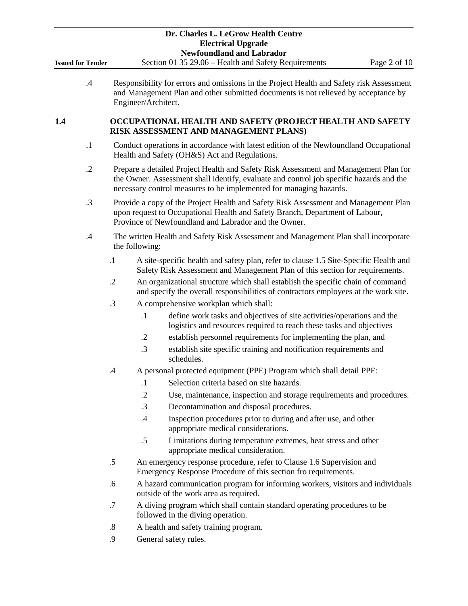|                          |            |                   |                     | Dr. Charles L. LeGrow Health Centre<br><b>Electrical Upgrade</b><br><b>Newfoundland and Labrador</b>                                                                                                                                                  |              |
|--------------------------|------------|-------------------|---------------------|-------------------------------------------------------------------------------------------------------------------------------------------------------------------------------------------------------------------------------------------------------|--------------|
| <b>Issued for Tender</b> |            |                   |                     | Section 01 35 29.06 – Health and Safety Requirements                                                                                                                                                                                                  | Page 2 of 10 |
|                          | $.4\,$     |                   | Engineer/Architect. | Responsibility for errors and omissions in the Project Health and Safety risk Assessment<br>and Management Plan and other submitted documents is not relieved by acceptance by                                                                        |              |
| 1.4                      |            |                   |                     | OCCUPATIONAL HEALTH AND SAFETY (PROJECT HEALTH AND SAFETY<br>RISK ASSESSMENT AND MANAGEMENT PLANS)                                                                                                                                                    |              |
|                          | $\cdot$ 1  |                   |                     | Conduct operations in accordance with latest edition of the Newfoundland Occupational<br>Health and Safety (OH&S) Act and Regulations.                                                                                                                |              |
|                          | $\cdot$ .2 |                   |                     | Prepare a detailed Project Health and Safety Risk Assessment and Management Plan for<br>the Owner. Assessment shall identify, evaluate and control job specific hazards and the<br>necessary control measures to be implemented for managing hazards. |              |
|                          | $\cdot$ 3  |                   |                     | Provide a copy of the Project Health and Safety Risk Assessment and Management Plan<br>upon request to Occupational Health and Safety Branch, Department of Labour,<br>Province of Newfoundland and Labrador and the Owner.                           |              |
|                          | .4         |                   | the following:      | The written Health and Safety Risk Assessment and Management Plan shall incorporate                                                                                                                                                                   |              |
|                          |            | $\cdot$ 1         |                     | A site-specific health and safety plan, refer to clause 1.5 Site-Specific Health and<br>Safety Risk Assessment and Management Plan of this section for requirements.                                                                                  |              |
|                          |            | $\cdot$ .2        |                     | An organizational structure which shall establish the specific chain of command<br>and specify the overall responsibilities of contractors employees at the work site.                                                                                |              |
|                          |            | .3                |                     | A comprehensive workplan which shall:                                                                                                                                                                                                                 |              |
|                          |            |                   | $\cdot$ 1           | define work tasks and objectives of site activities/operations and the<br>logistics and resources required to reach these tasks and objectives                                                                                                        |              |
|                          |            |                   | $\cdot$ .2          | establish personnel requirements for implementing the plan, and                                                                                                                                                                                       |              |
|                          |            |                   | .3                  | establish site specific training and notification requirements and<br>schedules.                                                                                                                                                                      |              |
|                          |            | .4                |                     | A personal protected equipment (PPE) Program which shall detail PPE:                                                                                                                                                                                  |              |
|                          |            |                   | $\cdot$             | Selection criteria based on site hazards.                                                                                                                                                                                                             |              |
|                          |            |                   | $\cdot$             | Use, maintenance, inspection and storage requirements and procedures.                                                                                                                                                                                 |              |
|                          |            |                   | .3                  | Decontamination and disposal procedures.                                                                                                                                                                                                              |              |
|                          |            |                   | $\cdot$             | Inspection procedures prior to during and after use, and other<br>appropriate medical considerations.                                                                                                                                                 |              |
|                          |            |                   | .5                  | Limitations during temperature extremes, heat stress and other<br>appropriate medical consideration.                                                                                                                                                  |              |
|                          |            | .5                |                     | An emergency response procedure, refer to Clause 1.6 Supervision and<br>Emergency Response Procedure of this section fro requirements.                                                                                                                |              |
|                          |            | .6                |                     | A hazard communication program for informing workers, visitors and individuals<br>outside of the work area as required.                                                                                                                               |              |
|                          |            | .7                |                     | A diving program which shall contain standard operating procedures to be<br>followed in the diving operation.                                                                                                                                         |              |
|                          |            | $\boldsymbol{.8}$ |                     | A health and safety training program.                                                                                                                                                                                                                 |              |
|                          |            | .9                |                     | General safety rules.                                                                                                                                                                                                                                 |              |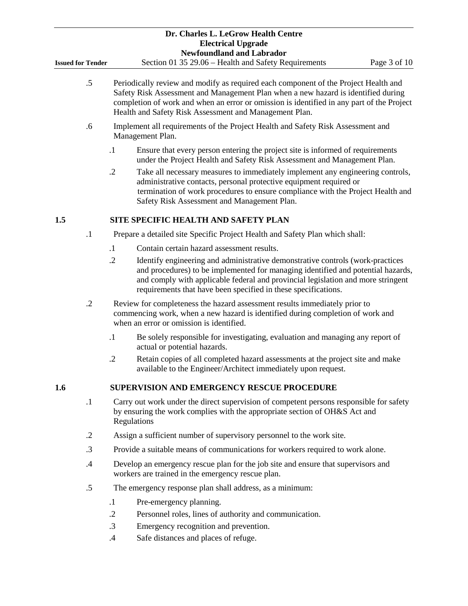|                          |            |                                                                                                                                                                                                                                                                                                                                 | Dr. Charles L. LeGrow Health Centre<br><b>Electrical Upgrade</b><br><b>Newfoundland and Labrador</b>                                                                                                                                                                                                                     |  |  |  |  |
|--------------------------|------------|---------------------------------------------------------------------------------------------------------------------------------------------------------------------------------------------------------------------------------------------------------------------------------------------------------------------------------|--------------------------------------------------------------------------------------------------------------------------------------------------------------------------------------------------------------------------------------------------------------------------------------------------------------------------|--|--|--|--|
| <b>Issued for Tender</b> |            |                                                                                                                                                                                                                                                                                                                                 | Section 01 35 29.06 - Health and Safety Requirements<br>Page 3 of 10                                                                                                                                                                                                                                                     |  |  |  |  |
| $.5\,$                   |            | Periodically review and modify as required each component of the Project Health and<br>Safety Risk Assessment and Management Plan when a new hazard is identified during<br>completion of work and when an error or omission is identified in any part of the Project<br>Health and Safety Risk Assessment and Management Plan. |                                                                                                                                                                                                                                                                                                                          |  |  |  |  |
| .6                       |            | Implement all requirements of the Project Health and Safety Risk Assessment and<br>Management Plan.                                                                                                                                                                                                                             |                                                                                                                                                                                                                                                                                                                          |  |  |  |  |
|                          |            | $\cdot$                                                                                                                                                                                                                                                                                                                         | Ensure that every person entering the project site is informed of requirements<br>under the Project Health and Safety Risk Assessment and Management Plan.                                                                                                                                                               |  |  |  |  |
|                          |            | $\cdot$                                                                                                                                                                                                                                                                                                                         | Take all necessary measures to immediately implement any engineering controls,<br>administrative contacts, personal protective equipment required or<br>termination of work procedures to ensure compliance with the Project Health and<br>Safety Risk Assessment and Management Plan.                                   |  |  |  |  |
| 1.5                      |            |                                                                                                                                                                                                                                                                                                                                 | SITE SPECIFIC HEALTH AND SAFETY PLAN                                                                                                                                                                                                                                                                                     |  |  |  |  |
|                          | $\cdot$ 1  |                                                                                                                                                                                                                                                                                                                                 | Prepare a detailed site Specific Project Health and Safety Plan which shall:                                                                                                                                                                                                                                             |  |  |  |  |
|                          |            | $\cdot$ 1                                                                                                                                                                                                                                                                                                                       | Contain certain hazard assessment results.                                                                                                                                                                                                                                                                               |  |  |  |  |
|                          |            | $\cdot$                                                                                                                                                                                                                                                                                                                         | Identify engineering and administrative demonstrative controls (work-practices<br>and procedures) to be implemented for managing identified and potential hazards,<br>and comply with applicable federal and provincial legislation and more stringent<br>requirements that have been specified in these specifications. |  |  |  |  |
|                          | $\cdot$    |                                                                                                                                                                                                                                                                                                                                 | Review for completeness the hazard assessment results immediately prior to<br>commencing work, when a new hazard is identified during completion of work and<br>when an error or omission is identified.                                                                                                                 |  |  |  |  |
|                          |            | $\cdot$                                                                                                                                                                                                                                                                                                                         | Be solely responsible for investigating, evaluation and managing any report of<br>actual or potential hazards.                                                                                                                                                                                                           |  |  |  |  |
|                          |            | $\cdot$                                                                                                                                                                                                                                                                                                                         | Retain copies of all completed hazard assessments at the project site and make<br>available to the Engineer/Architect immediately upon request.                                                                                                                                                                          |  |  |  |  |
| 1.6                      |            |                                                                                                                                                                                                                                                                                                                                 | <b>SUPERVISION AND EMERGENCY RESCUE PROCEDURE</b>                                                                                                                                                                                                                                                                        |  |  |  |  |
|                          | $\cdot$    |                                                                                                                                                                                                                                                                                                                                 | Carry out work under the direct supervision of competent persons responsible for safety<br>by ensuring the work complies with the appropriate section of OH&S Act and<br>Regulations                                                                                                                                     |  |  |  |  |
|                          | $\cdot$ .2 |                                                                                                                                                                                                                                                                                                                                 | Assign a sufficient number of supervisory personnel to the work site.                                                                                                                                                                                                                                                    |  |  |  |  |
|                          | .3         |                                                                                                                                                                                                                                                                                                                                 | Provide a suitable means of communications for workers required to work alone.                                                                                                                                                                                                                                           |  |  |  |  |
|                          | .4         |                                                                                                                                                                                                                                                                                                                                 | Develop an emergency rescue plan for the job site and ensure that supervisors and<br>workers are trained in the emergency rescue plan.                                                                                                                                                                                   |  |  |  |  |
|                          | .5         |                                                                                                                                                                                                                                                                                                                                 | The emergency response plan shall address, as a minimum:                                                                                                                                                                                                                                                                 |  |  |  |  |
|                          |            | $\cdot$                                                                                                                                                                                                                                                                                                                         | Pre-emergency planning.                                                                                                                                                                                                                                                                                                  |  |  |  |  |
|                          |            | $\cdot$                                                                                                                                                                                                                                                                                                                         | Personnel roles, lines of authority and communication.                                                                                                                                                                                                                                                                   |  |  |  |  |
|                          |            | $\cdot$ 3                                                                                                                                                                                                                                                                                                                       | Emergency recognition and prevention.                                                                                                                                                                                                                                                                                    |  |  |  |  |
|                          |            | .4                                                                                                                                                                                                                                                                                                                              | Safe distances and places of refuge.                                                                                                                                                                                                                                                                                     |  |  |  |  |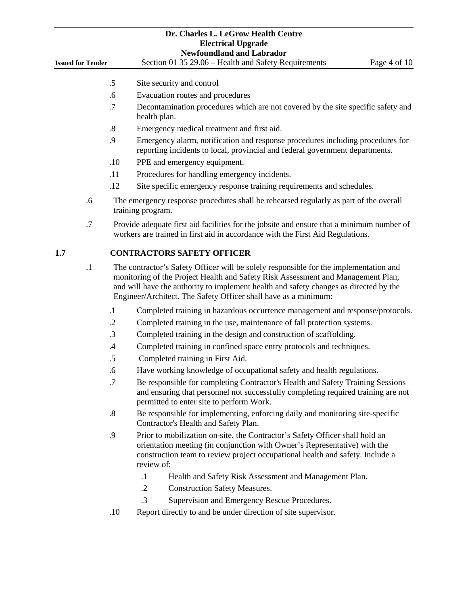|                          |           |                   | Dr. Charles L. LeGrow Health Centre<br><b>Electrical Upgrade</b><br><b>Newfoundland and Labrador</b>                                                                                                                                                                                                                                  |
|--------------------------|-----------|-------------------|---------------------------------------------------------------------------------------------------------------------------------------------------------------------------------------------------------------------------------------------------------------------------------------------------------------------------------------|
| <b>Issued for Tender</b> |           |                   | Section 01 35 29.06 - Health and Safety Requirements<br>Page 4 of 10                                                                                                                                                                                                                                                                  |
|                          |           | $.5\,$            | Site security and control                                                                                                                                                                                                                                                                                                             |
|                          |           | .6                | Evacuation routes and procedures                                                                                                                                                                                                                                                                                                      |
|                          |           | .7                | Decontamination procedures which are not covered by the site specific safety and<br>health plan.                                                                                                                                                                                                                                      |
|                          |           | $\boldsymbol{.8}$ | Emergency medical treatment and first aid.                                                                                                                                                                                                                                                                                            |
|                          |           | .9                | Emergency alarm, notification and response procedures including procedures for<br>reporting incidents to local, provincial and federal government departments.                                                                                                                                                                        |
|                          |           | .10               | PPE and emergency equipment.                                                                                                                                                                                                                                                                                                          |
|                          |           | .11               | Procedures for handling emergency incidents.                                                                                                                                                                                                                                                                                          |
|                          |           | .12               | Site specific emergency response training requirements and schedules.                                                                                                                                                                                                                                                                 |
|                          | .6        |                   | The emergency response procedures shall be rehearsed regularly as part of the overall<br>training program.                                                                                                                                                                                                                            |
|                          | .7        |                   | Provide adequate first aid facilities for the jobsite and ensure that a minimum number of<br>workers are trained in first aid in accordance with the First Aid Regulations.                                                                                                                                                           |
| 1.7                      |           |                   | <b>CONTRACTORS SAFETY OFFICER</b>                                                                                                                                                                                                                                                                                                     |
|                          | $\cdot$ 1 |                   | The contractor's Safety Officer will be solely responsible for the implementation and<br>monitoring of the Project Health and Safety Risk Assessment and Management Plan,<br>and will have the authority to implement health and safety changes as directed by the<br>Engineer/Architect. The Safety Officer shall have as a minimum: |
|                          |           | $\cdot$ 1         | Completed training in hazardous occurrence management and response/protocols.                                                                                                                                                                                                                                                         |
|                          |           |                   |                                                                                                                                                                                                                                                                                                                                       |
|                          |           | $\cdot$           | Completed training in the use, maintenance of fall protection systems.                                                                                                                                                                                                                                                                |
|                          |           | .3                | Completed training in the design and construction of scaffolding.                                                                                                                                                                                                                                                                     |
|                          |           | $.4\,$            | Completed training in confined space entry protocols and techniques.                                                                                                                                                                                                                                                                  |
|                          |           | .5                | Completed training in First Aid.                                                                                                                                                                                                                                                                                                      |
|                          |           | .6                | Have working knowledge of occupational safety and health regulations.                                                                                                                                                                                                                                                                 |
|                          |           | .7                | Be responsible for completing Contractor's Health and Safety Training Sessions<br>and ensuring that personnel not successfully completing required training are not<br>permitted to enter site to perform Work.                                                                                                                       |
|                          |           | $\boldsymbol{.8}$ | Be responsible for implementing, enforcing daily and monitoring site-specific<br>Contractor's Health and Safety Plan.                                                                                                                                                                                                                 |
|                          |           | .9                | Prior to mobilization on-site, the Contractor's Safety Officer shall hold an<br>orientation meeting (in conjunction with Owner's Representative) with the<br>construction team to review project occupational health and safety. Include a<br>review of:                                                                              |
|                          |           |                   | $\cdot$ 1<br>Health and Safety Risk Assessment and Management Plan.                                                                                                                                                                                                                                                                   |
|                          |           |                   | $\cdot$ .2<br><b>Construction Safety Measures.</b>                                                                                                                                                                                                                                                                                    |
|                          |           |                   | .3<br>Supervision and Emergency Rescue Procedures.                                                                                                                                                                                                                                                                                    |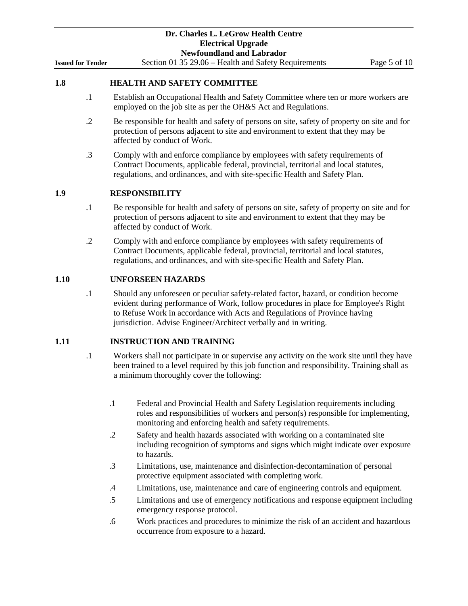| <b>Issued for Tender</b> |            | Dr. Charles L. LeGrow Health Centre<br><b>Electrical Upgrade</b><br><b>Newfoundland and Labrador</b><br>Section 01 35 29.06 - Health and Safety Requirements<br>Page 5 of 10                                                                                                                                                 |
|--------------------------|------------|------------------------------------------------------------------------------------------------------------------------------------------------------------------------------------------------------------------------------------------------------------------------------------------------------------------------------|
| 1.8                      |            | <b>HEALTH AND SAFETY COMMITTEE</b>                                                                                                                                                                                                                                                                                           |
|                          | $\cdot$ 1  | Establish an Occupational Health and Safety Committee where ten or more workers are<br>employed on the job site as per the OH&S Act and Regulations.                                                                                                                                                                         |
|                          | $\cdot$ .2 | Be responsible for health and safety of persons on site, safety of property on site and for<br>protection of persons adjacent to site and environment to extent that they may be<br>affected by conduct of Work.                                                                                                             |
|                          | $\cdot$ 3  | Comply with and enforce compliance by employees with safety requirements of<br>Contract Documents, applicable federal, provincial, territorial and local statutes,<br>regulations, and ordinances, and with site-specific Health and Safety Plan.                                                                            |
| 1.9                      |            | <b>RESPONSIBILITY</b>                                                                                                                                                                                                                                                                                                        |
|                          | $\cdot$ 1  | Be responsible for health and safety of persons on site, safety of property on site and for<br>protection of persons adjacent to site and environment to extent that they may be<br>affected by conduct of Work.                                                                                                             |
|                          | $\cdot$ .2 | Comply with and enforce compliance by employees with safety requirements of<br>Contract Documents, applicable federal, provincial, territorial and local statutes,<br>regulations, and ordinances, and with site-specific Health and Safety Plan.                                                                            |
| 1.10                     |            | <b>UNFORSEEN HAZARDS</b>                                                                                                                                                                                                                                                                                                     |
|                          | $\cdot$ 1  | Should any unforeseen or peculiar safety-related factor, hazard, or condition become<br>evident during performance of Work, follow procedures in place for Employee's Right<br>to Refuse Work in accordance with Acts and Regulations of Province having<br>jurisdiction. Advise Engineer/Architect verbally and in writing. |
| 1.11                     |            | <b>INSTRUCTION AND TRAINING</b>                                                                                                                                                                                                                                                                                              |
|                          | $\cdot$ 1  | Workers shall not participate in or supervise any activity on the work site until they have<br>been trained to a level required by this job function and responsibility. Training shall as<br>a minimum thoroughly cover the following:                                                                                      |
|                          |            | $\cdot$<br>Federal and Provincial Health and Safety Legislation requirements including<br>roles and responsibilities of workers and person(s) responsible for implementing,<br>monitoring and enforcing health and safety requirements.                                                                                      |
|                          |            | Safety and health hazards associated with working on a contaminated site<br>$\cdot$ .2<br>including recognition of symptoms and signs which might indicate over exposure<br>to hazards.                                                                                                                                      |
|                          |            | $\cdot$ 3<br>Limitations, use, maintenance and disinfection-decontamination of personal<br>protective equipment associated with completing work.                                                                                                                                                                             |
|                          |            | Limitations, use, maintenance and care of engineering controls and equipment.<br>$\cdot$ 4                                                                                                                                                                                                                                   |

- .5 Limitations and use of emergency notifications and response equipment including emergency response protocol.
- .6 Work practices and procedures to minimize the risk of an accident and hazardous occurrence from exposure to a hazard.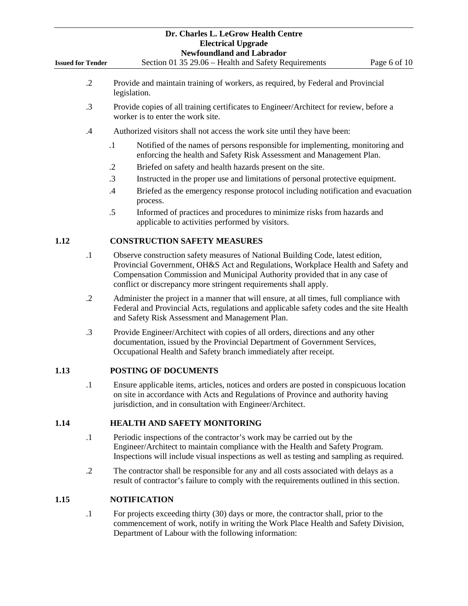|                          |            | Dr. Charles L. LeGrow Health Centre<br><b>Electrical Upgrade</b><br><b>Newfoundland and Labrador</b>                                                                                                                                                                                                                    |  |  |  |  |  |  |
|--------------------------|------------|-------------------------------------------------------------------------------------------------------------------------------------------------------------------------------------------------------------------------------------------------------------------------------------------------------------------------|--|--|--|--|--|--|
| <b>Issued for Tender</b> |            | Section 01 35 29.06 - Health and Safety Requirements<br>Page 6 of 10                                                                                                                                                                                                                                                    |  |  |  |  |  |  |
|                          | $\cdot$ .2 | Provide and maintain training of workers, as required, by Federal and Provincial<br>legislation.                                                                                                                                                                                                                        |  |  |  |  |  |  |
|                          | .3         | Provide copies of all training certificates to Engineer/Architect for review, before a<br>worker is to enter the work site.                                                                                                                                                                                             |  |  |  |  |  |  |
|                          | $\cdot$    | Authorized visitors shall not access the work site until they have been:                                                                                                                                                                                                                                                |  |  |  |  |  |  |
|                          |            | $\cdot$ 1<br>Notified of the names of persons responsible for implementing, monitoring and<br>enforcing the health and Safety Risk Assessment and Management Plan.                                                                                                                                                      |  |  |  |  |  |  |
|                          |            | Briefed on safety and health hazards present on the site.<br>$\cdot$ .2                                                                                                                                                                                                                                                 |  |  |  |  |  |  |
|                          |            | $\cdot$ 3<br>Instructed in the proper use and limitations of personal protective equipment.                                                                                                                                                                                                                             |  |  |  |  |  |  |
|                          |            | .4<br>Briefed as the emergency response protocol including notification and evacuation<br>process.                                                                                                                                                                                                                      |  |  |  |  |  |  |
|                          |            | .5<br>Informed of practices and procedures to minimize risks from hazards and<br>applicable to activities performed by visitors.                                                                                                                                                                                        |  |  |  |  |  |  |
| 1.12                     |            | <b>CONSTRUCTION SAFETY MEASURES</b>                                                                                                                                                                                                                                                                                     |  |  |  |  |  |  |
|                          | $\cdot$    | Observe construction safety measures of National Building Code, latest edition,<br>Provincial Government, OH&S Act and Regulations, Workplace Health and Safety and<br>Compensation Commission and Municipal Authority provided that in any case of<br>conflict or discrepancy more stringent requirements shall apply. |  |  |  |  |  |  |
|                          | $\cdot$ .2 | Administer the project in a manner that will ensure, at all times, full compliance with<br>Federal and Provincial Acts, regulations and applicable safety codes and the site Health<br>and Safety Risk Assessment and Management Plan.                                                                                  |  |  |  |  |  |  |
|                          | $\cdot$ 3  | Provide Engineer/Architect with copies of all orders, directions and any other<br>documentation, issued by the Provincial Department of Government Services,<br>Occupational Health and Safety branch immediately after receipt.                                                                                        |  |  |  |  |  |  |
| 1.13                     |            | <b>POSTING OF DOCUMENTS</b>                                                                                                                                                                                                                                                                                             |  |  |  |  |  |  |
|                          | $\cdot$ 1  | Ensure applicable items, articles, notices and orders are posted in conspicuous location<br>on site in accordance with Acts and Regulations of Province and authority having<br>jurisdiction, and in consultation with Engineer/Architect.                                                                              |  |  |  |  |  |  |
| 1.14                     |            | <b>HEALTH AND SAFETY MONITORING</b>                                                                                                                                                                                                                                                                                     |  |  |  |  |  |  |
|                          | $\cdot$    | Periodic inspections of the contractor's work may be carried out by the<br>Engineer/Architect to maintain compliance with the Health and Safety Program.<br>Inspections will include visual inspections as well as testing and sampling as required.                                                                    |  |  |  |  |  |  |
|                          | $\cdot$ .2 | The contractor shall be responsible for any and all costs associated with delays as a<br>result of contractor's failure to comply with the requirements outlined in this section.                                                                                                                                       |  |  |  |  |  |  |
| 1.15                     |            | <b>NOTIFICATION</b>                                                                                                                                                                                                                                                                                                     |  |  |  |  |  |  |
|                          | $\cdot$    | For projects exceeding thirty (30) days or more, the contractor shall, prior to the<br>commencement of work, notify in writing the Work Place Health and Safety Division,<br>Department of Labour with the following information:                                                                                       |  |  |  |  |  |  |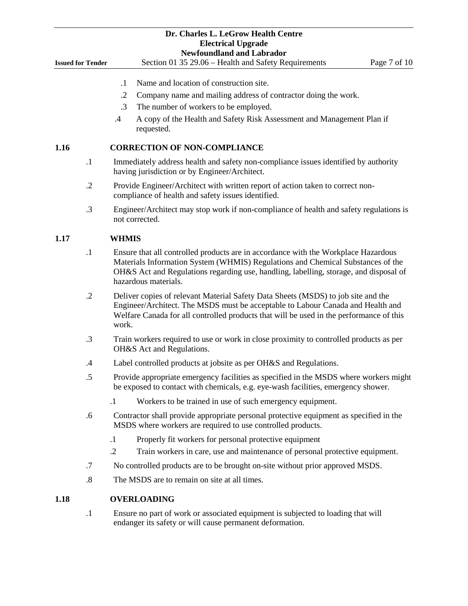|                          | Dr. Charles L. LeGrow Health Centre                                                                                                                                                                                                                                                    |  |  |  |  |  |
|--------------------------|----------------------------------------------------------------------------------------------------------------------------------------------------------------------------------------------------------------------------------------------------------------------------------------|--|--|--|--|--|
|                          | <b>Electrical Upgrade</b><br><b>Newfoundland and Labrador</b>                                                                                                                                                                                                                          |  |  |  |  |  |
| <b>Issued for Tender</b> | Section 01 35 29.06 - Health and Safety Requirements<br>Page 7 of 10                                                                                                                                                                                                                   |  |  |  |  |  |
|                          | Name and location of construction site.<br>$\cdot$ 1                                                                                                                                                                                                                                   |  |  |  |  |  |
|                          | $\cdot$ .2<br>Company name and mailing address of contractor doing the work.                                                                                                                                                                                                           |  |  |  |  |  |
|                          | .3<br>The number of workers to be employed.                                                                                                                                                                                                                                            |  |  |  |  |  |
|                          | $.4\,$<br>A copy of the Health and Safety Risk Assessment and Management Plan if<br>requested.                                                                                                                                                                                         |  |  |  |  |  |
| 1.16                     | <b>CORRECTION OF NON-COMPLIANCE</b>                                                                                                                                                                                                                                                    |  |  |  |  |  |
| $\cdot$                  | Immediately address health and safety non-compliance issues identified by authority<br>having jurisdiction or by Engineer/Architect.                                                                                                                                                   |  |  |  |  |  |
| $\cdot$ .2               | Provide Engineer/Architect with written report of action taken to correct non-<br>compliance of health and safety issues identified.                                                                                                                                                   |  |  |  |  |  |
| .3                       | Engineer/Architect may stop work if non-compliance of health and safety regulations is<br>not corrected.                                                                                                                                                                               |  |  |  |  |  |
| 1.17                     | <b>WHMIS</b>                                                                                                                                                                                                                                                                           |  |  |  |  |  |
| $\cdot$                  | Ensure that all controlled products are in accordance with the Workplace Hazardous<br>Materials Information System (WHMIS) Regulations and Chemical Substances of the<br>OH&S Act and Regulations regarding use, handling, labelling, storage, and disposal of<br>hazardous materials. |  |  |  |  |  |
| $\cdot$                  | Deliver copies of relevant Material Safety Data Sheets (MSDS) to job site and the<br>Engineer/Architect. The MSDS must be acceptable to Labour Canada and Health and<br>Welfare Canada for all controlled products that will be used in the performance of this<br>work.               |  |  |  |  |  |
| .3                       | Train workers required to use or work in close proximity to controlled products as per<br>OH&S Act and Regulations.                                                                                                                                                                    |  |  |  |  |  |
| .4                       | Label controlled products at jobsite as per OH&S and Regulations.                                                                                                                                                                                                                      |  |  |  |  |  |
| .5                       | Provide appropriate emergency facilities as specified in the MSDS where workers might<br>be exposed to contact with chemicals, e.g. eye-wash facilities, emergency shower.                                                                                                             |  |  |  |  |  |
|                          | Workers to be trained in use of such emergency equipment.<br>$\cdot$                                                                                                                                                                                                                   |  |  |  |  |  |
| .6                       | Contractor shall provide appropriate personal protective equipment as specified in the<br>MSDS where workers are required to use controlled products.                                                                                                                                  |  |  |  |  |  |
|                          | Properly fit workers for personal protective equipment<br>$\cdot$ 1                                                                                                                                                                                                                    |  |  |  |  |  |
|                          | Train workers in care, use and maintenance of personal protective equipment.<br>$\cdot$ .2                                                                                                                                                                                             |  |  |  |  |  |
| .7                       | No controlled products are to be brought on-site without prior approved MSDS.                                                                                                                                                                                                          |  |  |  |  |  |
| $\boldsymbol{.8}$        | The MSDS are to remain on site at all times.                                                                                                                                                                                                                                           |  |  |  |  |  |
| 1.18                     | <b>OVERLOADING</b>                                                                                                                                                                                                                                                                     |  |  |  |  |  |
| $\cdot$                  | Ensure no part of work or associated equipment is subjected to loading that will<br>endanger its safety or will cause permanent deformation.                                                                                                                                           |  |  |  |  |  |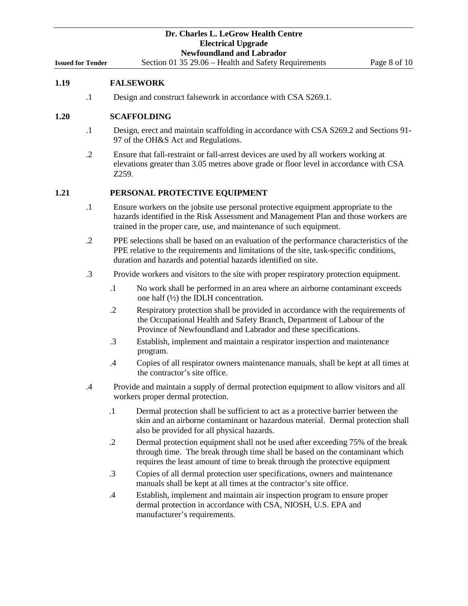#### **1.19 FALSEWORK**

.1 Design and construct falsework in accordance with CSA S269.1.

# **1.20 SCAFFOLDING**

- .1 Design, erect and maintain scaffolding in accordance with CSA S269.2 and Sections 91- 97 of the OH&S Act and Regulations.
- .2 Ensure that fall-restraint or fall-arrest devices are used by all workers working at elevations greater than 3.05 metres above grade or floor level in accordance with CSA Z259.

#### **1.21 PERSONAL PROTECTIVE EQUIPMENT**

- .1 Ensure workers on the jobsite use personal protective equipment appropriate to the hazards identified in the Risk Assessment and Management Plan and those workers are trained in the proper care, use, and maintenance of such equipment.
- .2 PPE selections shall be based on an evaluation of the performance characteristics of the PPE relative to the requirements and limitations of the site, task-specific conditions, duration and hazards and potential hazards identified on site.
- .3 Provide workers and visitors to the site with proper respiratory protection equipment.
	- .1 No work shall be performed in an area where an airborne contaminant exceeds one half (½) the IDLH concentration.
	- .2 Respiratory protection shall be provided in accordance with the requirements of the Occupational Health and Safety Branch, Department of Labour of the Province of Newfoundland and Labrador and these specifications.
	- .3 Establish, implement and maintain a respirator inspection and maintenance program.
	- .4 Copies of all respirator owners maintenance manuals, shall be kept at all times at the contractor's site office.
- .4 Provide and maintain a supply of dermal protection equipment to allow visitors and all workers proper dermal protection.
	- .1 Dermal protection shall be sufficient to act as a protective barrier between the skin and an airborne contaminant or hazardous material. Dermal protection shall also be provided for all physical hazards.
	- .2 Dermal protection equipment shall not be used after exceeding 75% of the break through time. The break through time shall be based on the contaminant which requires the least amount of time to break through the protective equipment
	- .3 Copies of all dermal protection user specifications, owners and maintenance manuals shall be kept at all times at the contractor's site office.
	- .4 Establish, implement and maintain air inspection program to ensure proper dermal protection in accordance with CSA, NIOSH, U.S. EPA and manufacturer's requirements.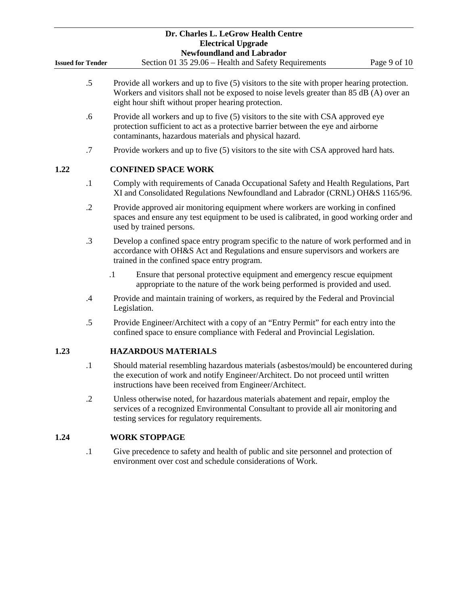|                          |            |                                                                                                                                                                                                         |                                                                                                                                                                                                                                                | Dr. Charles L. LeGrow Health Centre                                                                                                                     |  |  |  |              |
|--------------------------|------------|---------------------------------------------------------------------------------------------------------------------------------------------------------------------------------------------------------|------------------------------------------------------------------------------------------------------------------------------------------------------------------------------------------------------------------------------------------------|---------------------------------------------------------------------------------------------------------------------------------------------------------|--|--|--|--------------|
|                          |            |                                                                                                                                                                                                         |                                                                                                                                                                                                                                                | <b>Electrical Upgrade</b><br><b>Newfoundland and Labrador</b>                                                                                           |  |  |  |              |
| <b>Issued for Tender</b> |            |                                                                                                                                                                                                         |                                                                                                                                                                                                                                                | Section 01 35 29.06 - Health and Safety Requirements                                                                                                    |  |  |  | Page 9 of 10 |
|                          | $.5\,$     |                                                                                                                                                                                                         | Provide all workers and up to five (5) visitors to the site with proper hearing protection.<br>Workers and visitors shall not be exposed to noise levels greater than 85 dB (A) over an<br>eight hour shift without proper hearing protection. |                                                                                                                                                         |  |  |  |              |
|                          | .6         |                                                                                                                                                                                                         | Provide all workers and up to five (5) visitors to the site with CSA approved eye<br>protection sufficient to act as a protective barrier between the eye and airborne<br>contaminants, hazardous materials and physical hazard.               |                                                                                                                                                         |  |  |  |              |
|                          | .7         |                                                                                                                                                                                                         | Provide workers and up to five (5) visitors to the site with CSA approved hard hats.                                                                                                                                                           |                                                                                                                                                         |  |  |  |              |
| 1.22                     |            |                                                                                                                                                                                                         | <b>CONFINED SPACE WORK</b>                                                                                                                                                                                                                     |                                                                                                                                                         |  |  |  |              |
|                          | $\cdot$    |                                                                                                                                                                                                         | Comply with requirements of Canada Occupational Safety and Health Regulations, Part<br>XI and Consolidated Regulations Newfoundland and Labrador (CRNL) OH&S 1165/96.                                                                          |                                                                                                                                                         |  |  |  |              |
|                          | $\cdot$ .2 | Provide approved air monitoring equipment where workers are working in confined<br>spaces and ensure any test equipment to be used is calibrated, in good working order and<br>used by trained persons. |                                                                                                                                                                                                                                                |                                                                                                                                                         |  |  |  |              |
|                          | $\cdot$ 3  |                                                                                                                                                                                                         | Develop a confined space entry program specific to the nature of work performed and in<br>accordance with OH&S Act and Regulations and ensure supervisors and workers are<br>trained in the confined space entry program.                      |                                                                                                                                                         |  |  |  |              |
|                          |            | $\cdot$ 1                                                                                                                                                                                               |                                                                                                                                                                                                                                                | Ensure that personal protective equipment and emergency rescue equipment<br>appropriate to the nature of the work being performed is provided and used. |  |  |  |              |
|                          | .4         |                                                                                                                                                                                                         | Provide and maintain training of workers, as required by the Federal and Provincial<br>Legislation.                                                                                                                                            |                                                                                                                                                         |  |  |  |              |
|                          | $.5\,$     | Provide Engineer/Architect with a copy of an "Entry Permit" for each entry into the<br>confined space to ensure compliance with Federal and Provincial Legislation.                                     |                                                                                                                                                                                                                                                |                                                                                                                                                         |  |  |  |              |
| 1.23                     |            |                                                                                                                                                                                                         | <b>HAZARDOUS MATERIALS</b>                                                                                                                                                                                                                     |                                                                                                                                                         |  |  |  |              |
|                          | $\cdot$ 1  |                                                                                                                                                                                                         | Should material resembling hazardous materials (asbestos/mould) be encountered during<br>the execution of work and notify Engineer/Architect. Do not proceed until written<br>instructions have been received from Engineer/Architect.         |                                                                                                                                                         |  |  |  |              |
|                          | $\cdot$ .2 |                                                                                                                                                                                                         | Unless otherwise noted, for hazardous materials abatement and repair, employ the<br>services of a recognized Environmental Consultant to provide all air monitoring and<br>testing services for regulatory requirements.                       |                                                                                                                                                         |  |  |  |              |
| 1.24                     |            |                                                                                                                                                                                                         | <b>WORK STOPPAGE</b>                                                                                                                                                                                                                           |                                                                                                                                                         |  |  |  |              |
|                          | $\cdot$ 1  |                                                                                                                                                                                                         | Give precedence to safety and health of public and site personnel and protection of<br>environment over cost and schedule considerations of Work.                                                                                              |                                                                                                                                                         |  |  |  |              |
|                          |            |                                                                                                                                                                                                         |                                                                                                                                                                                                                                                |                                                                                                                                                         |  |  |  |              |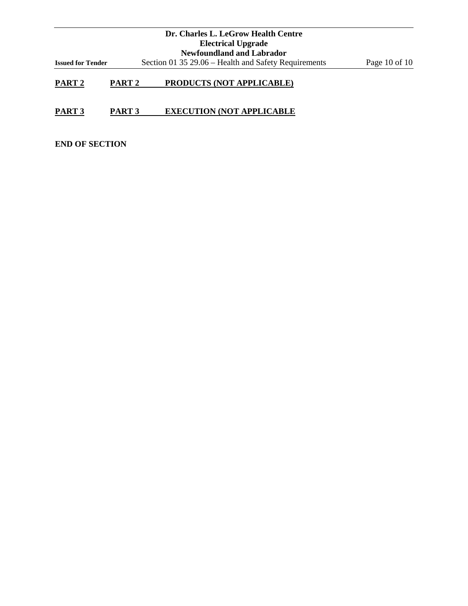|                          |                   | Dr. Charles L. LeGrow Health Centre                  |                 |
|--------------------------|-------------------|------------------------------------------------------|-----------------|
|                          |                   | <b>Electrical Upgrade</b>                            |                 |
|                          |                   | <b>Newfoundland and Labrador</b>                     |                 |
| <b>Issued for Tender</b> |                   | Section 01 35 29.06 – Health and Safety Requirements | Page 10 of $10$ |
| PART <sub>2</sub>        | PART <sub>2</sub> | <b>PRODUCTS (NOT APPLICABLE)</b>                     |                 |

# **PART 3 PART 3 EXECUTION (NOT APPLICABLE**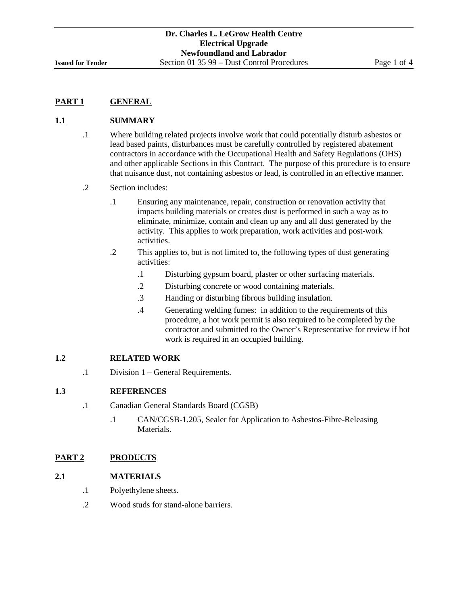# **1.1 SUMMARY**

- .1 Where building related projects involve work that could potentially disturb asbestos or lead based paints, disturbances must be carefully controlled by registered abatement contractors in accordance with the Occupational Health and Safety Regulations (OHS) and other applicable Sections in this Contract. The purpose of this procedure is to ensure that nuisance dust, not containing asbestos or lead, is controlled in an effective manner.
- .2 Section includes:
	- .1 Ensuring any maintenance, repair, construction or renovation activity that impacts building materials or creates dust is performed in such a way as to eliminate, minimize, contain and clean up any and all dust generated by the activity. This applies to work preparation, work activities and post-work activities.
	- .2 This applies to, but is not limited to, the following types of dust generating activities:
		- .1 Disturbing gypsum board, plaster or other surfacing materials.
		- .2 Disturbing concrete or wood containing materials.
		- .3 Handing or disturbing fibrous building insulation.
		- .4 Generating welding fumes: in addition to the requirements of this procedure, a hot work permit is also required to be completed by the contractor and submitted to the Owner's Representative for review if hot work is required in an occupied building.

# **1.2 RELATED WORK**

.1 Division 1 – General Requirements.

# **1.3 REFERENCES**

- .1 Canadian General Standards Board (CGSB)
	- .1 CAN/CGSB-1.205, Sealer for Application to Asbestos-Fibre-Releasing Materials.

# **PART 2 PRODUCTS**

# **2.1 MATERIALS**

- .1 Polyethylene sheets.
- .2 Wood studs for stand-alone barriers.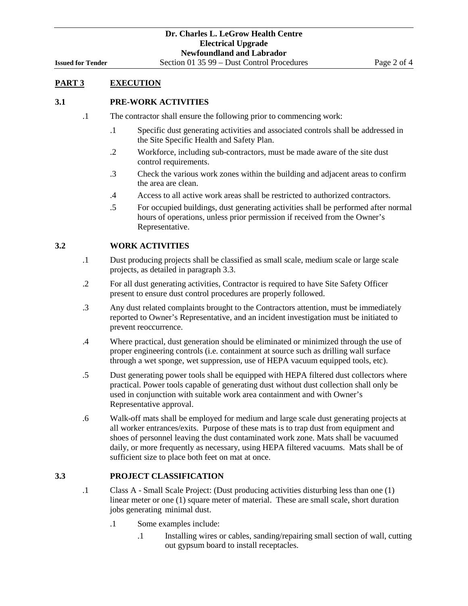# **PART 3 EXECUTION**

#### **3.1 PRE-WORK ACTIVITIES**

- .1 The contractor shall ensure the following prior to commencing work:
	- .1 Specific dust generating activities and associated controls shall be addressed in the Site Specific Health and Safety Plan.
	- .2 Workforce, including sub-contractors, must be made aware of the site dust control requirements.
	- .3 Check the various work zones within the building and adjacent areas to confirm the area are clean.
	- .4 Access to all active work areas shall be restricted to authorized contractors.
	- .5 For occupied buildings, dust generating activities shall be performed after normal hours of operations, unless prior permission if received from the Owner's Representative.

#### **3.2 WORK ACTIVITIES**

- .1 Dust producing projects shall be classified as small scale, medium scale or large scale projects, as detailed in paragraph 3.3.
- .2 For all dust generating activities, Contractor is required to have Site Safety Officer present to ensure dust control procedures are properly followed.
- .3 Any dust related complaints brought to the Contractors attention, must be immediately reported to Owner's Representative, and an incident investigation must be initiated to prevent reoccurrence.
- .4 Where practical, dust generation should be eliminated or minimized through the use of proper engineering controls (i.e. containment at source such as drilling wall surface through a wet sponge, wet suppression, use of HEPA vacuum equipped tools, etc).
- .5 Dust generating power tools shall be equipped with HEPA filtered dust collectors where practical. Power tools capable of generating dust without dust collection shall only be used in conjunction with suitable work area containment and with Owner's Representative approval.
- .6 Walk-off mats shall be employed for medium and large scale dust generating projects at all worker entrances/exits. Purpose of these mats is to trap dust from equipment and shoes of personnel leaving the dust contaminated work zone. Mats shall be vacuumed daily, or more frequently as necessary, using HEPA filtered vacuums. Mats shall be of sufficient size to place both feet on mat at once.

# **3.3 PROJECT CLASSIFICATION**

- .1 Class A Small Scale Project: (Dust producing activities disturbing less than one (1) linear meter or one (1) square meter of material. These are small scale, short duration jobs generating minimal dust.
	- .1 Some examples include:
		- .1 Installing wires or cables, sanding/repairing small section of wall, cutting out gypsum board to install receptacles.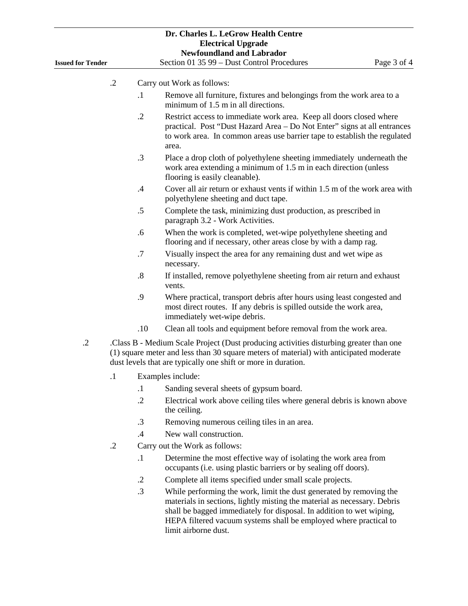| <b>Issued for Tender</b> |                                                                                                                                                                                                                                                  | Dr. Charles L. LeGrow Health Centre<br><b>Electrical Upgrade</b><br><b>Newfoundland and Labrador</b><br>Section 01 35 99 - Dust Control Procedures<br>Page 3 of 4                                                                     |  |  |  |
|--------------------------|--------------------------------------------------------------------------------------------------------------------------------------------------------------------------------------------------------------------------------------------------|---------------------------------------------------------------------------------------------------------------------------------------------------------------------------------------------------------------------------------------|--|--|--|
|                          |                                                                                                                                                                                                                                                  |                                                                                                                                                                                                                                       |  |  |  |
|                          | $\cdot$ .2                                                                                                                                                                                                                                       | Carry out Work as follows:                                                                                                                                                                                                            |  |  |  |
|                          | $\cdot$                                                                                                                                                                                                                                          | Remove all furniture, fixtures and belongings from the work area to a<br>minimum of 1.5 m in all directions.                                                                                                                          |  |  |  |
|                          | $\cdot$                                                                                                                                                                                                                                          | Restrict access to immediate work area. Keep all doors closed where<br>practical. Post "Dust Hazard Area - Do Not Enter" signs at all entrances<br>to work area. In common areas use barrier tape to establish the regulated<br>area. |  |  |  |
|                          | .3                                                                                                                                                                                                                                               | Place a drop cloth of polyethylene sheeting immediately underneath the<br>work area extending a minimum of 1.5 m in each direction (unless<br>flooring is easily cleanable).                                                          |  |  |  |
|                          | $\cdot$                                                                                                                                                                                                                                          | Cover all air return or exhaust vents if within 1.5 m of the work area with<br>polyethylene sheeting and duct tape.                                                                                                                   |  |  |  |
|                          | .5                                                                                                                                                                                                                                               | Complete the task, minimizing dust production, as prescribed in<br>paragraph 3.2 - Work Activities.                                                                                                                                   |  |  |  |
|                          | .6                                                                                                                                                                                                                                               | When the work is completed, wet-wipe polyethylene sheeting and<br>flooring and if necessary, other areas close by with a damp rag.                                                                                                    |  |  |  |
|                          | .7                                                                                                                                                                                                                                               | Visually inspect the area for any remaining dust and wet wipe as<br>necessary.                                                                                                                                                        |  |  |  |
|                          | $\boldsymbol{.8}$                                                                                                                                                                                                                                | If installed, remove polyethylene sheeting from air return and exhaust<br>vents.                                                                                                                                                      |  |  |  |
|                          | .9                                                                                                                                                                                                                                               | Where practical, transport debris after hours using least congested and<br>most direct routes. If any debris is spilled outside the work area,<br>immediately wet-wipe debris.                                                        |  |  |  |
|                          | .10                                                                                                                                                                                                                                              | Clean all tools and equipment before removal from the work area.                                                                                                                                                                      |  |  |  |
| $\cdot$ .2               | Class B - Medium Scale Project (Dust producing activities disturbing greater than one<br>(1) square meter and less than 30 square meters of material) with anticipated moderate<br>dust levels that are typically one shift or more in duration. |                                                                                                                                                                                                                                       |  |  |  |
|                          | $\cdot$ 1                                                                                                                                                                                                                                        | Examples include:                                                                                                                                                                                                                     |  |  |  |
|                          | $\cdot$                                                                                                                                                                                                                                          | Sanding several sheets of gypsum board.                                                                                                                                                                                               |  |  |  |
|                          | $\cdot$                                                                                                                                                                                                                                          | Electrical work above ceiling tiles where general debris is known above<br>the ceiling.                                                                                                                                               |  |  |  |
|                          | $\cdot$ 3                                                                                                                                                                                                                                        | Removing numerous ceiling tiles in an area.                                                                                                                                                                                           |  |  |  |
|                          | $\cdot$ 4                                                                                                                                                                                                                                        | New wall construction.                                                                                                                                                                                                                |  |  |  |
|                          | $\cdot$ .2                                                                                                                                                                                                                                       | Carry out the Work as follows:                                                                                                                                                                                                        |  |  |  |
|                          | $\cdot$                                                                                                                                                                                                                                          | Determine the most effective way of isolating the work area from<br>occupants (i.e. using plastic barriers or by sealing off doors).                                                                                                  |  |  |  |
|                          | $\cdot$                                                                                                                                                                                                                                          | Complete all items specified under small scale projects.                                                                                                                                                                              |  |  |  |
|                          | .3                                                                                                                                                                                                                                               | While performing the work, limit the dust generated by removing the                                                                                                                                                                   |  |  |  |

materials in sections, lightly misting the material as necessary. Debris shall be bagged immediately for disposal. In addition to wet wiping, HEPA filtered vacuum systems shall be employed where practical to limit airborne dust.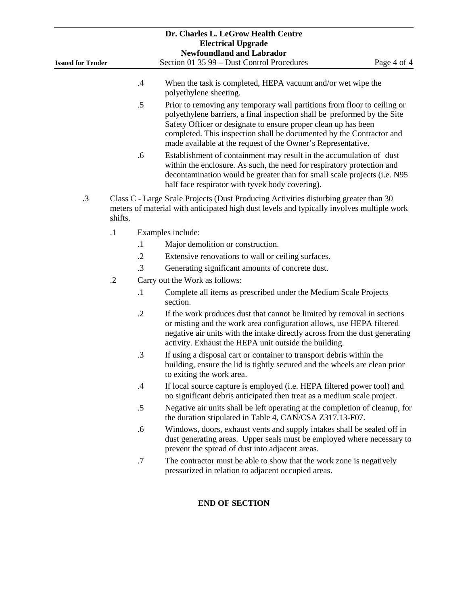| Dr. Charles L. LeGrow Health Centre                           |            |            |                                                                                                                                                                                                                                                                                                                                                                |             |  |  |
|---------------------------------------------------------------|------------|------------|----------------------------------------------------------------------------------------------------------------------------------------------------------------------------------------------------------------------------------------------------------------------------------------------------------------------------------------------------------------|-------------|--|--|
| <b>Electrical Upgrade</b><br><b>Newfoundland and Labrador</b> |            |            |                                                                                                                                                                                                                                                                                                                                                                |             |  |  |
| <b>Issued for Tender</b>                                      |            |            | Section 01 35 99 - Dust Control Procedures                                                                                                                                                                                                                                                                                                                     | Page 4 of 4 |  |  |
|                                                               |            |            |                                                                                                                                                                                                                                                                                                                                                                |             |  |  |
|                                                               |            | $.4\,$     | When the task is completed, HEPA vacuum and/or wet wipe the<br>polyethylene sheeting.                                                                                                                                                                                                                                                                          |             |  |  |
|                                                               |            | .5         | Prior to removing any temporary wall partitions from floor to ceiling or<br>polyethylene barriers, a final inspection shall be preformed by the Site<br>Safety Officer or designate to ensure proper clean up has been<br>completed. This inspection shall be documented by the Contractor and<br>made available at the request of the Owner's Representative. |             |  |  |
|                                                               |            | .6         | Establishment of containment may result in the accumulation of dust<br>within the enclosure. As such, the need for respiratory protection and<br>decontamination would be greater than for small scale projects (i.e. N95<br>half face respirator with tyvek body covering).                                                                                   |             |  |  |
| .3                                                            | shifts.    |            | Class C - Large Scale Projects (Dust Producing Activities disturbing greater than 30<br>meters of material with anticipated high dust levels and typically involves multiple work                                                                                                                                                                              |             |  |  |
|                                                               | $\cdot$    |            | Examples include:                                                                                                                                                                                                                                                                                                                                              |             |  |  |
|                                                               |            | $\cdot$ 1  | Major demolition or construction.                                                                                                                                                                                                                                                                                                                              |             |  |  |
|                                                               |            | $\cdot$ .2 | Extensive renovations to wall or ceiling surfaces.                                                                                                                                                                                                                                                                                                             |             |  |  |
|                                                               |            | $\cdot$ 3  | Generating significant amounts of concrete dust.                                                                                                                                                                                                                                                                                                               |             |  |  |
|                                                               | $\cdot$ .2 |            | Carry out the Work as follows:                                                                                                                                                                                                                                                                                                                                 |             |  |  |
|                                                               |            | $\cdot$ 1  | Complete all items as prescribed under the Medium Scale Projects<br>section.                                                                                                                                                                                                                                                                                   |             |  |  |
|                                                               |            | $\cdot$ .2 | If the work produces dust that cannot be limited by removal in sections<br>or misting and the work area configuration allows, use HEPA filtered<br>negative air units with the intake directly across from the dust generating<br>activity. Exhaust the HEPA unit outside the building.                                                                        |             |  |  |
|                                                               |            | $\cdot$ 3  | If using a disposal cart or container to transport debris within the<br>building, ensure the lid is tightly secured and the wheels are clean prior<br>to exiting the work area.                                                                                                                                                                                |             |  |  |
|                                                               |            | $.4\,$     | If local source capture is employed (i.e. HEPA filtered power tool) and<br>no significant debris anticipated then treat as a medium scale project.                                                                                                                                                                                                             |             |  |  |
|                                                               |            | $.5\,$     | Negative air units shall be left operating at the completion of cleanup, for<br>the duration stipulated in Table 4, CAN/CSA Z317.13-F07.                                                                                                                                                                                                                       |             |  |  |
|                                                               |            | .6         | Windows, doors, exhaust vents and supply intakes shall be sealed off in<br>dust generating areas. Upper seals must be employed where necessary to<br>prevent the spread of dust into adjacent areas.                                                                                                                                                           |             |  |  |
|                                                               |            | .7         | The contractor must be able to show that the work zone is negatively<br>pressurized in relation to adjacent occupied areas.                                                                                                                                                                                                                                    |             |  |  |
|                                                               |            |            | <b>END OF SECTION</b>                                                                                                                                                                                                                                                                                                                                          |             |  |  |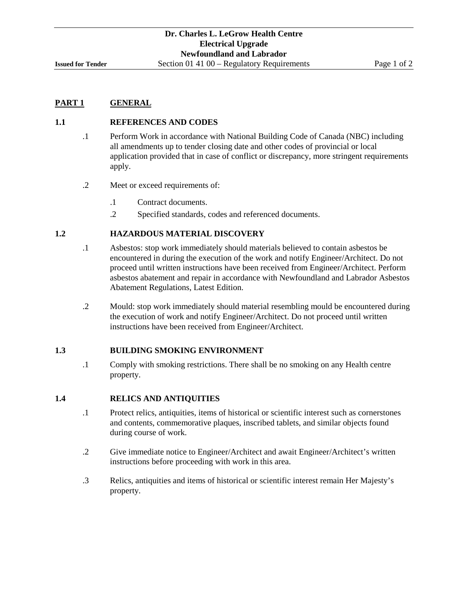#### **1.1 REFERENCES AND CODES**

- .1 Perform Work in accordance with National Building Code of Canada (NBC) including all amendments up to tender closing date and other codes of provincial or local application provided that in case of conflict or discrepancy, more stringent requirements apply.
- .2 Meet or exceed requirements of:
	- .1 Contract documents.
	- .2 Specified standards, codes and referenced documents.

# **1.2 HAZARDOUS MATERIAL DISCOVERY**

- .1 Asbestos: stop work immediately should materials believed to contain asbestos be encountered in during the execution of the work and notify Engineer/Architect. Do not proceed until written instructions have been received from Engineer/Architect. Perform asbestos abatement and repair in accordance with Newfoundland and Labrador Asbestos Abatement Regulations, Latest Edition.
- .2 Mould: stop work immediately should material resembling mould be encountered during the execution of work and notify Engineer/Architect. Do not proceed until written instructions have been received from Engineer/Architect.

#### **1.3 BUILDING SMOKING ENVIRONMENT**

.1 Comply with smoking restrictions. There shall be no smoking on any Health centre property.

#### **1.4 RELICS AND ANTIQUITIES**

- .1 Protect relics, antiquities, items of historical or scientific interest such as cornerstones and contents, commemorative plaques, inscribed tablets, and similar objects found during course of work.
- .2 Give immediate notice to Engineer/Architect and await Engineer/Architect's written instructions before proceeding with work in this area.
- .3 Relics, antiquities and items of historical or scientific interest remain Her Majesty's property.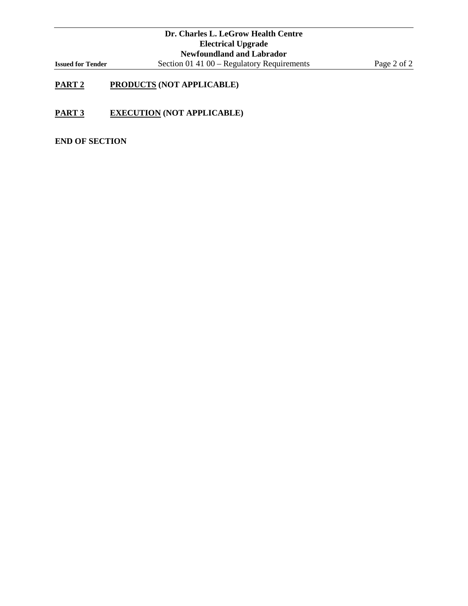# **PART 2 PRODUCTS (NOT APPLICABLE)**

**PART 3 EXECUTION (NOT APPLICABLE)**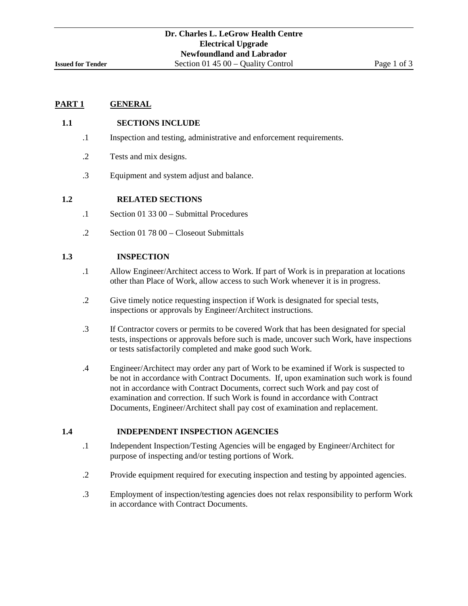#### **1.1 SECTIONS INCLUDE**

- .1 Inspection and testing, administrative and enforcement requirements.
- .2 Tests and mix designs.
- .3 Equipment and system adjust and balance.

# **1.2 RELATED SECTIONS**

- .1 Section 01 33 00 Submittal Procedures
- .2 Section 01 78 00 Closeout Submittals

#### **1.3 INSPECTION**

- .1 Allow Engineer/Architect access to Work. If part of Work is in preparation at locations other than Place of Work, allow access to such Work whenever it is in progress.
- .2 Give timely notice requesting inspection if Work is designated for special tests, inspections or approvals by Engineer/Architect instructions.
- .3 If Contractor covers or permits to be covered Work that has been designated for special tests, inspections or approvals before such is made, uncover such Work, have inspections or tests satisfactorily completed and make good such Work.
- .4 Engineer/Architect may order any part of Work to be examined if Work is suspected to be not in accordance with Contract Documents. If, upon examination such work is found not in accordance with Contract Documents, correct such Work and pay cost of examination and correction. If such Work is found in accordance with Contract Documents, Engineer/Architect shall pay cost of examination and replacement.

# **1.4 INDEPENDENT INSPECTION AGENCIES**

- .1 Independent Inspection/Testing Agencies will be engaged by Engineer/Architect for purpose of inspecting and/or testing portions of Work.
- .2 Provide equipment required for executing inspection and testing by appointed agencies.
- .3 Employment of inspection/testing agencies does not relax responsibility to perform Work in accordance with Contract Documents.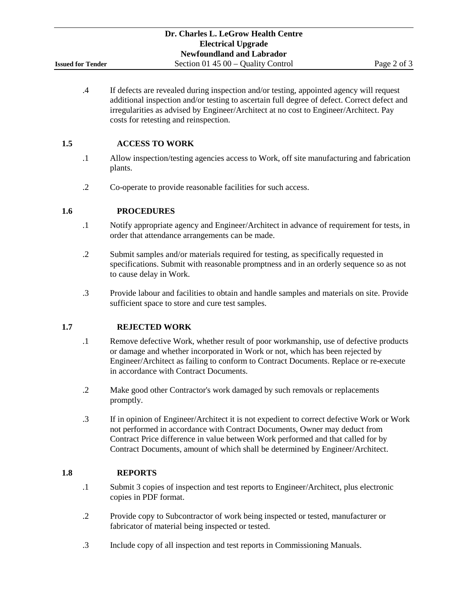.4 If defects are revealed during inspection and/or testing, appointed agency will request additional inspection and/or testing to ascertain full degree of defect. Correct defect and irregularities as advised by Engineer/Architect at no cost to Engineer/Architect. Pay costs for retesting and reinspection.

#### **1.5 ACCESS TO WORK**

- .1 Allow inspection/testing agencies access to Work, off site manufacturing and fabrication plants.
- .2 Co-operate to provide reasonable facilities for such access.

#### **1.6 PROCEDURES**

- .1 Notify appropriate agency and Engineer/Architect in advance of requirement for tests, in order that attendance arrangements can be made.
- .2 Submit samples and/or materials required for testing, as specifically requested in specifications. Submit with reasonable promptness and in an orderly sequence so as not to cause delay in Work.
- .3 Provide labour and facilities to obtain and handle samples and materials on site. Provide sufficient space to store and cure test samples.

#### **1.7 REJECTED WORK**

- .1 Remove defective Work, whether result of poor workmanship, use of defective products or damage and whether incorporated in Work or not, which has been rejected by Engineer/Architect as failing to conform to Contract Documents. Replace or re-execute in accordance with Contract Documents.
- .2 Make good other Contractor's work damaged by such removals or replacements promptly.
- .3 If in opinion of Engineer/Architect it is not expedient to correct defective Work or Work not performed in accordance with Contract Documents, Owner may deduct from Contract Price difference in value between Work performed and that called for by Contract Documents, amount of which shall be determined by Engineer/Architect.

#### **1.8 REPORTS**

- .1 Submit 3 copies of inspection and test reports to Engineer/Architect, plus electronic copies in PDF format.
- .2 Provide copy to Subcontractor of work being inspected or tested, manufacturer or fabricator of material being inspected or tested.
- .3 Include copy of all inspection and test reports in Commissioning Manuals.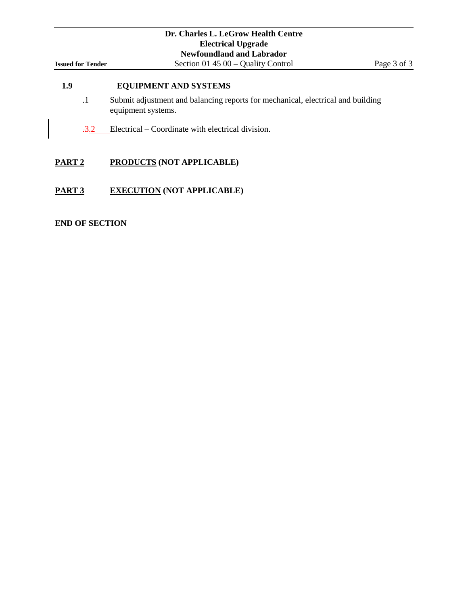# **1.9 EQUIPMENT AND SYSTEMS**

- .1 Submit adjustment and balancing reports for mechanical, electrical and building equipment systems.
- $\frac{.3.2}{.2}$  Electrical Coordinate with electrical division.

#### **PART 2 PRODUCTS (NOT APPLICABLE)**

#### **PART 3 EXECUTION (NOT APPLICABLE)**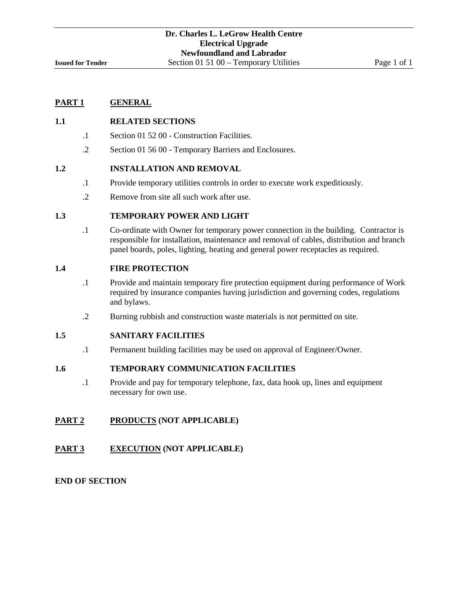### **1.1 RELATED SECTIONS**

- .1 Section 01 52 00 Construction Facilities.
- .2 Section 01 56 00 Temporary Barriers and Enclosures.

## **1.2 INSTALLATION AND REMOVAL**

- .1 Provide temporary utilities controls in order to execute work expeditiously.
- .2 Remove from site all such work after use.

## **1.3 TEMPORARY POWER AND LIGHT**

.1 Co-ordinate with Owner for temporary power connection in the building. Contractor is responsible for installation, maintenance and removal of cables, distribution and branch panel boards, poles, lighting, heating and general power receptacles as required.

#### **1.4 FIRE PROTECTION**

- .1 Provide and maintain temporary fire protection equipment during performance of Work required by insurance companies having jurisdiction and governing codes, regulations and bylaws.
- .2 Burning rubbish and construction waste materials is not permitted on site.

### **1.5 SANITARY FACILITIES**

.1 Permanent building facilities may be used on approval of Engineer/Owner.

### **1.6 TEMPORARY COMMUNICATION FACILITIES**

.1 Provide and pay for temporary telephone, fax, data hook up, lines and equipment necessary for own use.

## **PART 2 PRODUCTS (NOT APPLICABLE)**

#### **PART 3 EXECUTION (NOT APPLICABLE)**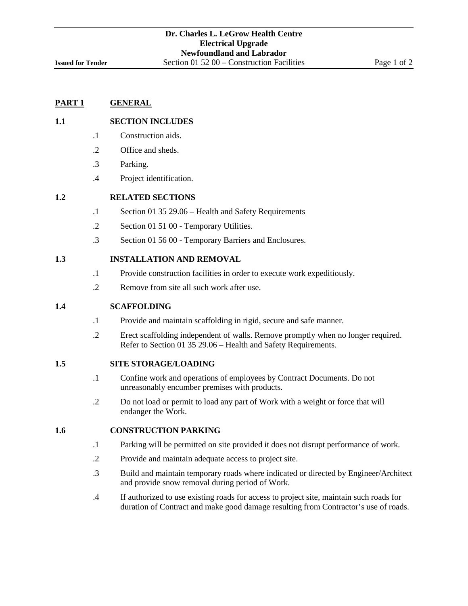## **1.1 SECTION INCLUDES**

- .1 Construction aids.
- .2 Office and sheds.
- .3 Parking.
- .4 Project identification.

### **1.2 RELATED SECTIONS**

- .1 Section 01 35 29.06 Health and Safety Requirements
- .2 Section 01 51 00 Temporary Utilities.
- .3 Section 01 56 00 Temporary Barriers and Enclosures.

#### **1.3 INSTALLATION AND REMOVAL**

- .1 Provide construction facilities in order to execute work expeditiously.
- .2 Remove from site all such work after use.

#### **1.4 SCAFFOLDING**

- .1 Provide and maintain scaffolding in rigid, secure and safe manner.
- .2 Erect scaffolding independent of walls. Remove promptly when no longer required. Refer to Section 01 35 29.06 – Health and Safety Requirements.

## **1.5 SITE STORAGE/LOADING**

- .1 Confine work and operations of employees by Contract Documents. Do not unreasonably encumber premises with products.
- .2 Do not load or permit to load any part of Work with a weight or force that will endanger the Work.

### **1.6 CONSTRUCTION PARKING**

- .1 Parking will be permitted on site provided it does not disrupt performance of work.
- .2 Provide and maintain adequate access to project site.
- .3 Build and maintain temporary roads where indicated or directed by Engineer/Architect and provide snow removal during period of Work.
- .4 If authorized to use existing roads for access to project site, maintain such roads for duration of Contract and make good damage resulting from Contractor's use of roads.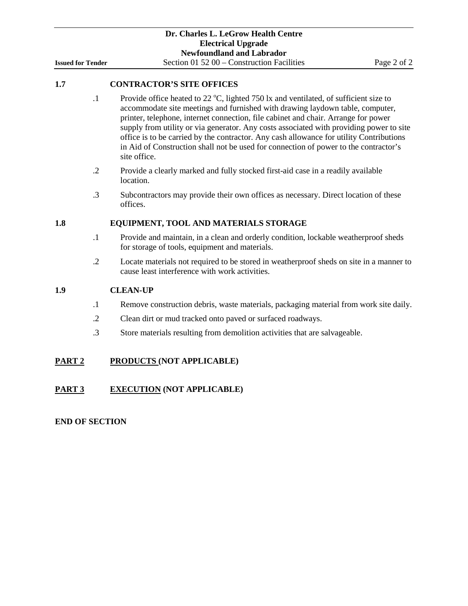## **1.7 CONTRACTOR'S SITE OFFICES**

- .1 Provide office heated to 22  $\degree$ C, lighted 750 lx and ventilated, of sufficient size to accommodate site meetings and furnished with drawing laydown table, computer, printer, telephone, internet connection, file cabinet and chair. Arrange for power supply from utility or via generator. Any costs associated with providing power to site office is to be carried by the contractor. Any cash allowance for utility Contributions in Aid of Construction shall not be used for connection of power to the contractor's site office.
- .2 Provide a clearly marked and fully stocked first-aid case in a readily available location.
- .3 Subcontractors may provide their own offices as necessary. Direct location of these offices.

## **1.8 EQUIPMENT, TOOL AND MATERIALS STORAGE**

- .1 Provide and maintain, in a clean and orderly condition, lockable weatherproof sheds for storage of tools, equipment and materials.
- .2 Locate materials not required to be stored in weatherproof sheds on site in a manner to cause least interference with work activities.

## **1.9 CLEAN-UP**

- .1 Remove construction debris, waste materials, packaging material from work site daily.
- .2 Clean dirt or mud tracked onto paved or surfaced roadways.
- .3 Store materials resulting from demolition activities that are salvageable.

## **PART 2 PRODUCTS (NOT APPLICABLE)**

## **PART 3 EXECUTION (NOT APPLICABLE)**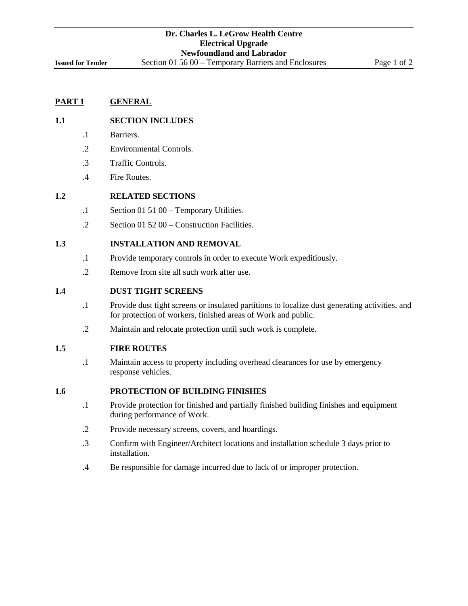### **1.1 SECTION INCLUDES**

- .1 Barriers.
- .2 Environmental Controls.
- .3 Traffic Controls.
- .4 Fire Routes.

### **1.2 RELATED SECTIONS**

- .1 Section 01 51 00 Temporary Utilities.
- .2 Section 01 52 00 Construction Facilities.

### **1.3 INSTALLATION AND REMOVAL**

- .1 Provide temporary controls in order to execute Work expeditiously.
- .2 Remove from site all such work after use.

#### **1.4 DUST TIGHT SCREENS**

- .1 Provide dust tight screens or insulated partitions to localize dust generating activities, and for protection of workers, finished areas of Work and public.
- .2 Maintain and relocate protection until such work is complete.

### **1.5 FIRE ROUTES**

.1 Maintain access to property including overhead clearances for use by emergency response vehicles.

### **1.6 PROTECTION OF BUILDING FINISHES**

- .1 Provide protection for finished and partially finished building finishes and equipment during performance of Work.
- .2 Provide necessary screens, covers, and hoardings.
- .3 Confirm with Engineer/Architect locations and installation schedule 3 days prior to installation.
- .4 Be responsible for damage incurred due to lack of or improper protection.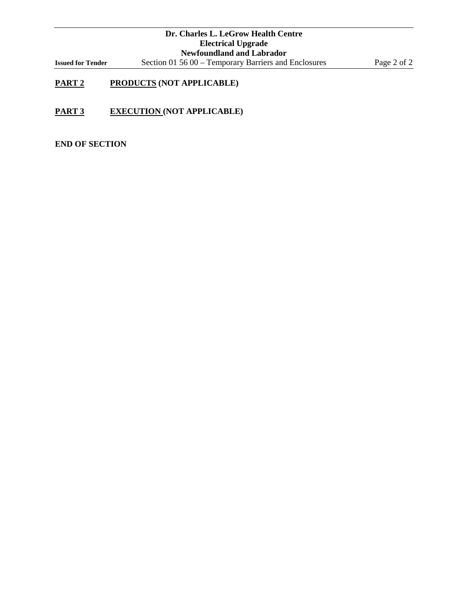# **PART 2 PRODUCTS (NOT APPLICABLE)**

**PART 3 EXECUTION (NOT APPLICABLE)**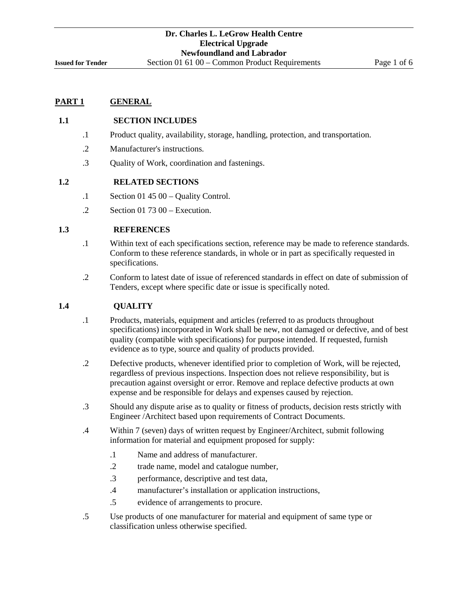## **1.1 SECTION INCLUDES**

- .1 Product quality, availability, storage, handling, protection, and transportation.
- .2 Manufacturer's instructions.
- .3 Quality of Work, coordination and fastenings.

### **1.2 RELATED SECTIONS**

- .1 Section 01 45 00 Quality Control.
- .2 Section 01 73 00 Execution.

## **1.3 REFERENCES**

- .1 Within text of each specifications section, reference may be made to reference standards. Conform to these reference standards, in whole or in part as specifically requested in specifications.
- .2 Conform to latest date of issue of referenced standards in effect on date of submission of Tenders, except where specific date or issue is specifically noted.

## **1.4 QUALITY**

- .1 Products, materials, equipment and articles (referred to as products throughout specifications) incorporated in Work shall be new, not damaged or defective, and of best quality (compatible with specifications) for purpose intended. If requested, furnish evidence as to type, source and quality of products provided.
- .2 Defective products, whenever identified prior to completion of Work, will be rejected, regardless of previous inspections. Inspection does not relieve responsibility, but is precaution against oversight or error. Remove and replace defective products at own expense and be responsible for delays and expenses caused by rejection.
- .3 Should any dispute arise as to quality or fitness of products, decision rests strictly with Engineer /Architect based upon requirements of Contract Documents.
- .4 Within 7 (seven) days of written request by Engineer/Architect, submit following information for material and equipment proposed for supply:
	- .1 Name and address of manufacturer.
	- .2 trade name, model and catalogue number,
	- .3 performance, descriptive and test data,
	- .4 manufacturer's installation or application instructions,
	- .5 evidence of arrangements to procure.
- .5 Use products of one manufacturer for material and equipment of same type or classification unless otherwise specified.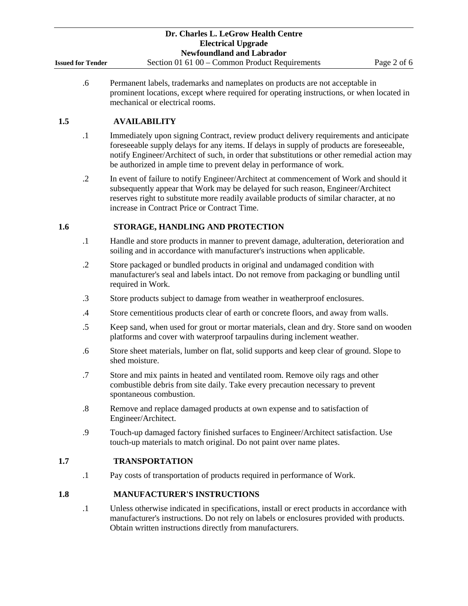## **1.5 AVAILABILITY**

- .1 Immediately upon signing Contract, review product delivery requirements and anticipate foreseeable supply delays for any items. If delays in supply of products are foreseeable, notify Engineer/Architect of such, in order that substitutions or other remedial action may be authorized in ample time to prevent delay in performance of work.
- .2 In event of failure to notify Engineer/Architect at commencement of Work and should it subsequently appear that Work may be delayed for such reason, Engineer/Architect reserves right to substitute more readily available products of similar character, at no increase in Contract Price or Contract Time.

## **1.6 STORAGE, HANDLING AND PROTECTION**

mechanical or electrical rooms.

- .1 Handle and store products in manner to prevent damage, adulteration, deterioration and soiling and in accordance with manufacturer's instructions when applicable.
- .2 Store packaged or bundled products in original and undamaged condition with manufacturer's seal and labels intact. Do not remove from packaging or bundling until required in Work.
- .3 Store products subject to damage from weather in weatherproof enclosures.
- .4 Store cementitious products clear of earth or concrete floors, and away from walls.
- .5 Keep sand, when used for grout or mortar materials, clean and dry. Store sand on wooden platforms and cover with waterproof tarpaulins during inclement weather.
- .6 Store sheet materials, lumber on flat, solid supports and keep clear of ground. Slope to shed moisture.
- .7 Store and mix paints in heated and ventilated room. Remove oily rags and other combustible debris from site daily. Take every precaution necessary to prevent spontaneous combustion.
- .8 Remove and replace damaged products at own expense and to satisfaction of Engineer/Architect.
- .9 Touch-up damaged factory finished surfaces to Engineer/Architect satisfaction. Use touch-up materials to match original. Do not paint over name plates.

## **1.7 TRANSPORTATION**

.1 Pay costs of transportation of products required in performance of Work.

## **1.8 MANUFACTURER'S INSTRUCTIONS**

.1 Unless otherwise indicated in specifications, install or erect products in accordance with manufacturer's instructions. Do not rely on labels or enclosures provided with products. Obtain written instructions directly from manufacturers.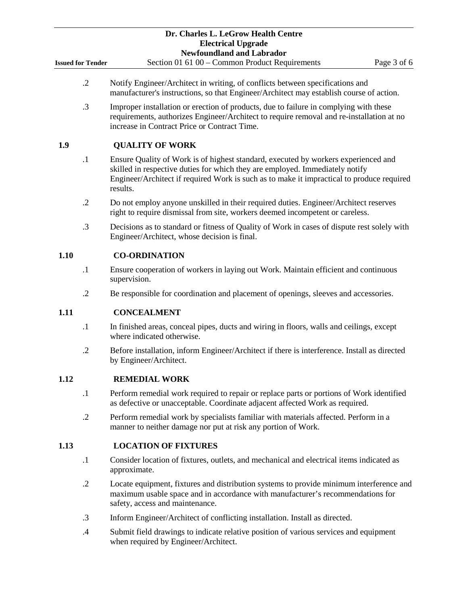|                          | Dr. Charles L. LeGrow Health Centre<br><b>Electrical Upgrade</b><br><b>Newfoundland and Labrador</b>                                                                                                                                                                        |
|--------------------------|-----------------------------------------------------------------------------------------------------------------------------------------------------------------------------------------------------------------------------------------------------------------------------|
| <b>Issued for Tender</b> | Section 01 61 00 - Common Product Requirements<br>Page 3 of 6                                                                                                                                                                                                               |
| $\cdot$ .2               | Notify Engineer/Architect in writing, of conflicts between specifications and<br>manufacturer's instructions, so that Engineer/Architect may establish course of action.                                                                                                    |
| $\cdot$ 3                | Improper installation or erection of products, due to failure in complying with these<br>requirements, authorizes Engineer/Architect to require removal and re-installation at no<br>increase in Contract Price or Contract Time.                                           |
| 1.9                      | <b>QUALITY OF WORK</b>                                                                                                                                                                                                                                                      |
| $\cdot$                  | Ensure Quality of Work is of highest standard, executed by workers experienced and<br>skilled in respective duties for which they are employed. Immediately notify<br>Engineer/Architect if required Work is such as to make it impractical to produce required<br>results. |
| $\cdot$ .2               | Do not employ anyone unskilled in their required duties. Engineer/Architect reserves<br>right to require dismissal from site, workers deemed incompetent or careless.                                                                                                       |
| .3                       | Decisions as to standard or fitness of Quality of Work in cases of dispute rest solely with<br>Engineer/Architect, whose decision is final.                                                                                                                                 |
| 1.10                     | <b>CO-ORDINATION</b>                                                                                                                                                                                                                                                        |
| $\cdot$                  | Ensure cooperation of workers in laying out Work. Maintain efficient and continuous<br>supervision.                                                                                                                                                                         |
| $\cdot$ .2               | Be responsible for coordination and placement of openings, sleeves and accessories.                                                                                                                                                                                         |
| 1.11                     | <b>CONCEALMENT</b>                                                                                                                                                                                                                                                          |
| $\cdot$ 1                | In finished areas, conceal pipes, ducts and wiring in floors, walls and ceilings, except<br>where indicated otherwise.                                                                                                                                                      |
| $\cdot$                  | Before installation, inform Engineer/Architect if there is interference. Install as directed<br>by Engineer/Architect.                                                                                                                                                      |
| 1.12                     | <b>REMEDIAL WORK</b>                                                                                                                                                                                                                                                        |
| $\cdot$ 1                | Perform remedial work required to repair or replace parts or portions of Work identified<br>as defective or unacceptable. Coordinate adjacent affected Work as required.                                                                                                    |
| $\cdot$ .2               | Perform remedial work by specialists familiar with materials affected. Perform in a<br>manner to neither damage nor put at risk any portion of Work.                                                                                                                        |
| 1.13                     | <b>LOCATION OF FIXTURES</b>                                                                                                                                                                                                                                                 |
| $\cdot$                  | Consider location of fixtures, outlets, and mechanical and electrical items indicated as<br>approximate.                                                                                                                                                                    |
| $\cdot$                  | Locate equipment, fixtures and distribution systems to provide minimum interference and<br>maximum usable space and in accordance with manufacturer's recommendations for<br>safety, access and maintenance.                                                                |
| $\cdot$ 3                | Inform Engineer/Architect of conflicting installation. Install as directed.                                                                                                                                                                                                 |
| $\cdot$ 4                | Submit field drawings to indicate relative position of various services and equipment                                                                                                                                                                                       |

when required by Engineer/Architect.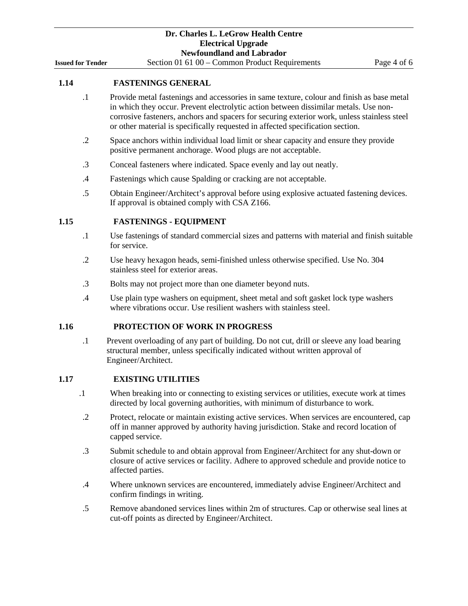### **1.14 FASTENINGS GENERAL**

- .1 Provide metal fastenings and accessories in same texture, colour and finish as base metal in which they occur. Prevent electrolytic action between dissimilar metals. Use noncorrosive fasteners, anchors and spacers for securing exterior work, unless stainless steel or other material is specifically requested in affected specification section.
- .2 Space anchors within individual load limit or shear capacity and ensure they provide positive permanent anchorage. Wood plugs are not acceptable.
- .3 Conceal fasteners where indicated. Space evenly and lay out neatly.
- .4 Fastenings which cause Spalding or cracking are not acceptable.
- .5 Obtain Engineer/Architect's approval before using explosive actuated fastening devices. If approval is obtained comply with CSA Z166.

## **1.15 FASTENINGS - EQUIPMENT**

- .1 Use fastenings of standard commercial sizes and patterns with material and finish suitable for service.
- .2 Use heavy hexagon heads, semi-finished unless otherwise specified. Use No. 304 stainless steel for exterior areas.
- .3 Bolts may not project more than one diameter beyond nuts.
- .4 Use plain type washers on equipment, sheet metal and soft gasket lock type washers where vibrations occur. Use resilient washers with stainless steel.

#### **1.16 PROTECTION OF WORK IN PROGRESS**

.1 Prevent overloading of any part of building. Do not cut, drill or sleeve any load bearing structural member, unless specifically indicated without written approval of Engineer/Architect.

## **1.17 EXISTING UTILITIES**

- .1 When breaking into or connecting to existing services or utilities, execute work at times directed by local governing authorities, with minimum of disturbance to work.
- .2 Protect, relocate or maintain existing active services. When services are encountered, cap off in manner approved by authority having jurisdiction. Stake and record location of capped service.
- .3 Submit schedule to and obtain approval from Engineer/Architect for any shut-down or closure of active services or facility. Adhere to approved schedule and provide notice to affected parties.
- .4 Where unknown services are encountered, immediately advise Engineer/Architect and confirm findings in writing.
- .5 Remove abandoned services lines within 2m of structures. Cap or otherwise seal lines at cut-off points as directed by Engineer/Architect.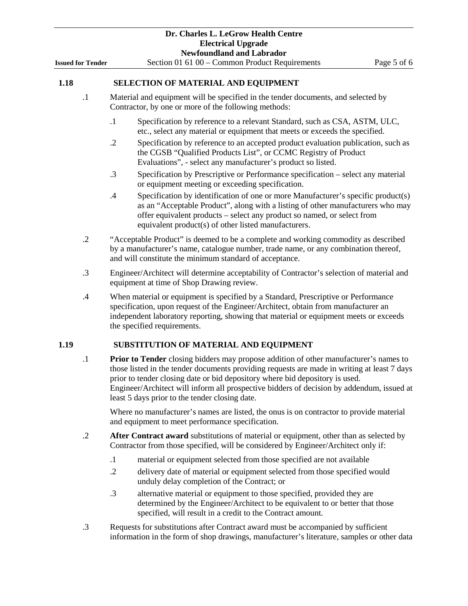|      |                          | Dr. Charles L. LeGrow Health Centre<br><b>Electrical Upgrade</b>                                                                                                                                                                                                                                                                                                                                                           |
|------|--------------------------|----------------------------------------------------------------------------------------------------------------------------------------------------------------------------------------------------------------------------------------------------------------------------------------------------------------------------------------------------------------------------------------------------------------------------|
|      | <b>Issued for Tender</b> | <b>Newfoundland and Labrador</b><br>Section 01 61 00 - Common Product Requirements<br>Page 5 of 6                                                                                                                                                                                                                                                                                                                          |
| 1.18 |                          | <b>SELECTION OF MATERIAL AND EQUIPMENT</b>                                                                                                                                                                                                                                                                                                                                                                                 |
|      | $\cdot$ 1                | Material and equipment will be specified in the tender documents, and selected by<br>Contractor, by one or more of the following methods:                                                                                                                                                                                                                                                                                  |
|      |                          | $\cdot$<br>Specification by reference to a relevant Standard, such as CSA, ASTM, ULC,<br>etc., select any material or equipment that meets or exceeds the specified.                                                                                                                                                                                                                                                       |
|      |                          | Specification by reference to an accepted product evaluation publication, such as<br>$\cdot$ .2<br>the CGSB "Qualified Products List", or CCMC Registry of Product<br>Evaluations", - select any manufacturer's product so listed.                                                                                                                                                                                         |
|      |                          | .3<br>Specification by Prescriptive or Performance specification – select any material<br>or equipment meeting or exceeding specification.                                                                                                                                                                                                                                                                                 |
|      |                          | .4<br>Specification by identification of one or more Manufacturer's specific product(s)<br>as an "Acceptable Product", along with a listing of other manufacturers who may<br>offer equivalent products – select any product so named, or select from<br>equivalent product(s) of other listed manufacturers.                                                                                                              |
|      | $\cdot$ .2               | "Acceptable Product" is deemed to be a complete and working commodity as described<br>by a manufacturer's name, catalogue number, trade name, or any combination thereof,<br>and will constitute the minimum standard of acceptance.                                                                                                                                                                                       |
|      | .3                       | Engineer/Architect will determine acceptability of Contractor's selection of material and<br>equipment at time of Shop Drawing review.                                                                                                                                                                                                                                                                                     |
|      | .4                       | When material or equipment is specified by a Standard, Prescriptive or Performance<br>specification, upon request of the Engineer/Architect, obtain from manufacturer an<br>independent laboratory reporting, showing that material or equipment meets or exceeds<br>the specified requirements.                                                                                                                           |
| 1.19 |                          | SUBSTITUTION OF MATERIAL AND EQUIPMENT                                                                                                                                                                                                                                                                                                                                                                                     |
|      | $\cdot$                  | <b>Prior to Tender</b> closing bidders may propose addition of other manufacturer's names to<br>those listed in the tender documents providing requests are made in writing at least 7 days<br>prior to tender closing date or bid depository where bid depository is used.<br>Engineer/Architect will inform all prospective bidders of decision by addendum, issued at<br>least 5 days prior to the tender closing date. |

Where no manufacturer's names are listed, the onus is on contractor to provide material and equipment to meet performance specification.

- .2 **After Contract award** substitutions of material or equipment, other than as selected by Contractor from those specified, will be considered by Engineer/Architect only if:
	- .1 material or equipment selected from those specified are not available
	- .2 delivery date of material or equipment selected from those specified would unduly delay completion of the Contract; or
	- .3 alternative material or equipment to those specified, provided they are determined by the Engineer/Architect to be equivalent to or better that those specified, will result in a credit to the Contract amount.
- .3 Requests for substitutions after Contract award must be accompanied by sufficient information in the form of shop drawings, manufacturer's literature, samples or other data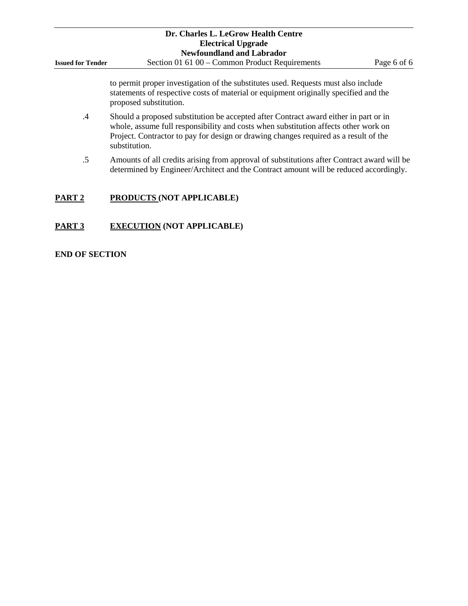|                          | Dr. Charles L. LeGrow Health Centre                                                                                                                                                                                                                                                  |             |
|--------------------------|--------------------------------------------------------------------------------------------------------------------------------------------------------------------------------------------------------------------------------------------------------------------------------------|-------------|
|                          | <b>Electrical Upgrade</b>                                                                                                                                                                                                                                                            |             |
|                          | <b>Newfoundland and Labrador</b>                                                                                                                                                                                                                                                     |             |
| <b>Issued for Tender</b> | Section 01 61 00 – Common Product Requirements                                                                                                                                                                                                                                       | Page 6 of 6 |
|                          | to permit proper investigation of the substitutes used. Requests must also include<br>statements of respective costs of material or equipment originally specified and the<br>proposed substitution.                                                                                 |             |
| $\cdot$                  | Should a proposed substitution be accepted after Contract award either in part or in<br>whole, assume full responsibility and costs when substitution affects other work on<br>Project. Contractor to pay for design or drawing changes required as a result of the<br>substitution. |             |
| $.5\,$                   | Amounts of all credits arising from approval of substitutions after Contract award will be<br>determined by Engineer/Architect and the Contract amount will be reduced accordingly.                                                                                                  |             |
| PART <sub>2</sub>        | <b>PRODUCTS (NOT APPLICABLE)</b>                                                                                                                                                                                                                                                     |             |
| PART 3                   | <b>EXECUTION (NOT APPLICABLE)</b>                                                                                                                                                                                                                                                    |             |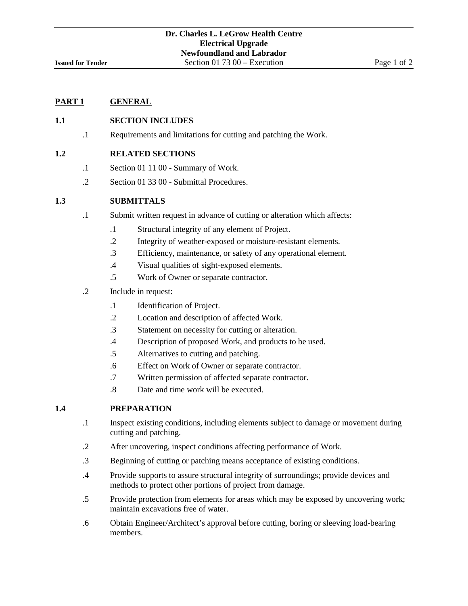## **1.1 SECTION INCLUDES**

.1 Requirements and limitations for cutting and patching the Work.

### **1.2 RELATED SECTIONS**

- .1 Section 01 11 00 Summary of Work.
- .2 Section 01 33 00 Submittal Procedures.

## **1.3 SUBMITTALS**

- .1 Submit written request in advance of cutting or alteration which affects:
	- .1 Structural integrity of any element of Project.
	- .2 Integrity of weather-exposed or moisture-resistant elements.
	- .3 Efficiency, maintenance, or safety of any operational element.
	- .4 Visual qualities of sight-exposed elements.
	- .5 Work of Owner or separate contractor.
- .2 Include in request:
	- .1 Identification of Project.
	- .2 Location and description of affected Work.
	- .3 Statement on necessity for cutting or alteration.
	- .4 Description of proposed Work, and products to be used.
	- .5 Alternatives to cutting and patching.
	- .6 Effect on Work of Owner or separate contractor.
	- .7 Written permission of affected separate contractor.
	- .8 Date and time work will be executed.

### **1.4 PREPARATION**

- .1 Inspect existing conditions, including elements subject to damage or movement during cutting and patching.
- .2 After uncovering, inspect conditions affecting performance of Work.
- .3 Beginning of cutting or patching means acceptance of existing conditions.
- .4 Provide supports to assure structural integrity of surroundings; provide devices and methods to protect other portions of project from damage.
- .5 Provide protection from elements for areas which may be exposed by uncovering work; maintain excavations free of water.
- .6 Obtain Engineer/Architect's approval before cutting, boring or sleeving load-bearing members.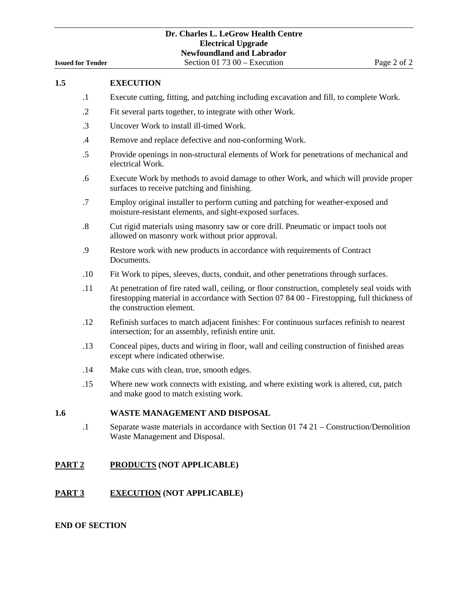|                          | Dr. Charles L. LeGrow Health Centre |             |
|--------------------------|-------------------------------------|-------------|
|                          | <b>Electrical Upgrade</b>           |             |
|                          | <b>Newfoundland and Labrador</b>    |             |
| <b>Issued for Tender</b> | Section 01 73 00 – Execution        | Page 2 of 2 |

| 1.5 |            | <b>EXECUTION</b>                                                                                                                                                                                                          |
|-----|------------|---------------------------------------------------------------------------------------------------------------------------------------------------------------------------------------------------------------------------|
|     | $\cdot$ 1  | Execute cutting, fitting, and patching including excavation and fill, to complete Work.                                                                                                                                   |
|     | $\cdot$ .2 | Fit several parts together, to integrate with other Work.                                                                                                                                                                 |
|     | $\cdot$ 3  | Uncover Work to install ill-timed Work.                                                                                                                                                                                   |
|     | .4         | Remove and replace defective and non-conforming Work.                                                                                                                                                                     |
|     | .5         | Provide openings in non-structural elements of Work for penetrations of mechanical and<br>electrical Work.                                                                                                                |
|     | .6         | Execute Work by methods to avoid damage to other Work, and which will provide proper<br>surfaces to receive patching and finishing.                                                                                       |
|     | .7         | Employ original installer to perform cutting and patching for weather-exposed and<br>moisture-resistant elements, and sight-exposed surfaces.                                                                             |
|     | .8         | Cut rigid materials using masonry saw or core drill. Pneumatic or impact tools not<br>allowed on masonry work without prior approval.                                                                                     |
|     | .9         | Restore work with new products in accordance with requirements of Contract<br>Documents.                                                                                                                                  |
|     | .10        | Fit Work to pipes, sleeves, ducts, conduit, and other penetrations through surfaces.                                                                                                                                      |
|     | .11        | At penetration of fire rated wall, ceiling, or floor construction, completely seal voids with<br>firestopping material in accordance with Section 07 84 00 - Firestopping, full thickness of<br>the construction element. |
|     | .12        | Refinish surfaces to match adjacent finishes: For continuous surfaces refinish to nearest<br>intersection; for an assembly, refinish entire unit.                                                                         |
|     | .13        | Conceal pipes, ducts and wiring in floor, wall and ceiling construction of finished areas<br>except where indicated otherwise.                                                                                            |
|     | .14        | Make cuts with clean, true, smooth edges.                                                                                                                                                                                 |
|     | .15        | Where new work connects with existing, and where existing work is altered, cut, patch<br>and make good to match existing work.                                                                                            |
| 1.6 |            | WASTE MANAGEMENT AND DISPOSAL                                                                                                                                                                                             |
|     | $\cdot$ 1  | Separate waste materials in accordance with Section 01 74 $21 -$ Construction/Demolition<br>Waste Management and Disposal.                                                                                                |

## **PART 2 PRODUCTS (NOT APPLICABLE)**

# **PART 3 EXECUTION (NOT APPLICABLE)**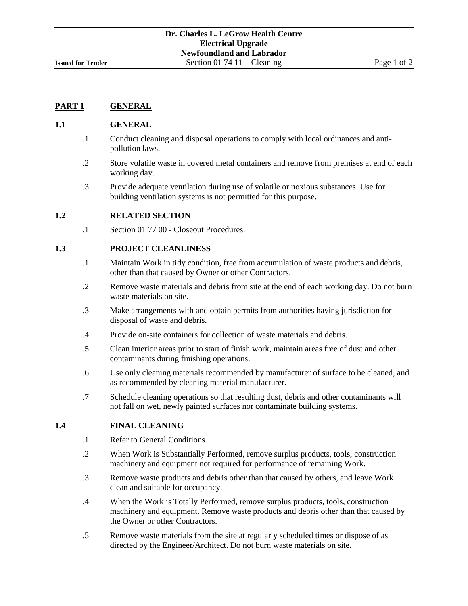#### **1.1 GENERAL**

- .1 Conduct cleaning and disposal operations to comply with local ordinances and antipollution laws.
- .2 Store volatile waste in covered metal containers and remove from premises at end of each working day.
- .3 Provide adequate ventilation during use of volatile or noxious substances. Use for building ventilation systems is not permitted for this purpose.

### **1.2 RELATED SECTION**

.1 Section 01 77 00 - Closeout Procedures.

## **1.3 PROJECT CLEANLINESS**

- .1 Maintain Work in tidy condition, free from accumulation of waste products and debris, other than that caused by Owner or other Contractors.
- .2 Remove waste materials and debris from site at the end of each working day. Do not burn waste materials on site.
- .3 Make arrangements with and obtain permits from authorities having jurisdiction for disposal of waste and debris.
- .4 Provide on-site containers for collection of waste materials and debris.
- .5 Clean interior areas prior to start of finish work, maintain areas free of dust and other contaminants during finishing operations.
- .6 Use only cleaning materials recommended by manufacturer of surface to be cleaned, and as recommended by cleaning material manufacturer.
- .7 Schedule cleaning operations so that resulting dust, debris and other contaminants will not fall on wet, newly painted surfaces nor contaminate building systems.

### **1.4 FINAL CLEANING**

- .1 Refer to General Conditions.
- .2 When Work is Substantially Performed, remove surplus products, tools, construction machinery and equipment not required for performance of remaining Work.
- .3 Remove waste products and debris other than that caused by others, and leave Work clean and suitable for occupancy.
- .4 When the Work is Totally Performed, remove surplus products, tools, construction machinery and equipment. Remove waste products and debris other than that caused by the Owner or other Contractors.
- .5 Remove waste materials from the site at regularly scheduled times or dispose of as directed by the Engineer/Architect. Do not burn waste materials on site.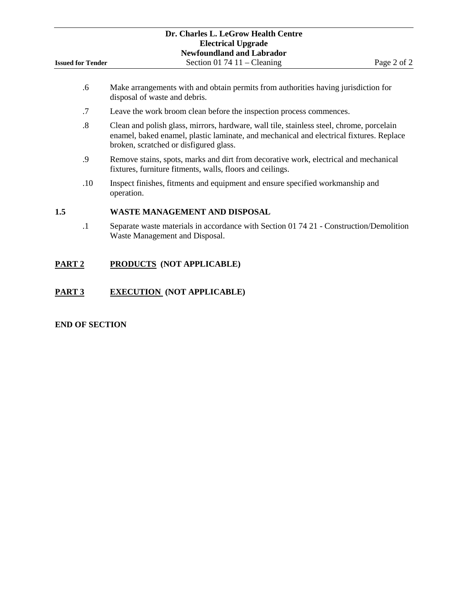| Dr. Charles L. LeGrow Health Centre<br><b>Electrical Upgrade</b> |                                                                                                                                                                                                                                 |             |  |  |
|------------------------------------------------------------------|---------------------------------------------------------------------------------------------------------------------------------------------------------------------------------------------------------------------------------|-------------|--|--|
|                                                                  | <b>Newfoundland and Labrador</b>                                                                                                                                                                                                |             |  |  |
| <b>Issued for Tender</b>                                         | Section 01 74 11 – Cleaning                                                                                                                                                                                                     | Page 2 of 2 |  |  |
| .6                                                               | Make arrangements with and obtain permits from authorities having jurisdiction for<br>disposal of waste and debris.                                                                                                             |             |  |  |
| .7                                                               | Leave the work broom clean before the inspection process commences.                                                                                                                                                             |             |  |  |
|                                                                  | $\sim$ . The set of the set of the set of the set of the set of the set of the set of the set of the set of the set of the set of the set of the set of the set of the set of the set of the set of the set of the set of the s |             |  |  |

- .8 Clean and polish glass, mirrors, hardware, wall tile, stainless steel, chrome, porcelain enamel, baked enamel, plastic laminate, and mechanical and electrical fixtures. Replace broken, scratched or disfigured glass.
- .9 Remove stains, spots, marks and dirt from decorative work, electrical and mechanical fixtures, furniture fitments, walls, floors and ceilings.
- .10 Inspect finishes, fitments and equipment and ensure specified workmanship and operation.

## **1.5 WASTE MANAGEMENT AND DISPOSAL**

.1 Separate waste materials in accordance with Section 01 74 21 - Construction/Demolition Waste Management and Disposal.

## **PART 2 PRODUCTS (NOT APPLICABLE)**

## **PART 3 EXECUTION (NOT APPLICABLE)**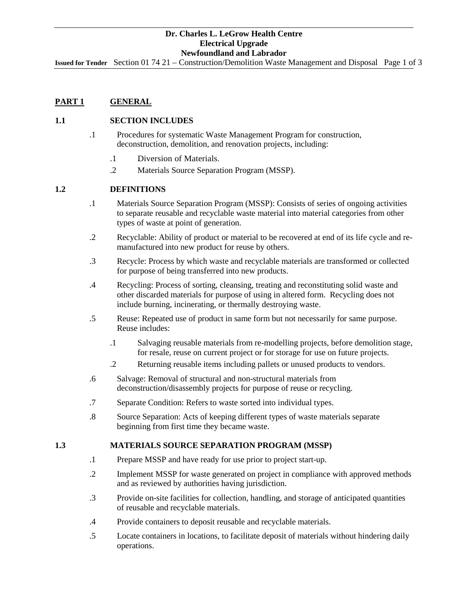**Issued for Tender** Section 01 74 21 – Construction/Demolition Waste Management and Disposal Page 1 of 3

## **PART 1 GENERAL**

## **1.1 SECTION INCLUDES**

- .1 Procedures for systematic Waste Management Program for construction, deconstruction, demolition, and renovation projects, including:
	- .1 .Diversion of Materials.
	- .2 Materials Source Separation Program (MSSP).

## **1.2 DEFINITIONS**

- .1 Materials Source Separation Program (MSSP): Consists of series of ongoing activities to separate reusable and recyclable waste material into material categories from other types of waste at point of generation.
- .2 Recyclable: Ability of product or material to be recovered at end of its life cycle and remanufactured into new product for reuse by others.
- .3 Recycle: Process by which waste and recyclable materials are transformed or collected for purpose of being transferred into new products.
- .4 Recycling: Process of sorting, cleansing, treating and reconstituting solid waste and other discarded materials for purpose of using in altered form. Recycling does not include burning, incinerating, or thermally destroying waste.
- .5 Reuse: Repeated use of product in same form but not necessarily for same purpose. Reuse includes:
	- .1 Salvaging reusable materials from re-modelling projects, before demolition stage, for resale, reuse on current project or for storage for use on future projects.
	- .2 Returning reusable items including pallets or unused products to vendors.
- .6 Salvage: Removal of structural and non-structural materials from deconstruction/disassembly projects for purpose of reuse or recycling.
- .7 Separate Condition: Refers to waste sorted into individual types.
- .8 Source Separation: Acts of keeping different types of waste materials separate beginning from first time they became waste.

#### **1.3 MATERIALS SOURCE SEPARATION PROGRAM (MSSP)**

- .1 Prepare MSSP and have ready for use prior to project start-up.
- .2 Implement MSSP for waste generated on project in compliance with approved methods and as reviewed by authorities having jurisdiction.
- .3 Provide on-site facilities for collection, handling, and storage of anticipated quantities of reusable and recyclable materials.
- .4 Provide containers to deposit reusable and recyclable materials.
- .5 Locate containers in locations, to facilitate deposit of materials without hindering daily operations.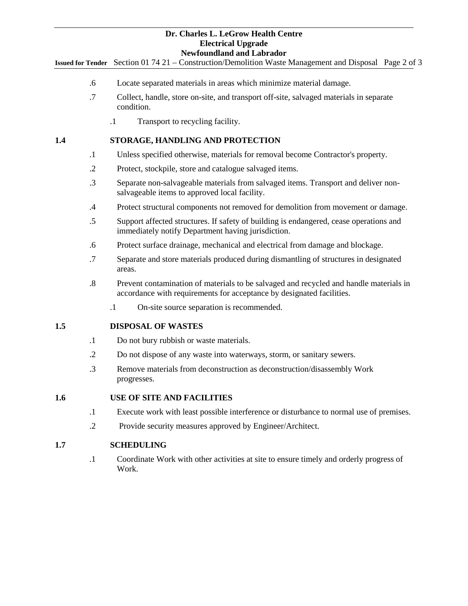**Issued for Tender** Section 01 74 21 – Construction/Demolition Waste Management and Disposal Page 2 of 3

- .6 Locate separated materials in areas which minimize material damage.
- .7 Collect, handle, store on-site, and transport off-site, salvaged materials in separate condition.
	- .1 Transport to recycling facility.

## **1.4 STORAGE, HANDLING AND PROTECTION**

- .1 Unless specified otherwise, materials for removal become Contractor's property.
- .2 Protect, stockpile, store and catalogue salvaged items.
- .3 Separate non-salvageable materials from salvaged items. Transport and deliver nonsalvageable items to approved local facility.
- .4 Protect structural components not removed for demolition from movement or damage.
- .5 Support affected structures. If safety of building is endangered, cease operations and immediately notify Department having jurisdiction.
- .6 Protect surface drainage, mechanical and electrical from damage and blockage.
- .7 Separate and store materials produced during dismantling of structures in designated areas.
- .8 Prevent contamination of materials to be salvaged and recycled and handle materials in accordance with requirements for acceptance by designated facilities.
	- .1 On-site source separation is recommended.

## **1.5 DISPOSAL OF WASTES**

- .1 Do not bury rubbish or waste materials.
- .2 Do not dispose of any waste into waterways, storm, or sanitary sewers.
- .3 Remove materials from deconstruction as deconstruction/disassembly Work progresses.

## **1.6 USE OF SITE AND FACILITIES**

- .1 Execute work with least possible interference or disturbance to normal use of premises.
- .2 Provide security measures approved by Engineer/Architect.

### **1.7 SCHEDULING**

.1 Coordinate Work with other activities at site to ensure timely and orderly progress of Work.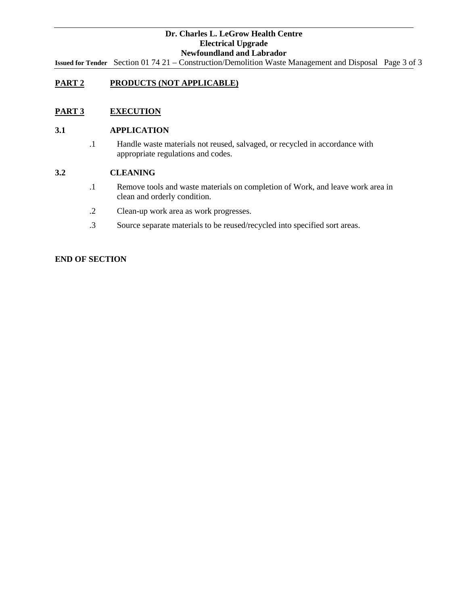**Issued for Tender** Section 01 74 21 – Construction/Demolition Waste Management and Disposal Page 3 of 3

## **PART 2 PRODUCTS (NOT APPLICABLE)**

## **PART 3 EXECUTION**

### **3.1 APPLICATION**

.1 Handle waste materials not reused, salvaged, or recycled in accordance with appropriate regulations and codes.

## **3.2 CLEANING**

- .1 Remove tools and waste materials on completion of Work, and leave work area in clean and orderly condition.
- .2 Clean-up work area as work progresses.
- .3 Source separate materials to be reused/recycled into specified sort areas.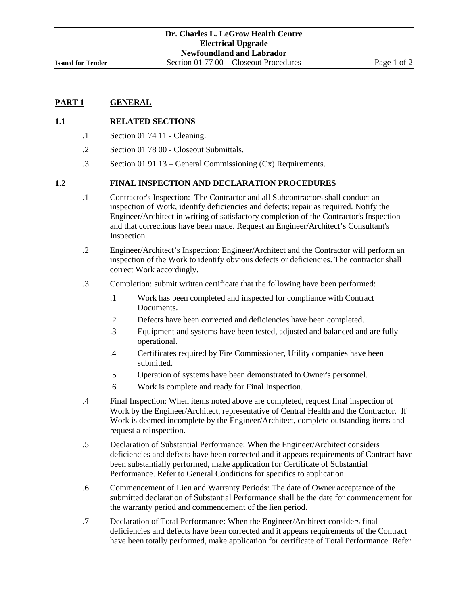### **1.1 RELATED SECTIONS**

- .1 Section 01 74 11 Cleaning.
- .2 Section 01 78 00 Closeout Submittals.
- .3 Section 01 91 13 General Commissioning (Cx) Requirements.

#### **1.2 FINAL INSPECTION AND DECLARATION PROCEDURES**

- .1 Contractor's Inspection: The Contractor and all Subcontractors shall conduct an inspection of Work, identify deficiencies and defects; repair as required. Notify the Engineer/Architect in writing of satisfactory completion of the Contractor's Inspection and that corrections have been made. Request an Engineer/Architect's Consultant's Inspection.
- .2 Engineer/Architect's Inspection: Engineer/Architect and the Contractor will perform an inspection of the Work to identify obvious defects or deficiencies. The contractor shall correct Work accordingly.
- .3 Completion: submit written certificate that the following have been performed:
	- .1 Work has been completed and inspected for compliance with Contract Documents.
	- .2 Defects have been corrected and deficiencies have been completed.
	- .3 Equipment and systems have been tested, adjusted and balanced and are fully operational.
	- .4 Certificates required by Fire Commissioner, Utility companies have been submitted.
	- .5 Operation of systems have been demonstrated to Owner's personnel.
	- .6 Work is complete and ready for Final Inspection.
- .4 Final Inspection: When items noted above are completed, request final inspection of Work by the Engineer/Architect, representative of Central Health and the Contractor. If Work is deemed incomplete by the Engineer/Architect, complete outstanding items and request a reinspection.
- .5 Declaration of Substantial Performance: When the Engineer/Architect considers deficiencies and defects have been corrected and it appears requirements of Contract have been substantially performed, make application for Certificate of Substantial Performance. Refer to General Conditions for specifics to application.
- .6 Commencement of Lien and Warranty Periods: The date of Owner acceptance of the submitted declaration of Substantial Performance shall be the date for commencement for the warranty period and commencement of the lien period.
- .7 Declaration of Total Performance: When the Engineer/Architect considers final deficiencies and defects have been corrected and it appears requirements of the Contract have been totally performed, make application for certificate of Total Performance. Refer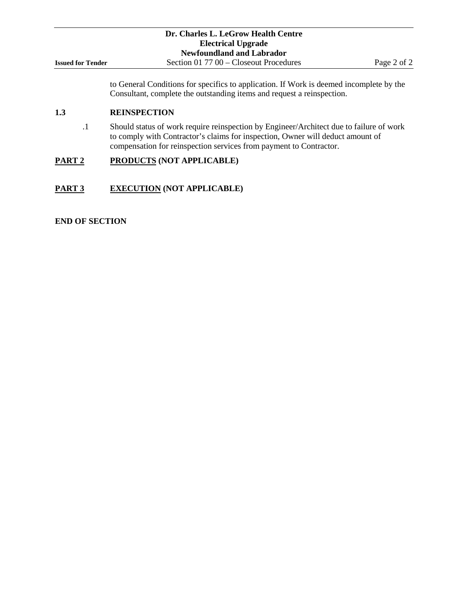|                          | Dr. Charles L. LeGrow Health Centre                                                                                                                                                                                                             |             |  |  |  |  |
|--------------------------|-------------------------------------------------------------------------------------------------------------------------------------------------------------------------------------------------------------------------------------------------|-------------|--|--|--|--|
|                          | <b>Electrical Upgrade</b>                                                                                                                                                                                                                       |             |  |  |  |  |
|                          | <b>Newfoundland and Labrador</b>                                                                                                                                                                                                                |             |  |  |  |  |
| <b>Issued for Tender</b> | Section $017700 -$ Closeout Procedures                                                                                                                                                                                                          | Page 2 of 2 |  |  |  |  |
|                          | to General Conditions for specifics to application. If Work is deemed incomplete by the<br>Consultant, complete the outstanding items and request a reinspection.                                                                               |             |  |  |  |  |
| 1.3                      | <b>REINSPECTION</b>                                                                                                                                                                                                                             |             |  |  |  |  |
| $\cdot$ 1                | Should status of work require reinspection by Engineer/Architect due to failure of work<br>to comply with Contractor's claims for inspection, Owner will deduct amount of<br>compensation for reinspection services from payment to Contractor. |             |  |  |  |  |
| PART <sub>2</sub>        | PRODUCTS (NOT APPLICABLE)                                                                                                                                                                                                                       |             |  |  |  |  |
| PART 3                   | <b>EXECUTION (NOT APPLICABLE)</b>                                                                                                                                                                                                               |             |  |  |  |  |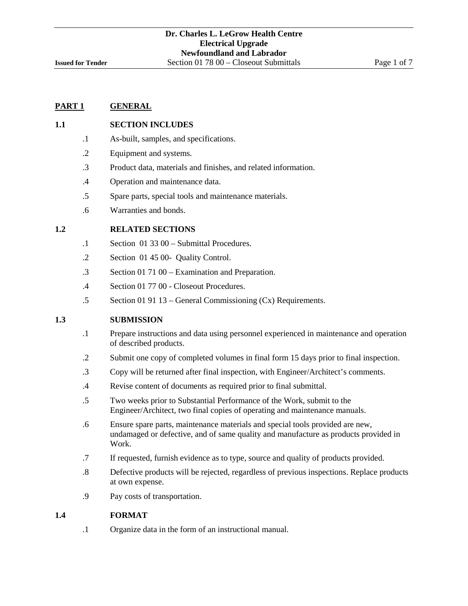#### **1.1 SECTION INCLUDES**

- .1 As-built, samples, and specifications.
- .2 Equipment and systems.
- .3 Product data, materials and finishes, and related information.
- .4 Operation and maintenance data.
- .5 Spare parts, special tools and maintenance materials.
- .6 Warranties and bonds.

### **1.2 RELATED SECTIONS**

- .1 Section 01 33 00 Submittal Procedures.
- .2 Section 01 45 00- Quality Control.
- .3 Section 01 71 00 Examination and Preparation.
- .4 Section 01 77 00 Closeout Procedures.
- .5 Section 01 91 13 General Commissioning (Cx) Requirements.

### **1.3 SUBMISSION**

- .1 Prepare instructions and data using personnel experienced in maintenance and operation of described products.
- .2 Submit one copy of completed volumes in final form 15 days prior to final inspection.
- .3 Copy will be returned after final inspection, with Engineer/Architect's comments.
- .4 Revise content of documents as required prior to final submittal.
- .5 Two weeks prior to Substantial Performance of the Work, submit to the Engineer/Architect, two final copies of operating and maintenance manuals.
- .6 Ensure spare parts, maintenance materials and special tools provided are new, undamaged or defective, and of same quality and manufacture as products provided in Work.
- .7 If requested, furnish evidence as to type, source and quality of products provided.
- .8 Defective products will be rejected, regardless of previous inspections. Replace products at own expense.
- .9 Pay costs of transportation.

### **1.4 FORMAT**

.1 Organize data in the form of an instructional manual.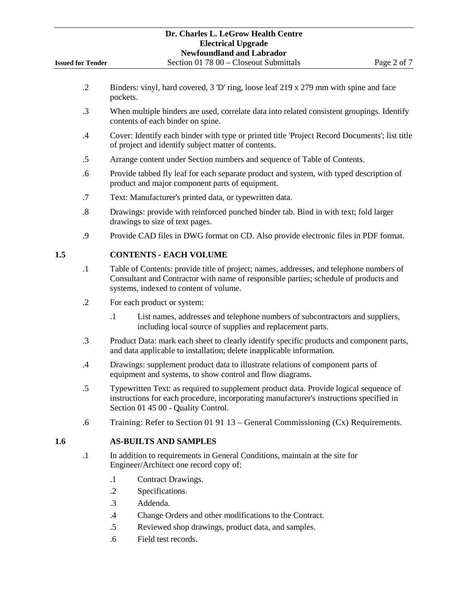- .2 Binders: vinyl, hard covered, 3 'D' ring, loose leaf 219 x 279 mm with spine and face pockets.
- .3 When multiple binders are used, correlate data into related consistent groupings. Identify contents of each binder on spine.
- .4 Cover: Identify each binder with type or printed title 'Project Record Documents'; list title of project and identify subject matter of contents.
- .5 Arrange content under Section numbers and sequence of Table of Contents.
- .6 Provide tabbed fly leaf for each separate product and system, with typed description of product and major component parts of equipment.
- .7 Text: Manufacturer's printed data, or typewritten data.
- .8 Drawings: provide with reinforced punched binder tab. Bind in with text; fold larger drawings to size of text pages.
- .9 Provide CAD files in DWG format on CD. Also provide electronic files in PDF format.

## **1.5 CONTENTS - EACH VOLUME**

- .1 Table of Contents: provide title of project; names, addresses, and telephone numbers of Consultant and Contractor with name of responsible parties; schedule of products and systems, indexed to content of volume.
- .2 For each product or system:
	- .1 List names, addresses and telephone numbers of subcontractors and suppliers, including local source of supplies and replacement parts.
- .3 Product Data: mark each sheet to clearly identify specific products and component parts, and data applicable to installation; delete inapplicable information.
- .4 Drawings: supplement product data to illustrate relations of component parts of equipment and systems, to show control and flow diagrams.
- .5 Typewritten Text: as required to supplement product data. Provide logical sequence of instructions for each procedure, incorporating manufacturer's instructions specified in Section 01 45 00 - Quality Control.
- .6 Training: Refer to Section 01 91 13 General Commissioning (Cx) Requirements.

## **1.6 AS-BUILTS AND SAMPLES**

- .1 In addition to requirements in General Conditions, maintain at the site for Engineer/Architect one record copy of:
	- .1 Contract Drawings.
	- .2 Specifications.
	- .3 Addenda.
	- .4 Change Orders and other modifications to the Contract.
	- .5 Reviewed shop drawings, product data, and samples.
	- .6 Field test records.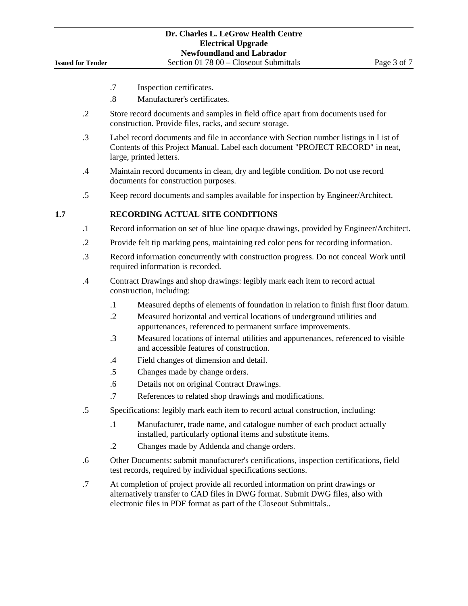- .7 Inspection certificates.
- .8 Manufacturer's certificates.
- .2 Store record documents and samples in field office apart from documents used for construction. Provide files, racks, and secure storage.
- .3 Label record documents and file in accordance with Section number listings in List of Contents of this Project Manual. Label each document "PROJECT RECORD" in neat, large, printed letters.
- .4 Maintain record documents in clean, dry and legible condition. Do not use record documents for construction purposes.
- .5 Keep record documents and samples available for inspection by Engineer/Architect.

### **1.7 RECORDING ACTUAL SITE CONDITIONS**

- .1 Record information on set of blue line opaque drawings, provided by Engineer/Architect.
- .2 Provide felt tip marking pens, maintaining red color pens for recording information.
- .3 Record information concurrently with construction progress. Do not conceal Work until required information is recorded.
- .4 Contract Drawings and shop drawings: legibly mark each item to record actual construction, including:
	- .1 Measured depths of elements of foundation in relation to finish first floor datum.
	- .2 Measured horizontal and vertical locations of underground utilities and appurtenances, referenced to permanent surface improvements.
	- .3 Measured locations of internal utilities and appurtenances, referenced to visible and accessible features of construction.
	- .4 Field changes of dimension and detail.
	- .5 Changes made by change orders.
	- .6 Details not on original Contract Drawings.
	- .7 References to related shop drawings and modifications.
- .5 Specifications: legibly mark each item to record actual construction, including:
	- .1 Manufacturer, trade name, and catalogue number of each product actually installed, particularly optional items and substitute items.
	- .2 Changes made by Addenda and change orders.
- .6 Other Documents: submit manufacturer's certifications, inspection certifications, field test records, required by individual specifications sections.
- .7 At completion of project provide all recorded information on print drawings or alternatively transfer to CAD files in DWG format. Submit DWG files, also with electronic files in PDF format as part of the Closeout Submittals..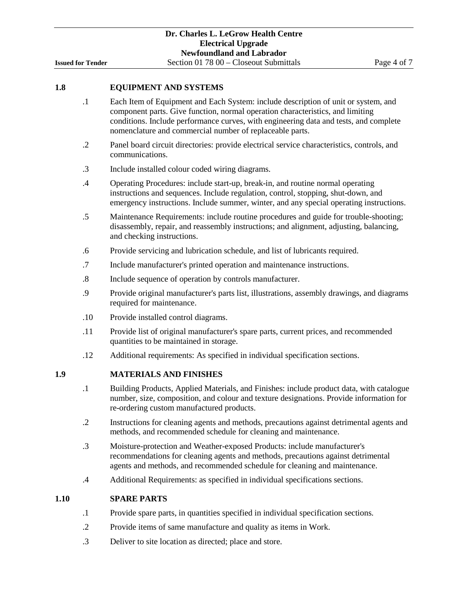## **1.8 EQUIPMENT AND SYSTEMS**

- .1 Each Item of Equipment and Each System: include description of unit or system, and component parts. Give function, normal operation characteristics, and limiting conditions. Include performance curves, with engineering data and tests, and complete nomenclature and commercial number of replaceable parts.
- .2 Panel board circuit directories: provide electrical service characteristics, controls, and communications.
- .3 Include installed colour coded wiring diagrams.
- .4 Operating Procedures: include start-up, break-in, and routine normal operating instructions and sequences. Include regulation, control, stopping, shut-down, and emergency instructions. Include summer, winter, and any special operating instructions.
- .5 Maintenance Requirements: include routine procedures and guide for trouble-shooting; disassembly, repair, and reassembly instructions; and alignment, adjusting, balancing, and checking instructions.
- .6 Provide servicing and lubrication schedule, and list of lubricants required.
- .7 Include manufacturer's printed operation and maintenance instructions.
- .8 Include sequence of operation by controls manufacturer.
- .9 Provide original manufacturer's parts list, illustrations, assembly drawings, and diagrams required for maintenance.
- .10 Provide installed control diagrams.
- .11 Provide list of original manufacturer's spare parts, current prices, and recommended quantities to be maintained in storage.
- .12 Additional requirements: As specified in individual specification sections.

## **1.9 MATERIALS AND FINISHES**

- .1 Building Products, Applied Materials, and Finishes: include product data, with catalogue number, size, composition, and colour and texture designations. Provide information for re-ordering custom manufactured products.
- .2 Instructions for cleaning agents and methods, precautions against detrimental agents and methods, and recommended schedule for cleaning and maintenance.
- .3 Moisture-protection and Weather-exposed Products: include manufacturer's recommendations for cleaning agents and methods, precautions against detrimental agents and methods, and recommended schedule for cleaning and maintenance.
- .4 Additional Requirements: as specified in individual specifications sections.

#### **1.10 SPARE PARTS**

- .1 Provide spare parts, in quantities specified in individual specification sections.
- .2 Provide items of same manufacture and quality as items in Work.
- .3 Deliver to site location as directed; place and store.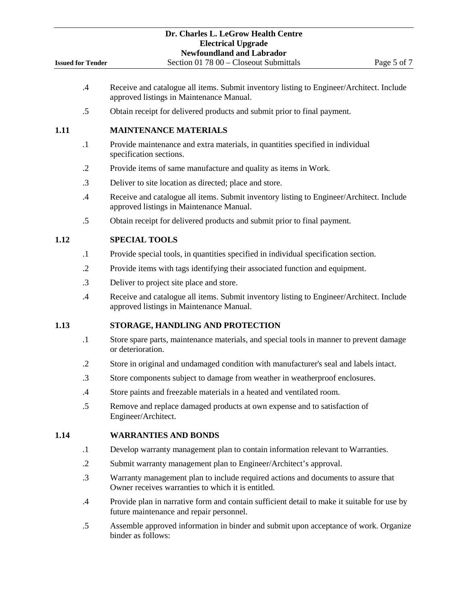|                          | Dr. Charles L. LeGrow Health Centre<br><b>Electrical Upgrade</b><br><b>Newfoundland and Labrador</b>                                    |
|--------------------------|-----------------------------------------------------------------------------------------------------------------------------------------|
| <b>Issued for Tender</b> | Section 01 78 00 - Closeout Submittals<br>Page 5 of 7                                                                                   |
| .4                       | Receive and catalogue all items. Submit inventory listing to Engineer/Architect. Include<br>approved listings in Maintenance Manual.    |
| .5                       | Obtain receipt for delivered products and submit prior to final payment.                                                                |
| 1.11                     | <b>MAINTENANCE MATERIALS</b>                                                                                                            |
| $\cdot$ 1                | Provide maintenance and extra materials, in quantities specified in individual<br>specification sections.                               |
| $\cdot$ .2               | Provide items of same manufacture and quality as items in Work.                                                                         |
| $\cdot$ 3                | Deliver to site location as directed; place and store.                                                                                  |
| .4                       | Receive and catalogue all items. Submit inventory listing to Engineer/Architect. Include<br>approved listings in Maintenance Manual.    |
| $.5\,$                   | Obtain receipt for delivered products and submit prior to final payment.                                                                |
| 1.12                     | <b>SPECIAL TOOLS</b>                                                                                                                    |
| $\cdot$ 1                | Provide special tools, in quantities specified in individual specification section.                                                     |
| $\cdot$ .2               | Provide items with tags identifying their associated function and equipment.                                                            |
| $\cdot$ 3                | Deliver to project site place and store.                                                                                                |
| .4                       | Receive and catalogue all items. Submit inventory listing to Engineer/Architect. Include<br>approved listings in Maintenance Manual.    |
| 1.13                     | STORAGE, HANDLING AND PROTECTION                                                                                                        |
| $\cdot$                  | Store spare parts, maintenance materials, and special tools in manner to prevent damage<br>or deterioration.                            |
| $\cdot$                  | Store in original and undamaged condition with manufacturer's seal and labels intact.                                                   |
| $\cdot$ 3                | Store components subject to damage from weather in weatherproof enclosures.                                                             |
| $\cdot$ 4                | Store paints and freezable materials in a heated and ventilated room.                                                                   |
| $.5\,$                   | Remove and replace damaged products at own expense and to satisfaction of<br>Engineer/Architect.                                        |
| 1.14                     | <b>WARRANTIES AND BONDS</b>                                                                                                             |
| $\cdot$ 1                | Develop warranty management plan to contain information relevant to Warranties.                                                         |
| $\cdot$ .2               | Submit warranty management plan to Engineer/Architect's approval.                                                                       |
| $\cdot$ 3                | Warranty management plan to include required actions and documents to assure that<br>Owner receives warranties to which it is entitled. |
| $.4\,$                   | Provide plan in narrative form and contain sufficient detail to make it suitable for use by<br>future maintenance and repair personnel. |
| $.5\,$                   | Assemble approved information in binder and submit upon acceptance of work. Organize<br>binder as follows:                              |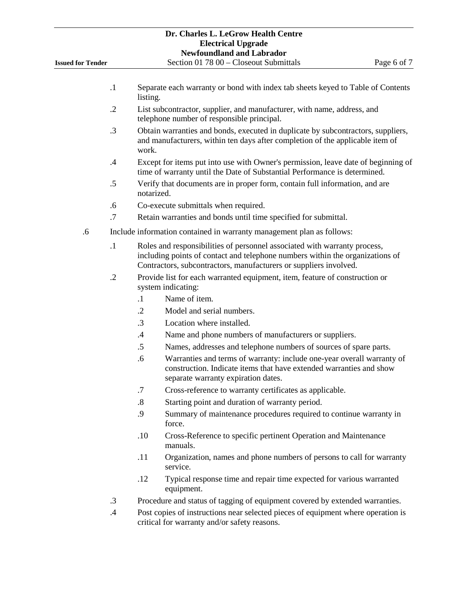| Dr. Charles L. LeGrow Health Centre<br><b>Electrical Upgrade</b><br><b>Newfoundland and Labrador</b> |            |                   |                                              |                                                                       |                                                                                                                                                                   |
|------------------------------------------------------------------------------------------------------|------------|-------------------|----------------------------------------------|-----------------------------------------------------------------------|-------------------------------------------------------------------------------------------------------------------------------------------------------------------|
| <b>Issued for Tender</b>                                                                             |            |                   |                                              | Section 01 78 00 - Closeout Submittals                                | Page 6 of 7                                                                                                                                                       |
|                                                                                                      | $\cdot$ 1  | listing.          |                                              |                                                                       | Separate each warranty or bond with index tab sheets keyed to Table of Contents                                                                                   |
|                                                                                                      | $\cdot$ .2 |                   | telephone number of responsible principal.   |                                                                       | List subcontractor, supplier, and manufacturer, with name, address, and                                                                                           |
|                                                                                                      | .3         | work.             |                                              |                                                                       | Obtain warranties and bonds, executed in duplicate by subcontractors, suppliers,<br>and manufacturers, within ten days after completion of the applicable item of |
|                                                                                                      | $\cdot$ 4  |                   |                                              |                                                                       | Except for items put into use with Owner's permission, leave date of beginning of<br>time of warranty until the Date of Substantial Performance is determined.    |
|                                                                                                      | .5         | notarized.        |                                              |                                                                       | Verify that documents are in proper form, contain full information, and are                                                                                       |
|                                                                                                      | .6         |                   | Co-execute submittals when required.         |                                                                       |                                                                                                                                                                   |
|                                                                                                      | .7         |                   |                                              | Retain warranties and bonds until time specified for submittal.       |                                                                                                                                                                   |
| .6                                                                                                   |            |                   |                                              | Include information contained in warranty management plan as follows: |                                                                                                                                                                   |
|                                                                                                      | $\cdot$    |                   |                                              | Contractors, subcontractors, manufacturers or suppliers involved.     | Roles and responsibilities of personnel associated with warranty process,<br>including points of contact and telephone numbers within the organizations of        |
|                                                                                                      | $\cdot$ .2 |                   | system indicating:                           |                                                                       | Provide list for each warranted equipment, item, feature of construction or                                                                                       |
|                                                                                                      |            | $\cdot$ 1         | Name of item.                                |                                                                       |                                                                                                                                                                   |
|                                                                                                      |            | $\cdot$ .2        | Model and serial numbers.                    |                                                                       |                                                                                                                                                                   |
|                                                                                                      |            | $\cdot$ 3         | Location where installed.                    |                                                                       |                                                                                                                                                                   |
|                                                                                                      |            | $.4\,$            |                                              | Name and phone numbers of manufacturers or suppliers.                 |                                                                                                                                                                   |
|                                                                                                      |            | .5                |                                              |                                                                       | Names, addresses and telephone numbers of sources of spare parts.                                                                                                 |
|                                                                                                      |            | .6                | separate warranty expiration dates.          |                                                                       | Warranties and terms of warranty: include one-year overall warranty of<br>construction. Indicate items that have extended warranties and show                     |
|                                                                                                      |            | .7                |                                              | Cross-reference to warranty certificates as applicable.               |                                                                                                                                                                   |
|                                                                                                      |            | $\boldsymbol{.8}$ |                                              | Starting point and duration of warranty period.                       |                                                                                                                                                                   |
|                                                                                                      |            | .9                | force.                                       |                                                                       | Summary of maintenance procedures required to continue warranty in                                                                                                |
|                                                                                                      |            | .10               | manuals.                                     |                                                                       | Cross-Reference to specific pertinent Operation and Maintenance                                                                                                   |
|                                                                                                      |            | .11               | service.                                     |                                                                       | Organization, names and phone numbers of persons to call for warranty                                                                                             |
|                                                                                                      |            | .12               | equipment.                                   |                                                                       | Typical response time and repair time expected for various warranted                                                                                              |
|                                                                                                      | .3         |                   |                                              |                                                                       | Procedure and status of tagging of equipment covered by extended warranties.                                                                                      |
|                                                                                                      | $\cdot$ 4  |                   | critical for warranty and/or safety reasons. |                                                                       | Post copies of instructions near selected pieces of equipment where operation is                                                                                  |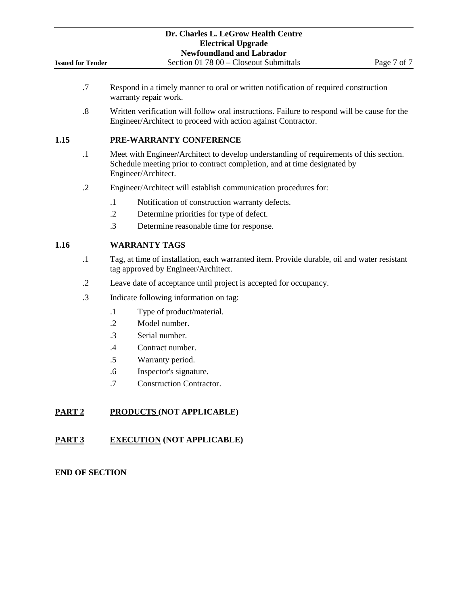- .7 Respond in a timely manner to oral or written notification of required construction warranty repair work.
- .8 Written verification will follow oral instructions. Failure to respond will be cause for the Engineer/Architect to proceed with action against Contractor.

## **1.15 PRE-WARRANTY CONFERENCE**

- .1 Meet with Engineer/Architect to develop understanding of requirements of this section. Schedule meeting prior to contract completion, and at time designated by Engineer/Architect.
- .2 Engineer/Architect will establish communication procedures for:
	- .1 Notification of construction warranty defects.
	- .2 Determine priorities for type of defect.
	- .3 Determine reasonable time for response.

## **1.16 WARRANTY TAGS**

- .1 Tag, at time of installation, each warranted item. Provide durable, oil and water resistant tag approved by Engineer/Architect.
- .2 Leave date of acceptance until project is accepted for occupancy.
- .3 Indicate following information on tag:
	- .1 Type of product/material.
	- .2 Model number.
	- .3 Serial number.
	- .4 Contract number.
	- .5 Warranty period.
	- .6 Inspector's signature.
	- .7 Construction Contractor.

## **PART 2 PRODUCTS (NOT APPLICABLE)**

# **PART 3 EXECUTION (NOT APPLICABLE)**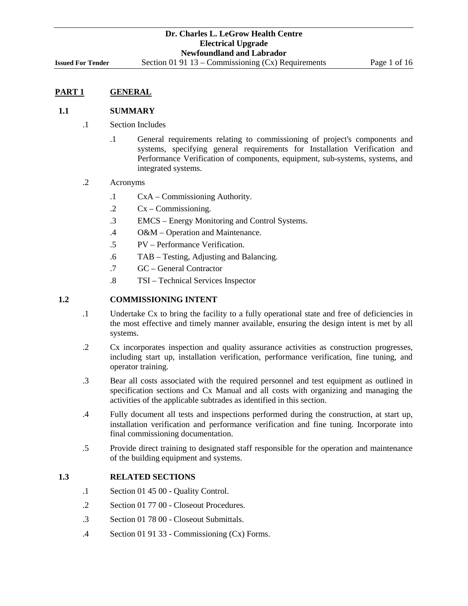## **1.1 SUMMARY**

- .1 Section Includes
	- .1 General requirements relating to commissioning of project's components and systems, specifying general requirements for Installation Verification and Performance Verification of components, equipment, sub-systems, systems, and integrated systems.
- .2 Acronyms
	- .1 CxA Commissioning Authority.
	- .2 Cx Commissioning.
	- .3 EMCS Energy Monitoring and Control Systems.
	- .4 O&M Operation and Maintenance.
	- .5 PV Performance Verification.
	- .6 TAB Testing, Adjusting and Balancing.
	- .7 GC General Contractor
	- .8 TSI Technical Services Inspector

## **1.2 COMMISSIONING INTENT**

- .1 Undertake Cx to bring the facility to a fully operational state and free of deficiencies in the most effective and timely manner available, ensuring the design intent is met by all systems.
- .2 Cx incorporates inspection and quality assurance activities as construction progresses, including start up, installation verification, performance verification, fine tuning, and operator training.
- .3 Bear all costs associated with the required personnel and test equipment as outlined in specification sections and Cx Manual and all costs with organizing and managing the activities of the applicable subtrades as identified in this section.
- .4 Fully document all tests and inspections performed during the construction, at start up, installation verification and performance verification and fine tuning. Incorporate into final commissioning documentation.
- .5 Provide direct training to designated staff responsible for the operation and maintenance of the building equipment and systems.

## **1.3 RELATED SECTIONS**

- .1 Section 01 45 00 Quality Control.
- .2 Section 01 77 00 Closeout Procedures.
- .3 Section 01 78 00 Closeout Submittals.
- .4 Section 01 91 33 Commissioning (Cx) Forms.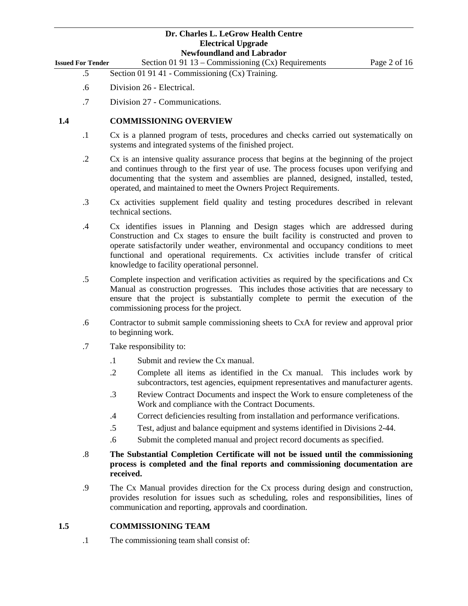| <b>Issued For Tender</b> | Section 01 91 13 – Commissioning $(Cx)$ Requirements | Page 2 of 16 |
|--------------------------|------------------------------------------------------|--------------|
|                          |                                                      |              |

- .5 Section 01 91 41 Commissioning (Cx) Training.
- .6 Division 26 Electrical.
- .7 Division 27 Communications.

## **1.4 COMMISSIONING OVERVIEW**

- .1 Cx is a planned program of tests, procedures and checks carried out systematically on systems and integrated systems of the finished project.
- .2 Cx is an intensive quality assurance process that begins at the beginning of the project and continues through to the first year of use. The process focuses upon verifying and documenting that the system and assemblies are planned, designed, installed, tested, operated, and maintained to meet the Owners Project Requirements.
- .3 Cx activities supplement field quality and testing procedures described in relevant technical sections.
- .4 Cx identifies issues in Planning and Design stages which are addressed during Construction and Cx stages to ensure the built facility is constructed and proven to operate satisfactorily under weather, environmental and occupancy conditions to meet functional and operational requirements. Cx activities include transfer of critical knowledge to facility operational personnel.
- .5 Complete inspection and verification activities as required by the specifications and Cx Manual as construction progresses. This includes those activities that are necessary to ensure that the project is substantially complete to permit the execution of the commissioning process for the project.
- .6 Contractor to submit sample commissioning sheets to CxA for review and approval prior to beginning work.
- .7 Take responsibility to:
	- .1 Submit and review the Cx manual.
	- .2 Complete all items as identified in the Cx manual. This includes work by subcontractors, test agencies, equipment representatives and manufacturer agents.
	- .3 Review Contract Documents and inspect the Work to ensure completeness of the Work and compliance with the Contract Documents.
	- .4 Correct deficiencies resulting from installation and performance verifications.
	- .5 Test, adjust and balance equipment and systems identified in Divisions 2-44.
	- .6 Submit the completed manual and project record documents as specified.
- .8 **The Substantial Completion Certificate will not be issued until the commissioning process is completed and the final reports and commissioning documentation are received.**
- .9 The Cx Manual provides direction for the Cx process during design and construction, provides resolution for issues such as scheduling, roles and responsibilities, lines of communication and reporting, approvals and coordination.

## **1.5 COMMISSIONING TEAM**

.1 The commissioning team shall consist of: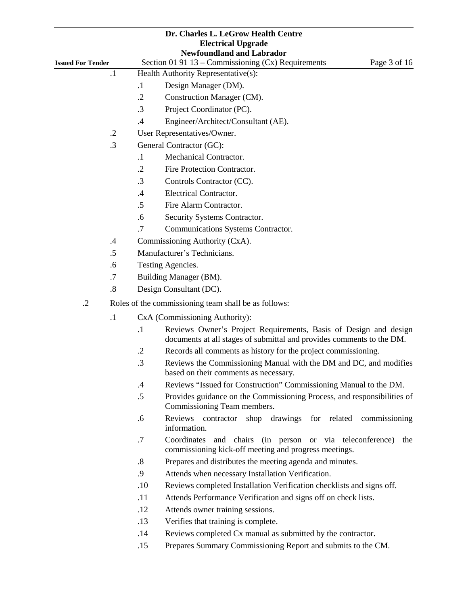| <b>Newfoundland and Labrador</b><br>Section 01 91 13 - Commissioning (Cx) Requirements<br><b>Issued For Tender</b><br>$\cdot$<br>Health Authority Representative(s):<br>Design Manager (DM).<br>$\cdot$ 1<br>$\cdot$ .2<br>Construction Manager (CM).<br>$\cdot$ 3<br>Project Coordinator (PC).<br>.4<br>Engineer/Architect/Consultant (AE).<br>User Representatives/Owner.<br>$\cdot$ .2<br>$\cdot$ 3<br>General Contractor (GC):<br>Mechanical Contractor.<br>$\cdot$<br>$\cdot$ .2<br>Fire Protection Contractor.<br>$\cdot$ 3<br>Controls Contractor (CC).<br>Electrical Contractor.<br>.4<br>.5<br>Fire Alarm Contractor.<br>.6<br>Security Systems Contractor.<br>.7<br>Communications Systems Contractor.<br>Commissioning Authority (CxA).<br>$\cdot$<br>Manufacturer's Technicians.<br>.5<br>.6<br>Testing Agencies.<br>.7<br>Building Manager (BM).<br>.8<br>Design Consultant (DC).<br>$\cdot$ .2<br>Roles of the commissioning team shall be as follows:<br>$\cdot$ 1<br>CxA (Commissioning Authority):<br>$\cdot$ 1<br>documents at all stages of submittal and provides comments to the DM.<br>$\cdot$ .2<br>Records all comments as history for the project commissioning.<br>.3<br>based on their comments as necessary.<br>Reviews "Issued for Construction" Commissioning Manual to the DM.<br>$\cdot$<br>$.5\,$<br>Commissioning Team members.<br>Reviews contractor<br>.6<br>information.<br>.7<br>Coordinates<br>commissioning kick-off meeting and progress meetings.<br>$\boldsymbol{.8}$<br>Prepares and distributes the meeting agenda and minutes.<br>.9<br>Attends when necessary Installation Verification.<br>.10<br>Reviews completed Installation Verification checklists and signs off.<br>.11<br>Attends Performance Verification and signs off on check lists. |  |     | Dr. Charles L. LeGrow Health Centre<br><b>Electrical Upgrade</b>        |
|--------------------------------------------------------------------------------------------------------------------------------------------------------------------------------------------------------------------------------------------------------------------------------------------------------------------------------------------------------------------------------------------------------------------------------------------------------------------------------------------------------------------------------------------------------------------------------------------------------------------------------------------------------------------------------------------------------------------------------------------------------------------------------------------------------------------------------------------------------------------------------------------------------------------------------------------------------------------------------------------------------------------------------------------------------------------------------------------------------------------------------------------------------------------------------------------------------------------------------------------------------------------------------------------------------------------------------------------------------------------------------------------------------------------------------------------------------------------------------------------------------------------------------------------------------------------------------------------------------------------------------------------------------------------------------------------------------------------------------------------------------------------------------------------------|--|-----|-------------------------------------------------------------------------|
|                                                                                                                                                                                                                                                                                                                                                                                                                                                                                                                                                                                                                                                                                                                                                                                                                                                                                                                                                                                                                                                                                                                                                                                                                                                                                                                                                                                                                                                                                                                                                                                                                                                                                                                                                                                                  |  |     |                                                                         |
|                                                                                                                                                                                                                                                                                                                                                                                                                                                                                                                                                                                                                                                                                                                                                                                                                                                                                                                                                                                                                                                                                                                                                                                                                                                                                                                                                                                                                                                                                                                                                                                                                                                                                                                                                                                                  |  |     | Page 3 of 16                                                            |
|                                                                                                                                                                                                                                                                                                                                                                                                                                                                                                                                                                                                                                                                                                                                                                                                                                                                                                                                                                                                                                                                                                                                                                                                                                                                                                                                                                                                                                                                                                                                                                                                                                                                                                                                                                                                  |  |     |                                                                         |
|                                                                                                                                                                                                                                                                                                                                                                                                                                                                                                                                                                                                                                                                                                                                                                                                                                                                                                                                                                                                                                                                                                                                                                                                                                                                                                                                                                                                                                                                                                                                                                                                                                                                                                                                                                                                  |  |     |                                                                         |
|                                                                                                                                                                                                                                                                                                                                                                                                                                                                                                                                                                                                                                                                                                                                                                                                                                                                                                                                                                                                                                                                                                                                                                                                                                                                                                                                                                                                                                                                                                                                                                                                                                                                                                                                                                                                  |  |     |                                                                         |
|                                                                                                                                                                                                                                                                                                                                                                                                                                                                                                                                                                                                                                                                                                                                                                                                                                                                                                                                                                                                                                                                                                                                                                                                                                                                                                                                                                                                                                                                                                                                                                                                                                                                                                                                                                                                  |  |     |                                                                         |
|                                                                                                                                                                                                                                                                                                                                                                                                                                                                                                                                                                                                                                                                                                                                                                                                                                                                                                                                                                                                                                                                                                                                                                                                                                                                                                                                                                                                                                                                                                                                                                                                                                                                                                                                                                                                  |  |     |                                                                         |
|                                                                                                                                                                                                                                                                                                                                                                                                                                                                                                                                                                                                                                                                                                                                                                                                                                                                                                                                                                                                                                                                                                                                                                                                                                                                                                                                                                                                                                                                                                                                                                                                                                                                                                                                                                                                  |  |     |                                                                         |
|                                                                                                                                                                                                                                                                                                                                                                                                                                                                                                                                                                                                                                                                                                                                                                                                                                                                                                                                                                                                                                                                                                                                                                                                                                                                                                                                                                                                                                                                                                                                                                                                                                                                                                                                                                                                  |  |     |                                                                         |
|                                                                                                                                                                                                                                                                                                                                                                                                                                                                                                                                                                                                                                                                                                                                                                                                                                                                                                                                                                                                                                                                                                                                                                                                                                                                                                                                                                                                                                                                                                                                                                                                                                                                                                                                                                                                  |  |     |                                                                         |
|                                                                                                                                                                                                                                                                                                                                                                                                                                                                                                                                                                                                                                                                                                                                                                                                                                                                                                                                                                                                                                                                                                                                                                                                                                                                                                                                                                                                                                                                                                                                                                                                                                                                                                                                                                                                  |  |     |                                                                         |
|                                                                                                                                                                                                                                                                                                                                                                                                                                                                                                                                                                                                                                                                                                                                                                                                                                                                                                                                                                                                                                                                                                                                                                                                                                                                                                                                                                                                                                                                                                                                                                                                                                                                                                                                                                                                  |  |     |                                                                         |
|                                                                                                                                                                                                                                                                                                                                                                                                                                                                                                                                                                                                                                                                                                                                                                                                                                                                                                                                                                                                                                                                                                                                                                                                                                                                                                                                                                                                                                                                                                                                                                                                                                                                                                                                                                                                  |  |     |                                                                         |
|                                                                                                                                                                                                                                                                                                                                                                                                                                                                                                                                                                                                                                                                                                                                                                                                                                                                                                                                                                                                                                                                                                                                                                                                                                                                                                                                                                                                                                                                                                                                                                                                                                                                                                                                                                                                  |  |     |                                                                         |
|                                                                                                                                                                                                                                                                                                                                                                                                                                                                                                                                                                                                                                                                                                                                                                                                                                                                                                                                                                                                                                                                                                                                                                                                                                                                                                                                                                                                                                                                                                                                                                                                                                                                                                                                                                                                  |  |     |                                                                         |
|                                                                                                                                                                                                                                                                                                                                                                                                                                                                                                                                                                                                                                                                                                                                                                                                                                                                                                                                                                                                                                                                                                                                                                                                                                                                                                                                                                                                                                                                                                                                                                                                                                                                                                                                                                                                  |  |     |                                                                         |
|                                                                                                                                                                                                                                                                                                                                                                                                                                                                                                                                                                                                                                                                                                                                                                                                                                                                                                                                                                                                                                                                                                                                                                                                                                                                                                                                                                                                                                                                                                                                                                                                                                                                                                                                                                                                  |  |     |                                                                         |
|                                                                                                                                                                                                                                                                                                                                                                                                                                                                                                                                                                                                                                                                                                                                                                                                                                                                                                                                                                                                                                                                                                                                                                                                                                                                                                                                                                                                                                                                                                                                                                                                                                                                                                                                                                                                  |  |     |                                                                         |
|                                                                                                                                                                                                                                                                                                                                                                                                                                                                                                                                                                                                                                                                                                                                                                                                                                                                                                                                                                                                                                                                                                                                                                                                                                                                                                                                                                                                                                                                                                                                                                                                                                                                                                                                                                                                  |  |     |                                                                         |
|                                                                                                                                                                                                                                                                                                                                                                                                                                                                                                                                                                                                                                                                                                                                                                                                                                                                                                                                                                                                                                                                                                                                                                                                                                                                                                                                                                                                                                                                                                                                                                                                                                                                                                                                                                                                  |  |     |                                                                         |
|                                                                                                                                                                                                                                                                                                                                                                                                                                                                                                                                                                                                                                                                                                                                                                                                                                                                                                                                                                                                                                                                                                                                                                                                                                                                                                                                                                                                                                                                                                                                                                                                                                                                                                                                                                                                  |  |     |                                                                         |
|                                                                                                                                                                                                                                                                                                                                                                                                                                                                                                                                                                                                                                                                                                                                                                                                                                                                                                                                                                                                                                                                                                                                                                                                                                                                                                                                                                                                                                                                                                                                                                                                                                                                                                                                                                                                  |  |     |                                                                         |
|                                                                                                                                                                                                                                                                                                                                                                                                                                                                                                                                                                                                                                                                                                                                                                                                                                                                                                                                                                                                                                                                                                                                                                                                                                                                                                                                                                                                                                                                                                                                                                                                                                                                                                                                                                                                  |  |     |                                                                         |
|                                                                                                                                                                                                                                                                                                                                                                                                                                                                                                                                                                                                                                                                                                                                                                                                                                                                                                                                                                                                                                                                                                                                                                                                                                                                                                                                                                                                                                                                                                                                                                                                                                                                                                                                                                                                  |  |     | Reviews Owner's Project Requirements, Basis of Design and design        |
|                                                                                                                                                                                                                                                                                                                                                                                                                                                                                                                                                                                                                                                                                                                                                                                                                                                                                                                                                                                                                                                                                                                                                                                                                                                                                                                                                                                                                                                                                                                                                                                                                                                                                                                                                                                                  |  |     |                                                                         |
|                                                                                                                                                                                                                                                                                                                                                                                                                                                                                                                                                                                                                                                                                                                                                                                                                                                                                                                                                                                                                                                                                                                                                                                                                                                                                                                                                                                                                                                                                                                                                                                                                                                                                                                                                                                                  |  |     | Reviews the Commissioning Manual with the DM and DC, and modifies       |
|                                                                                                                                                                                                                                                                                                                                                                                                                                                                                                                                                                                                                                                                                                                                                                                                                                                                                                                                                                                                                                                                                                                                                                                                                                                                                                                                                                                                                                                                                                                                                                                                                                                                                                                                                                                                  |  |     |                                                                         |
|                                                                                                                                                                                                                                                                                                                                                                                                                                                                                                                                                                                                                                                                                                                                                                                                                                                                                                                                                                                                                                                                                                                                                                                                                                                                                                                                                                                                                                                                                                                                                                                                                                                                                                                                                                                                  |  |     | Provides guidance on the Commissioning Process, and responsibilities of |
|                                                                                                                                                                                                                                                                                                                                                                                                                                                                                                                                                                                                                                                                                                                                                                                                                                                                                                                                                                                                                                                                                                                                                                                                                                                                                                                                                                                                                                                                                                                                                                                                                                                                                                                                                                                                  |  |     | shop drawings for related commissioning                                 |
|                                                                                                                                                                                                                                                                                                                                                                                                                                                                                                                                                                                                                                                                                                                                                                                                                                                                                                                                                                                                                                                                                                                                                                                                                                                                                                                                                                                                                                                                                                                                                                                                                                                                                                                                                                                                  |  |     | and chairs (in person or via teleconference) the                        |
|                                                                                                                                                                                                                                                                                                                                                                                                                                                                                                                                                                                                                                                                                                                                                                                                                                                                                                                                                                                                                                                                                                                                                                                                                                                                                                                                                                                                                                                                                                                                                                                                                                                                                                                                                                                                  |  |     |                                                                         |
|                                                                                                                                                                                                                                                                                                                                                                                                                                                                                                                                                                                                                                                                                                                                                                                                                                                                                                                                                                                                                                                                                                                                                                                                                                                                                                                                                                                                                                                                                                                                                                                                                                                                                                                                                                                                  |  |     |                                                                         |
|                                                                                                                                                                                                                                                                                                                                                                                                                                                                                                                                                                                                                                                                                                                                                                                                                                                                                                                                                                                                                                                                                                                                                                                                                                                                                                                                                                                                                                                                                                                                                                                                                                                                                                                                                                                                  |  |     |                                                                         |
|                                                                                                                                                                                                                                                                                                                                                                                                                                                                                                                                                                                                                                                                                                                                                                                                                                                                                                                                                                                                                                                                                                                                                                                                                                                                                                                                                                                                                                                                                                                                                                                                                                                                                                                                                                                                  |  |     |                                                                         |
|                                                                                                                                                                                                                                                                                                                                                                                                                                                                                                                                                                                                                                                                                                                                                                                                                                                                                                                                                                                                                                                                                                                                                                                                                                                                                                                                                                                                                                                                                                                                                                                                                                                                                                                                                                                                  |  | .12 | Attends owner training sessions.                                        |
| .13<br>Verifies that training is complete.                                                                                                                                                                                                                                                                                                                                                                                                                                                                                                                                                                                                                                                                                                                                                                                                                                                                                                                                                                                                                                                                                                                                                                                                                                                                                                                                                                                                                                                                                                                                                                                                                                                                                                                                                       |  |     |                                                                         |
| .14<br>Reviews completed Cx manual as submitted by the contractor.                                                                                                                                                                                                                                                                                                                                                                                                                                                                                                                                                                                                                                                                                                                                                                                                                                                                                                                                                                                                                                                                                                                                                                                                                                                                                                                                                                                                                                                                                                                                                                                                                                                                                                                               |  |     |                                                                         |
| Prepares Summary Commissioning Report and submits to the CM.<br>.15                                                                                                                                                                                                                                                                                                                                                                                                                                                                                                                                                                                                                                                                                                                                                                                                                                                                                                                                                                                                                                                                                                                                                                                                                                                                                                                                                                                                                                                                                                                                                                                                                                                                                                                              |  |     |                                                                         |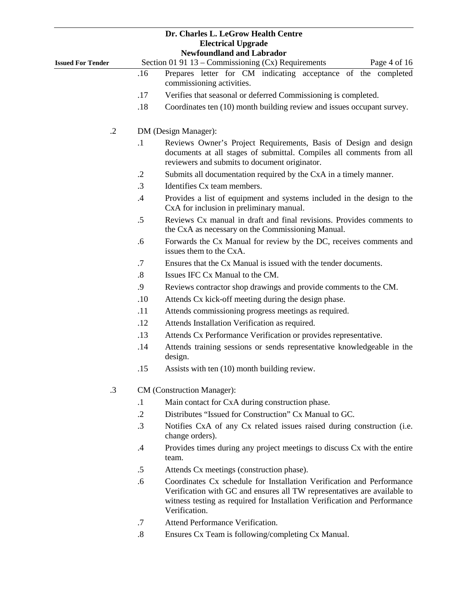|                          |                   | Dr. Charles L. LeGrow Health Centre<br><b>Electrical Upgrade</b><br><b>Newfoundland and Labrador</b>                                                                                                                                            |
|--------------------------|-------------------|-------------------------------------------------------------------------------------------------------------------------------------------------------------------------------------------------------------------------------------------------|
| <b>Issued For Tender</b> |                   | Section 01 91 13 - Commissioning (Cx) Requirements<br>Page 4 of 16                                                                                                                                                                              |
|                          | .16               | Prepares letter for CM indicating acceptance of the completed<br>commissioning activities.                                                                                                                                                      |
|                          | .17               | Verifies that seasonal or deferred Commissioning is completed.                                                                                                                                                                                  |
|                          | .18               | Coordinates ten (10) month building review and issues occupant survey.                                                                                                                                                                          |
| $\cdot$ .2               |                   | DM (Design Manager):                                                                                                                                                                                                                            |
|                          | $\cdot$           | Reviews Owner's Project Requirements, Basis of Design and design<br>documents at all stages of submittal. Compiles all comments from all<br>reviewers and submits to document originator.                                                       |
|                          | $\cdot$ .2        | Submits all documentation required by the CxA in a timely manner.                                                                                                                                                                               |
|                          | $\cdot$ 3         | Identifies Cx team members.                                                                                                                                                                                                                     |
|                          | $.4\,$            | Provides a list of equipment and systems included in the design to the<br>CxA for inclusion in preliminary manual.                                                                                                                              |
|                          | $.5\,$            | Reviews Cx manual in draft and final revisions. Provides comments to<br>the CxA as necessary on the Commissioning Manual.                                                                                                                       |
|                          | .6                | Forwards the Cx Manual for review by the DC, receives comments and<br>issues them to the CxA.                                                                                                                                                   |
|                          | .7                | Ensures that the Cx Manual is issued with the tender documents.                                                                                                                                                                                 |
|                          | $\boldsymbol{.8}$ | Issues IFC Cx Manual to the CM.                                                                                                                                                                                                                 |
|                          | .9                | Reviews contractor shop drawings and provide comments to the CM.                                                                                                                                                                                |
|                          | .10               | Attends Cx kick-off meeting during the design phase.                                                                                                                                                                                            |
|                          | .11               | Attends commissioning progress meetings as required.                                                                                                                                                                                            |
|                          | .12               | Attends Installation Verification as required.                                                                                                                                                                                                  |
|                          | .13               | Attends Cx Performance Verification or provides representative.                                                                                                                                                                                 |
|                          | .14               | Attends training sessions or sends representative knowledgeable in the<br>design.                                                                                                                                                               |
|                          | .15               | Assists with ten (10) month building review.                                                                                                                                                                                                    |
| .3                       |                   | CM (Construction Manager):                                                                                                                                                                                                                      |
|                          | $\cdot$           | Main contact for CxA during construction phase.                                                                                                                                                                                                 |
|                          | $\cdot$ .2        | Distributes "Issued for Construction" Cx Manual to GC.                                                                                                                                                                                          |
|                          | .3                | Notifies CxA of any Cx related issues raised during construction (i.e.<br>change orders).                                                                                                                                                       |
|                          | .4                | Provides times during any project meetings to discuss Cx with the entire<br>team.                                                                                                                                                               |
|                          | $.5\,$            | Attends Cx meetings (construction phase).                                                                                                                                                                                                       |
|                          | .6                | Coordinates Cx schedule for Installation Verification and Performance<br>Verification with GC and ensures all TW representatives are available to<br>witness testing as required for Installation Verification and Performance<br>Verification. |
|                          | .7                | Attend Performance Verification.                                                                                                                                                                                                                |

.8 Ensures Cx Team is following/completing Cx Manual.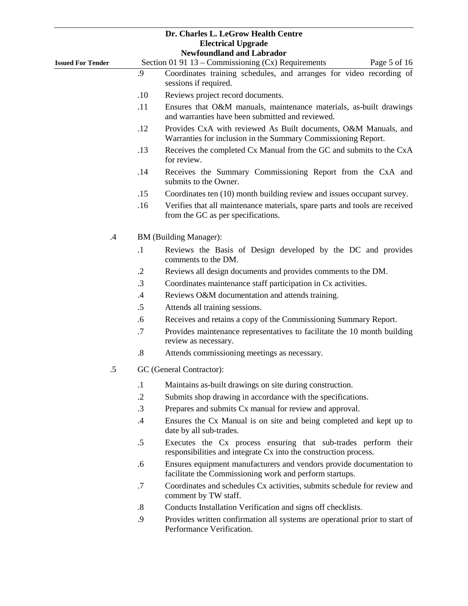|                          |                   | Dr. Charles L. LeGrow Health Centre<br><b>Electrical Upgrade</b><br><b>Newfoundland and Labrador</b>                               |  |  |
|--------------------------|-------------------|------------------------------------------------------------------------------------------------------------------------------------|--|--|
| <b>Issued For Tender</b> |                   | Section 01 91 13 – Commissioning (Cx) Requirements<br>Page 5 of 16                                                                 |  |  |
|                          | .9                | Coordinates training schedules, and arranges for video recording of<br>sessions if required.                                       |  |  |
|                          | .10               | Reviews project record documents.                                                                                                  |  |  |
|                          | .11               | Ensures that O&M manuals, maintenance materials, as-built drawings<br>and warranties have been submitted and reviewed.             |  |  |
|                          | .12               | Provides CxA with reviewed As Built documents, O&M Manuals, and<br>Warranties for inclusion in the Summary Commissioning Report.   |  |  |
|                          | .13               | Receives the completed Cx Manual from the GC and submits to the CxA<br>for review.                                                 |  |  |
|                          | .14               | Receives the Summary Commissioning Report from the CxA and<br>submits to the Owner.                                                |  |  |
|                          | .15               | Coordinates ten (10) month building review and issues occupant survey.                                                             |  |  |
|                          | .16               | Verifies that all maintenance materials, spare parts and tools are received<br>from the GC as per specifications.                  |  |  |
| $.4\,$                   |                   | <b>BM</b> (Building Manager):                                                                                                      |  |  |
|                          | $\cdot$           | Reviews the Basis of Design developed by the DC and provides<br>comments to the DM.                                                |  |  |
|                          | $\cdot$ .2        | Reviews all design documents and provides comments to the DM.                                                                      |  |  |
|                          | $\cdot$ 3         | Coordinates maintenance staff participation in Cx activities.                                                                      |  |  |
|                          | .4                | Reviews O&M documentation and attends training.                                                                                    |  |  |
|                          | .5                | Attends all training sessions.                                                                                                     |  |  |
|                          | .6                | Receives and retains a copy of the Commissioning Summary Report.                                                                   |  |  |
|                          | .7                | Provides maintenance representatives to facilitate the 10 month building<br>review as necessary.                                   |  |  |
|                          | $\boldsymbol{.8}$ | Attends commissioning meetings as necessary.                                                                                       |  |  |
| .5                       |                   | GC (General Contractor):                                                                                                           |  |  |
|                          | $\cdot$ 1         | Maintains as-built drawings on site during construction.                                                                           |  |  |
|                          | $\cdot$ .2        | Submits shop drawing in accordance with the specifications.                                                                        |  |  |
|                          | .3                | Prepares and submits Cx manual for review and approval.                                                                            |  |  |
|                          | .4                | Ensures the Cx Manual is on site and being completed and kept up to<br>date by all sub-trades.                                     |  |  |
|                          | $.5\,$            | Executes the Cx process ensuring that sub-trades perform their<br>responsibilities and integrate Cx into the construction process. |  |  |
|                          | .6                | Ensures equipment manufacturers and vendors provide documentation to<br>facilitate the Commissioning work and perform startups.    |  |  |
|                          | .7                | Coordinates and schedules Cx activities, submits schedule for review and<br>comment by TW staff.                                   |  |  |
|                          | $\boldsymbol{.8}$ | Conducts Installation Verification and signs off checklists.                                                                       |  |  |
|                          | $\Omega$          | <b>Drovides</b> written confirmation all systems are energianal prior to start of                                                  |  |  |

.9 Provides written confirmation all systems are operational prior to start of Performance Verification.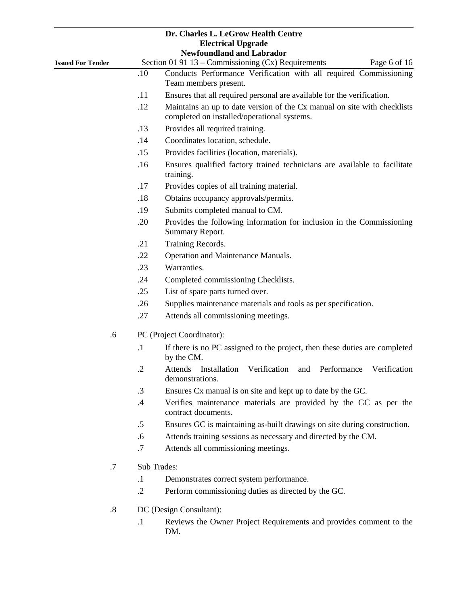|                          |                           | Dr. Charles L. LeGrow Health Centre<br><b>Electrical Upgrade</b><br><b>Newfoundland and Labrador</b>                    |  |  |  |
|--------------------------|---------------------------|-------------------------------------------------------------------------------------------------------------------------|--|--|--|
| <b>Issued For Tender</b> |                           | Section 01 91 13 – Commissioning (Cx) Requirements<br>Page 6 of 16                                                      |  |  |  |
|                          | .10                       | Conducts Performance Verification with all required Commissioning<br>Team members present.                              |  |  |  |
|                          | .11                       | Ensures that all required personal are available for the verification.                                                  |  |  |  |
|                          | .12                       | Maintains an up to date version of the Cx manual on site with checklists<br>completed on installed/operational systems. |  |  |  |
|                          | .13                       | Provides all required training.                                                                                         |  |  |  |
|                          | .14                       | Coordinates location, schedule.                                                                                         |  |  |  |
|                          | .15                       | Provides facilities (location, materials).                                                                              |  |  |  |
|                          | .16                       | Ensures qualified factory trained technicians are available to facilitate<br>training.                                  |  |  |  |
|                          | .17                       | Provides copies of all training material.                                                                               |  |  |  |
|                          | .18                       | Obtains occupancy approvals/permits.                                                                                    |  |  |  |
|                          | .19                       | Submits completed manual to CM.                                                                                         |  |  |  |
|                          | .20                       | Provides the following information for inclusion in the Commissioning<br>Summary Report.                                |  |  |  |
|                          | .21                       | Training Records.                                                                                                       |  |  |  |
|                          | .22                       | Operation and Maintenance Manuals.                                                                                      |  |  |  |
|                          | .23                       | Warranties.                                                                                                             |  |  |  |
|                          | .24                       | Completed commissioning Checklists.                                                                                     |  |  |  |
|                          | .25                       | List of spare parts turned over.                                                                                        |  |  |  |
|                          | .26                       | Supplies maintenance materials and tools as per specification.                                                          |  |  |  |
|                          | .27                       | Attends all commissioning meetings.                                                                                     |  |  |  |
| .6                       | PC (Project Coordinator): |                                                                                                                         |  |  |  |
|                          | $\cdot$                   | If there is no PC assigned to the project, then these duties are completed<br>by the CM.                                |  |  |  |
|                          | .2                        | Verification<br>and Performance<br>Installation<br>Verification<br><b>Attends</b><br>demonstrations.                    |  |  |  |
|                          | $\cdot$ 3                 | Ensures Cx manual is on site and kept up to date by the GC.                                                             |  |  |  |
|                          | $\cdot$                   | Verifies maintenance materials are provided by the GC as per the<br>contract documents.                                 |  |  |  |
|                          | .5                        | Ensures GC is maintaining as-built drawings on site during construction.                                                |  |  |  |
|                          | .6                        | Attends training sessions as necessary and directed by the CM.                                                          |  |  |  |
|                          | $.7\,$                    | Attends all commissioning meetings.                                                                                     |  |  |  |
| .7                       |                           | Sub Trades:                                                                                                             |  |  |  |
|                          | $\cdot$                   | Demonstrates correct system performance.                                                                                |  |  |  |
|                          | $\cdot$                   | Perform commissioning duties as directed by the GC.                                                                     |  |  |  |
| 8                        |                           | DC (Design Consultant):                                                                                                 |  |  |  |

- .8 DC (Design Consultant):
	- .1 Reviews the Owner Project Requirements and provides comment to the DM.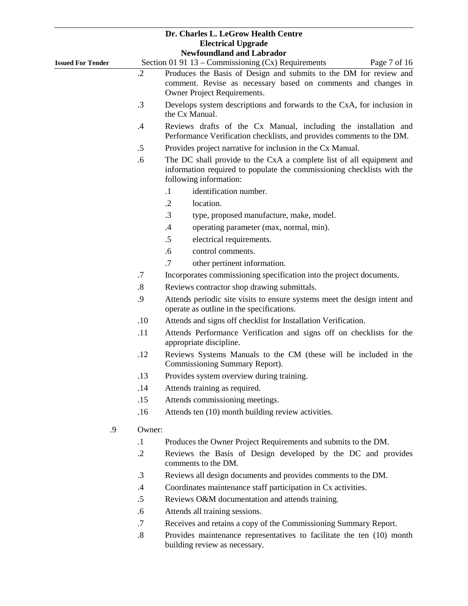|                          |                   | Dr. Charles L. LeGrow Health Centre                                                                                                                                      |
|--------------------------|-------------------|--------------------------------------------------------------------------------------------------------------------------------------------------------------------------|
|                          |                   | <b>Electrical Upgrade</b><br><b>Newfoundland and Labrador</b>                                                                                                            |
| <b>Issued For Tender</b> |                   | Section 01 91 13 - Commissioning (Cx) Requirements<br>Page 7 of 16                                                                                                       |
|                          | $\cdot$ 2         | Produces the Basis of Design and submits to the DM for review and                                                                                                        |
|                          |                   | comment. Revise as necessary based on comments and changes in                                                                                                            |
|                          |                   | Owner Project Requirements.                                                                                                                                              |
|                          | .3                | Develops system descriptions and forwards to the CxA, for inclusion in<br>the Cx Manual.                                                                                 |
|                          | .4                | Reviews drafts of the Cx Manual, including the installation and<br>Performance Verification checklists, and provides comments to the DM.                                 |
|                          | $.5\,$            | Provides project narrative for inclusion in the Cx Manual.                                                                                                               |
|                          | .6                | The DC shall provide to the CxA a complete list of all equipment and<br>information required to populate the commissioning checklists with the<br>following information: |
|                          |                   | identification number.<br>$\cdot$                                                                                                                                        |
|                          |                   | $\cdot$ .2<br>location.                                                                                                                                                  |
|                          |                   | $\cdot$ 3<br>type, proposed manufacture, make, model.                                                                                                                    |
|                          |                   | $.4\,$<br>operating parameter (max, normal, min).                                                                                                                        |
|                          |                   | $.5\,$<br>electrical requirements.                                                                                                                                       |
|                          |                   | control comments.<br>.6                                                                                                                                                  |
|                          |                   | .7<br>other pertinent information.                                                                                                                                       |
|                          | $\cdot$ 7         | Incorporates commissioning specification into the project documents.                                                                                                     |
|                          | $\boldsymbol{.8}$ | Reviews contractor shop drawing submittals.                                                                                                                              |
|                          | .9                | Attends periodic site visits to ensure systems meet the design intent and<br>operate as outline in the specifications.                                                   |
|                          | .10               | Attends and signs off checklist for Installation Verification.                                                                                                           |
|                          | .11               | Attends Performance Verification and signs off on checklists for the<br>appropriate discipline.                                                                          |
|                          | .12               | Reviews Systems Manuals to the CM (these will be included in the<br>Commissioning Summary Report).                                                                       |
|                          | .13               | Provides system overview during training.                                                                                                                                |
|                          | .14               | Attends training as required.                                                                                                                                            |
|                          | .15               | Attends commissioning meetings.                                                                                                                                          |
|                          | .16               | Attends ten (10) month building review activities.                                                                                                                       |
| .9                       | Owner:            |                                                                                                                                                                          |
|                          | $\cdot$           | Produces the Owner Project Requirements and submits to the DM.                                                                                                           |
|                          | $\cdot$ .2        | Reviews the Basis of Design developed by the DC and provides<br>comments to the DM.                                                                                      |
|                          | $\cdot$ 3         | Reviews all design documents and provides comments to the DM.                                                                                                            |
|                          | $\cdot$ 4         | Coordinates maintenance staff participation in Cx activities.                                                                                                            |
|                          | .5                | Reviews O&M documentation and attends training.                                                                                                                          |
|                          | .6                | Attends all training sessions.                                                                                                                                           |
|                          | $.7\,$            | Receives and retains a copy of the Commissioning Summary Report.                                                                                                         |

.8 Provides maintenance representatives to facilitate the ten (10) month building review as necessary.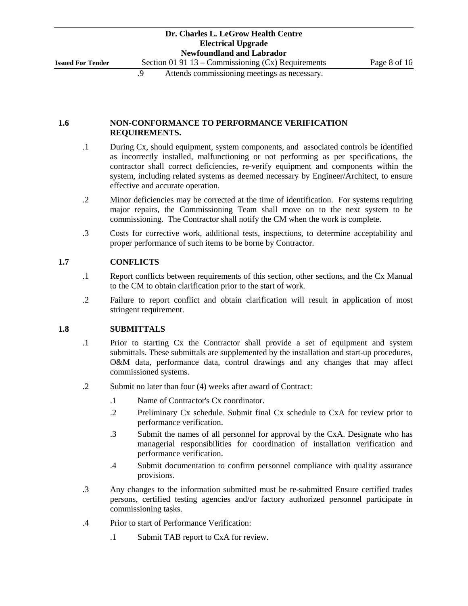## **1.6 NON-CONFORMANCE TO PERFORMANCE VERIFICATION REQUIREMENTS.**

- .1 During Cx, should equipment, system components, and associated controls be identified as incorrectly installed, malfunctioning or not performing as per specifications, the contractor shall correct deficiencies, re-verify equipment and components within the system, including related systems as deemed necessary by Engineer/Architect, to ensure effective and accurate operation.
- .2 Minor deficiencies may be corrected at the time of identification. For systems requiring major repairs, the Commissioning Team shall move on to the next system to be commissioning. The Contractor shall notify the CM when the work is complete.
- .3 Costs for corrective work, additional tests, inspections, to determine acceptability and proper performance of such items to be borne by Contractor.

## **1.7 CONFLICTS**

- .1 Report conflicts between requirements of this section, other sections, and the Cx Manual to the CM to obtain clarification prior to the start of work.
- .2 Failure to report conflict and obtain clarification will result in application of most stringent requirement.

## **1.8 SUBMITTALS**

- .1 Prior to starting Cx the Contractor shall provide a set of equipment and system submittals. These submittals are supplemented by the installation and start-up procedures, O&M data, performance data, control drawings and any changes that may affect commissioned systems.
- .2 Submit no later than four (4) weeks after award of Contract:
	- .1 Name of Contractor's Cx coordinator.
	- .2 Preliminary Cx schedule. Submit final Cx schedule to CxA for review prior to performance verification.
	- .3 Submit the names of all personnel for approval by the CxA. Designate who has managerial responsibilities for coordination of installation verification and performance verification.
	- .4 Submit documentation to confirm personnel compliance with quality assurance provisions.
- .3 Any changes to the information submitted must be re-submitted Ensure certified trades persons, certified testing agencies and/or factory authorized personnel participate in commissioning tasks.
- .4 Prior to start of Performance Verification:
	- .1 Submit TAB report to CxA for review.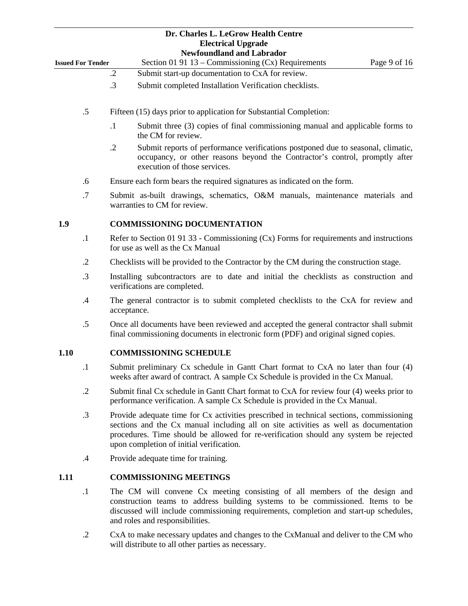|                          | Dr. Charles L. LeGrow Health Centre<br><b>Electrical Upgrade</b><br><b>Newfoundland and Labrador</b>                                                                                                                                                                                                                |  |  |
|--------------------------|---------------------------------------------------------------------------------------------------------------------------------------------------------------------------------------------------------------------------------------------------------------------------------------------------------------------|--|--|
| <b>Issued For Tender</b> | Section 01 91 13 - Commissioning (Cx) Requirements<br>Page 9 of 16                                                                                                                                                                                                                                                  |  |  |
|                          | Submit start-up documentation to CxA for review.<br>$\cdot$ .2                                                                                                                                                                                                                                                      |  |  |
|                          | .3<br>Submit completed Installation Verification checklists.                                                                                                                                                                                                                                                        |  |  |
| .5                       | Fifteen (15) days prior to application for Substantial Completion:                                                                                                                                                                                                                                                  |  |  |
|                          | $\cdot$ 1<br>Submit three (3) copies of final commissioning manual and applicable forms to<br>the CM for review.                                                                                                                                                                                                    |  |  |
|                          | $\cdot$ .2<br>Submit reports of performance verifications postponed due to seasonal, climatic,<br>occupancy, or other reasons beyond the Contractor's control, promptly after<br>execution of those services.                                                                                                       |  |  |
| .6                       | Ensure each form bears the required signatures as indicated on the form.                                                                                                                                                                                                                                            |  |  |
| .7                       | Submit as-built drawings, schematics, O&M manuals, maintenance materials and<br>warranties to CM for review.                                                                                                                                                                                                        |  |  |
| 1.9                      | <b>COMMISSIONING DOCUMENTATION</b>                                                                                                                                                                                                                                                                                  |  |  |
| $\cdot$                  | Refer to Section 01 91 33 - Commissioning $(Cx)$ Forms for requirements and instructions<br>for use as well as the Cx Manual                                                                                                                                                                                        |  |  |
| $\cdot$ .2               | Checklists will be provided to the Contractor by the CM during the construction stage.                                                                                                                                                                                                                              |  |  |
| $\cdot$ 3                | Installing subcontractors are to date and initial the checklists as construction and<br>verifications are completed.                                                                                                                                                                                                |  |  |
| .4                       | The general contractor is to submit completed checklists to the CxA for review and<br>acceptance.                                                                                                                                                                                                                   |  |  |
| .5                       | Once all documents have been reviewed and accepted the general contractor shall submit<br>final commissioning documents in electronic form (PDF) and original signed copies.                                                                                                                                        |  |  |
| 1.10                     | <b>COMMISSIONING SCHEDULE</b>                                                                                                                                                                                                                                                                                       |  |  |
| $\cdot$                  | Submit preliminary Cx schedule in Gantt Chart format to CxA no later than four (4)<br>weeks after award of contract. A sample Cx Schedule is provided in the Cx Manual.                                                                                                                                             |  |  |
| $\cdot$ .2               | Submit final Cx schedule in Gantt Chart format to CxA for review four (4) weeks prior to<br>performance verification. A sample Cx Schedule is provided in the Cx Manual.                                                                                                                                            |  |  |
| $\cdot$ 3                | Provide adequate time for Cx activities prescribed in technical sections, commissioning<br>sections and the Cx manual including all on site activities as well as documentation<br>procedures. Time should be allowed for re-verification should any system be rejected<br>upon completion of initial verification. |  |  |
| $\cdot$                  | Provide adequate time for training.                                                                                                                                                                                                                                                                                 |  |  |
| 1.11                     | <b>COMMISSIONING MEETINGS</b>                                                                                                                                                                                                                                                                                       |  |  |
| $\cdot$ 1                | The CM will convene Cx meeting consisting of all members of the design and<br>construction teams to address building systems to be commissioned. Items to be<br>discussed will include commissioning requirements, completion and start-up schedules,<br>and roles and responsibilities.                            |  |  |
| $\cdot$ .2               | CxA to make necessary updates and changes to the CxManual and deliver to the CM who<br>will distribute to all other parties as necessary.                                                                                                                                                                           |  |  |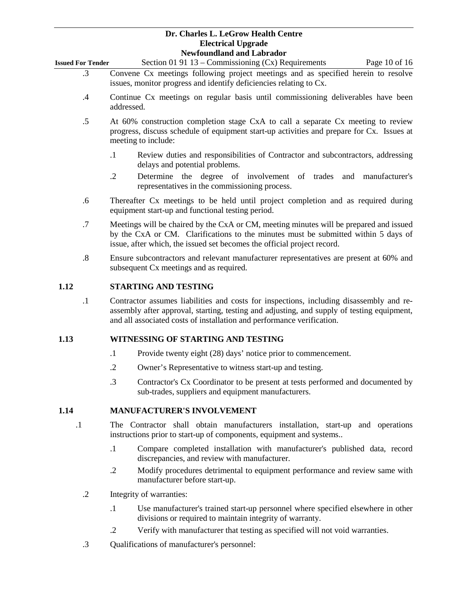|                          | Tich toundaring and those ago.                                                    |               |  |  |
|--------------------------|-----------------------------------------------------------------------------------|---------------|--|--|
| <b>Issued For Tender</b> | Section 01 91 13 – Commissioning $(Cx)$ Requirements                              | Page 10 of 16 |  |  |
| $\cdot$ 3                | Convene Cx meetings following project meetings and as specified herein to resolve |               |  |  |
|                          | issues, monitor progress and identify deficiencies relating to Cx.                |               |  |  |

- .4 Continue Cx meetings on regular basis until commissioning deliverables have been addressed.
- .5 At 60% construction completion stage CxA to call a separate Cx meeting to review progress, discuss schedule of equipment start-up activities and prepare for Cx. Issues at meeting to include:
	- .1 Review duties and responsibilities of Contractor and subcontractors, addressing delays and potential problems.
	- .2 Determine the degree of involvement of trades and manufacturer's representatives in the commissioning process.
- .6 Thereafter Cx meetings to be held until project completion and as required during equipment start-up and functional testing period.
- .7 Meetings will be chaired by the CxA or CM, meeting minutes will be prepared and issued by the CxA or CM. Clarifications to the minutes must be submitted within 5 days of issue, after which, the issued set becomes the official project record.
- .8 Ensure subcontractors and relevant manufacturer representatives are present at 60% and subsequent Cx meetings and as required.

## **1.12 STARTING AND TESTING**

.1 Contractor assumes liabilities and costs for inspections, including disassembly and reassembly after approval, starting, testing and adjusting, and supply of testing equipment, and all associated costs of installation and performance verification.

## **1.13 WITNESSING OF STARTING AND TESTING**

- .1 Provide twenty eight (28) days' notice prior to commencement.
- .2 Owner's Representative to witness start-up and testing.
- .3 Contractor's Cx Coordinator to be present at tests performed and documented by sub-trades, suppliers and equipment manufacturers.

## **1.14 MANUFACTURER'S INVOLVEMENT**

- .1 The Contractor shall obtain manufacturers installation, start-up and operations instructions prior to start-up of components, equipment and systems..
	- .1 Compare completed installation with manufacturer's published data, record discrepancies, and review with manufacturer.
	- .2 Modify procedures detrimental to equipment performance and review same with manufacturer before start-up.
	- .2 Integrity of warranties:
		- .1 Use manufacturer's trained start-up personnel where specified elsewhere in other divisions or required to maintain integrity of warranty.
		- .2 Verify with manufacturer that testing as specified will not void warranties.
	- .3 Qualifications of manufacturer's personnel: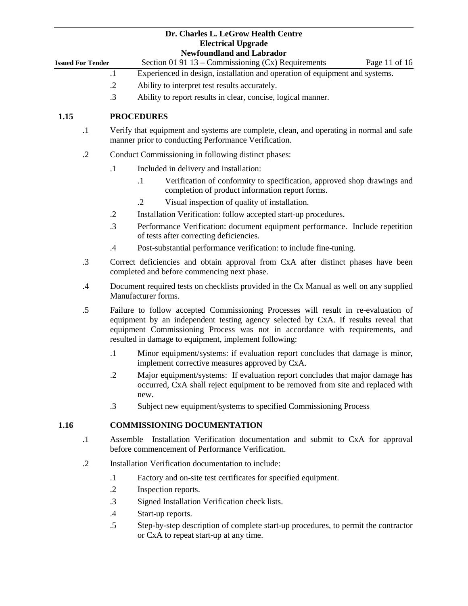|                          |            | Dr. Charles L. LeGrow Health Centre<br><b>Electrical Upgrade</b><br><b>Newfoundland and Labrador</b>                                                                                                                                                                                                              |
|--------------------------|------------|-------------------------------------------------------------------------------------------------------------------------------------------------------------------------------------------------------------------------------------------------------------------------------------------------------------------|
| <b>Issued For Tender</b> |            | Section 01 91 13 – Commissioning $(Cx)$ Requirements<br>Page 11 of 16                                                                                                                                                                                                                                             |
|                          |            | Experienced in design, installation and operation of equipment and systems.<br>$\cdot$                                                                                                                                                                                                                            |
|                          |            | $\cdot$ .2<br>Ability to interpret test results accurately.                                                                                                                                                                                                                                                       |
|                          |            | $\cdot$ 3<br>Ability to report results in clear, concise, logical manner.                                                                                                                                                                                                                                         |
| 1.15                     |            | <b>PROCEDURES</b>                                                                                                                                                                                                                                                                                                 |
|                          | $\cdot$ 1  | Verify that equipment and systems are complete, clean, and operating in normal and safe<br>manner prior to conducting Performance Verification.                                                                                                                                                                   |
|                          | $\cdot$ .2 | Conduct Commissioning in following distinct phases:                                                                                                                                                                                                                                                               |
|                          |            | $\cdot$ 1<br>Included in delivery and installation:                                                                                                                                                                                                                                                               |
|                          |            | Verification of conformity to specification, approved shop drawings and<br>$\cdot$ 1<br>completion of product information report forms.                                                                                                                                                                           |
|                          |            | Visual inspection of quality of installation.<br>$\cdot$                                                                                                                                                                                                                                                          |
|                          |            | $\cdot$ .2<br>Installation Verification: follow accepted start-up procedures.                                                                                                                                                                                                                                     |
|                          |            | $\cdot$ 3<br>Performance Verification: document equipment performance. Include repetition<br>of tests after correcting deficiencies.                                                                                                                                                                              |
|                          |            | Post-substantial performance verification: to include fine-tuning.<br>$\cdot$ 4                                                                                                                                                                                                                                   |
|                          | .3         | Correct deficiencies and obtain approval from CxA after distinct phases have been<br>completed and before commencing next phase.                                                                                                                                                                                  |
|                          | .4         | Document required tests on checklists provided in the Cx Manual as well on any supplied<br>Manufacturer forms.                                                                                                                                                                                                    |
|                          | .5         | Failure to follow accepted Commissioning Processes will result in re-evaluation of<br>equipment by an independent testing agency selected by CxA. If results reveal that<br>equipment Commissioning Process was not in accordance with requirements, and<br>resulted in damage to equipment, implement following: |
|                          |            | $\cdot$ 1<br>Minor equipment/systems: if evaluation report concludes that damage is minor,<br>implement corrective measures approved by CxA.                                                                                                                                                                      |
|                          |            | Major equipment/systems: If evaluation report concludes that major damage has<br>$\cdot$ .2<br>occurred, CxA shall reject equipment to be removed from site and replaced with<br>new.                                                                                                                             |
|                          |            | Subject new equipment/systems to specified Commissioning Process<br>$\cdot$ 3                                                                                                                                                                                                                                     |
| 1.16                     |            | <b>COMMISSIONING DOCUMENTATION</b>                                                                                                                                                                                                                                                                                |
|                          | $\cdot$    | Installation Verification documentation and submit to CxA for approval<br>Assemble<br>before commencement of Performance Verification.                                                                                                                                                                            |
|                          | $\cdot$ .2 | Installation Verification documentation to include:                                                                                                                                                                                                                                                               |
|                          |            | $\cdot$ 1<br>Factory and on-site test certificates for specified equipment.                                                                                                                                                                                                                                       |
|                          |            | $\cdot$ .2<br>Inspection reports.                                                                                                                                                                                                                                                                                 |
|                          |            | $\cdot$ 3<br>Signed Installation Verification check lists.                                                                                                                                                                                                                                                        |
|                          |            | $\cdot$<br>Start-up reports.                                                                                                                                                                                                                                                                                      |
|                          |            | $.5\,$<br>Step-by-step description of complete start-up procedures, to permit the contractor<br>or CxA to repeat start-up at any time.                                                                                                                                                                            |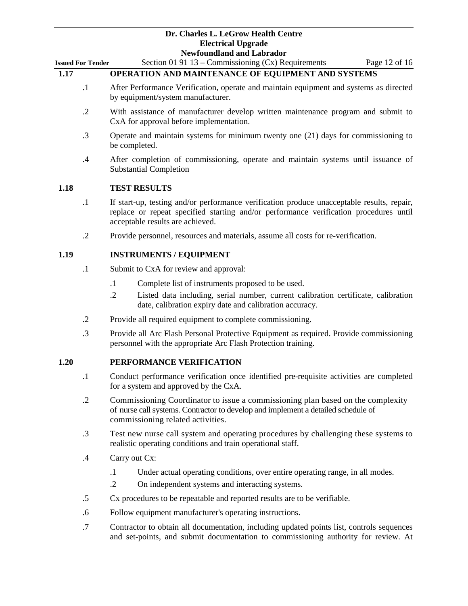| Dr. Charles L. LeGrow Health Centre |
|-------------------------------------|
| <b>Electrical Upgrade</b>           |
| Newfoundland and Lahrador           |

|                          | <b>Newfoundland and Labrador</b>                                                                                                                                                                                        |
|--------------------------|-------------------------------------------------------------------------------------------------------------------------------------------------------------------------------------------------------------------------|
| <b>Issued For Tender</b> | Section 01 91 13 – Commissioning $(Cx)$ Requirements<br>Page 12 of 16                                                                                                                                                   |
| 1.17                     | OPERATION AND MAINTENANCE OF EQUIPMENT AND SYSTEMS                                                                                                                                                                      |
| $\cdot$ 1                | After Performance Verification, operate and maintain equipment and systems as directed<br>by equipment/system manufacturer.                                                                                             |
| $\cdot$ .2               | With assistance of manufacturer develop written maintenance program and submit to<br>CxA for approval before implementation.                                                                                            |
| $\cdot$ 3                | Operate and maintain systems for minimum twenty one (21) days for commissioning to<br>be completed.                                                                                                                     |
| .4                       | After completion of commissioning, operate and maintain systems until issuance of<br><b>Substantial Completion</b>                                                                                                      |
| 1.18                     | <b>TEST RESULTS</b>                                                                                                                                                                                                     |
| $\cdot$                  | If start-up, testing and/or performance verification produce unacceptable results, repair,<br>replace or repeat specified starting and/or performance verification procedures until<br>acceptable results are achieved. |
| $\cdot$ .2               | Provide personnel, resources and materials, assume all costs for re-verification.                                                                                                                                       |
| 1.19                     | <b>INSTRUMENTS / EQUIPMENT</b>                                                                                                                                                                                          |
| $\cdot$                  | Submit to CxA for review and approval:                                                                                                                                                                                  |
|                          | $\cdot$ 1<br>Complete list of instruments proposed to be used.                                                                                                                                                          |
|                          | $\cdot$ .2<br>Listed data including, serial number, current calibration certificate, calibration<br>date, calibration expiry date and calibration accuracy.                                                             |
| $\cdot$ .2               | Provide all required equipment to complete commissioning.                                                                                                                                                               |
| .3                       | Provide all Arc Flash Personal Protective Equipment as required. Provide commissioning<br>personnel with the appropriate Arc Flash Protection training.                                                                 |
| 1.20                     | PERFORMANCE VERIFICATION                                                                                                                                                                                                |
| $\cdot$                  | Conduct performance verification once identified pre-requisite activities are completed<br>for a system and approved by the CxA.                                                                                        |
| $\cdot$ .2               | Commissioning Coordinator to issue a commissioning plan based on the complexity<br>of nurse call systems. Contractor to develop and implement a detailed schedule of<br>commissioning related activities.               |
| .3                       | Test new nurse call system and operating procedures by challenging these systems to<br>realistic operating conditions and train operational staff.                                                                      |

- .4 Carry out Cx:
	- .1 Under actual operating conditions, over entire operating range, in all modes.
	- .2 On independent systems and interacting systems.
- .5 Cx procedures to be repeatable and reported results are to be verifiable.
- .6 Follow equipment manufacturer's operating instructions.
- .7 Contractor to obtain all documentation, including updated points list, controls sequences and set-points, and submit documentation to commissioning authority for review. At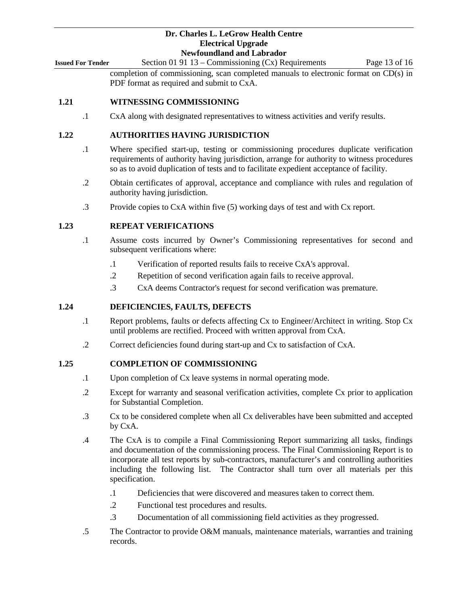**Issued For Tender** Section 01 91 13 – Commissioning (Cx) Requirements Page 13 of 16 completion of commissioning, scan completed manuals to electronic format on CD(s) in

PDF format as required and submit to CxA.

### **1.21 WITNESSING COMMISSIONING**

.1 CxA along with designated representatives to witness activities and verify results.

## **1.22 AUTHORITIES HAVING JURISDICTION**

- .1 Where specified start-up, testing or commissioning procedures duplicate verification requirements of authority having jurisdiction, arrange for authority to witness procedures so as to avoid duplication of tests and to facilitate expedient acceptance of facility.
- .2 Obtain certificates of approval, acceptance and compliance with rules and regulation of authority having jurisdiction.
- .3 Provide copies to CxA within five (5) working days of test and with Cx report.

#### **1.23 REPEAT VERIFICATIONS**

- .1 Assume costs incurred by Owner's Commissioning representatives for second and subsequent verifications where:
	- .1 Verification of reported results fails to receive CxA's approval.
	- .2 Repetition of second verification again fails to receive approval.
	- .3 CxA deems Contractor's request for second verification was premature.

### **1.24 DEFICIENCIES, FAULTS, DEFECTS**

- .1 Report problems, faults or defects affecting Cx to Engineer/Architect in writing. Stop Cx until problems are rectified. Proceed with written approval from CxA.
- .2 Correct deficiencies found during start-up and Cx to satisfaction of CxA.

### **1.25 COMPLETION OF COMMISSIONING**

- .1 Upon completion of Cx leave systems in normal operating mode.
- .2 Except for warranty and seasonal verification activities, complete Cx prior to application for Substantial Completion.
- .3 Cx to be considered complete when all Cx deliverables have been submitted and accepted by CxA.
- .4 The CxA is to compile a Final Commissioning Report summarizing all tasks, findings and documentation of the commissioning process. The Final Commissioning Report is to incorporate all test reports by sub-contractors, manufacturer's and controlling authorities including the following list. The Contractor shall turn over all materials per this specification.
	- .1 Deficiencies that were discovered and measures taken to correct them.
	- .2 Functional test procedures and results.
	- .3 Documentation of all commissioning field activities as they progressed.
- .5 The Contractor to provide O&M manuals, maintenance materials, warranties and training records.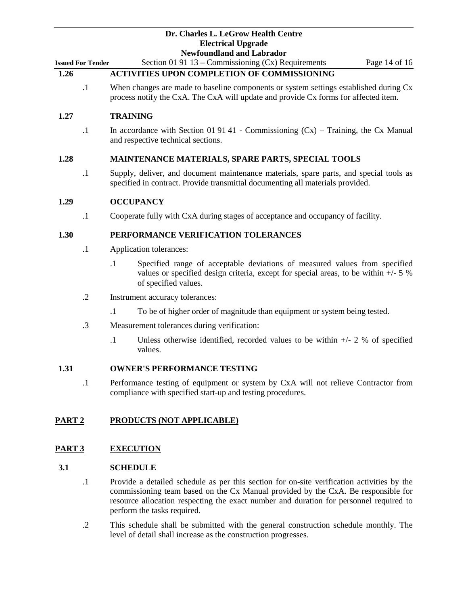**Issued For Tender** Section 01 91 13 – Commissioning (Cx) Requirements Page 14 of 16

## **1.26 ACTIVITIES UPON COMPLETION OF COMMISSIONING**

.1 When changes are made to baseline components or system settings established during Cx process notify the CxA. The CxA will update and provide Cx forms for affected item.

#### **1.27 TRAINING**

.1 In accordance with Section 01 91 41 - Commissioning (Cx) – Training, the Cx Manual and respective technical sections.

### **1.28 MAINTENANCE MATERIALS, SPARE PARTS, SPECIAL TOOLS**

.1 Supply, deliver, and document maintenance materials, spare parts, and special tools as specified in contract. Provide transmittal documenting all materials provided.

#### **1.29 OCCUPANCY**

.1 Cooperate fully with CxA during stages of acceptance and occupancy of facility.

#### **1.30 PERFORMANCE VERIFICATION TOLERANCES**

- .1 Application tolerances:
	- .1 Specified range of acceptable deviations of measured values from specified values or specified design criteria, except for special areas, to be within +/- 5 % of specified values.
- .2 Instrument accuracy tolerances:
	- .1 To be of higher order of magnitude than equipment or system being tested.
- .3 Measurement tolerances during verification:
	- .1 Unless otherwise identified, recorded values to be within +/- 2 % of specified values.

#### **1.31 OWNER'S PERFORMANCE TESTING**

.1 Performance testing of equipment or system by CxA will not relieve Contractor from compliance with specified start-up and testing procedures.

### **PART 2 PRODUCTS (NOT APPLICABLE)**

#### **PART 3 EXECUTION**

#### **3.1 SCHEDULE**

- .1 Provide a detailed schedule as per this section for on-site verification activities by the commissioning team based on the Cx Manual provided by the CxA. Be responsible for resource allocation respecting the exact number and duration for personnel required to perform the tasks required.
- .2 This schedule shall be submitted with the general construction schedule monthly. The level of detail shall increase as the construction progresses.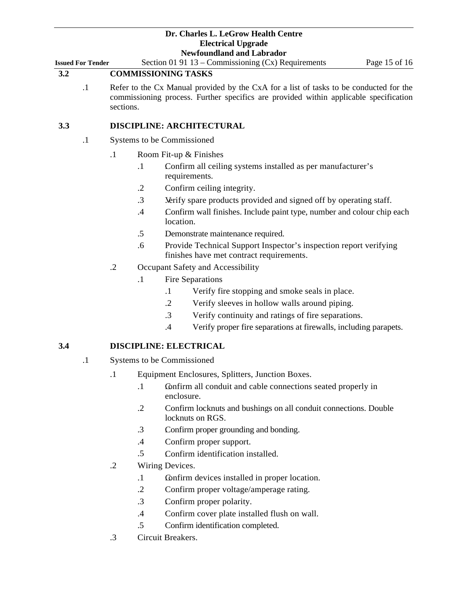**Issued For Tender** Section 01 91 13 – Commissioning (Cx) Requirements Page 15 of 16

- **3.2 COMMISSIONING TASKS**
	- .1 Refer to the Cx Manual provided by the CxA for a list of tasks to be conducted for the commissioning process. Further specifics are provided within applicable specification sections.

## **3.3 DISCIPLINE: ARCHITECTURAL**

- .1 Systems to be Commissioned
	- .1 .Room Fit-up & Finishes
		- .1 .Confirm all ceiling systems installed as per manufacturer's requirements.
		- .2 Confirm ceiling integrity.
		- .3 .Verify spare products provided and signed off by operating staff.
		- .4 .Confirm wall finishes. Include paint type, number and colour chip each location.
		- .5 .Demonstrate maintenance required.
		- .6 Provide Technical Support Inspector's inspection report verifying finishes have met contract requirements.
	- .2 Occupant Safety and Accessibility
		- .1 Fire Separations
			- .1 Verify fire stopping and smoke seals in place.
			- .2 Verify sleeves in hollow walls around piping.
			- .3 Verify continuity and ratings of fire separations.
			- .4 Verify proper fire separations at firewalls, including parapets.

#### **3.4 DISCIPLINE: ELECTRICAL**

- .1 Systems to be Commissioned
	- .1 Equipment Enclosures, Splitters, Junction Boxes.
		- .1 .Confirm all conduit and cable connections seated properly in enclosure.
		- .2 Confirm locknuts and bushings on all conduit connections. Double locknuts on RGS.
		- .3 .Confirm proper grounding and bonding.
		- .4 Confirm proper support.
		- .5 .Confirm identification installed.
	- .2 Wiring Devices.
		- .1 .Confirm devices installed in proper location.
		- .2 Confirm proper voltage/amperage rating.
		- .3 .Confirm proper polarity.
		- .4 Confirm cover plate installed flush on wall.
		- .5 Confirm identification completed.
	- .3 Circuit Breakers.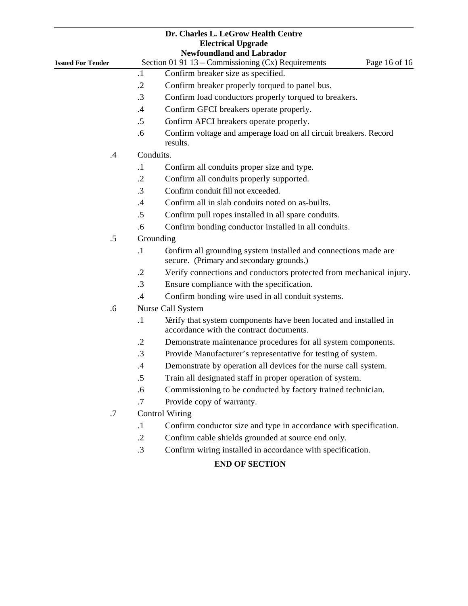|                          |            | Dr. Charles L. LeGrow Health Centre<br><b>Electrical Upgrade</b><br><b>Newfoundland and Labrador</b>        |
|--------------------------|------------|-------------------------------------------------------------------------------------------------------------|
| <b>Issued For Tender</b> |            | Section 01 91 13 – Commissioning $(Cx)$ Requirements<br>Page 16 of 16                                       |
|                          | $\cdot$ 1  | Confirm breaker size as specified.                                                                          |
|                          | $\cdot$ .2 | Confirm breaker properly torqued to panel bus.                                                              |
|                          | .3         | Confirm load conductors properly torqued to breakers.                                                       |
|                          | .4         | Confirm GFCI breakers operate properly.                                                                     |
|                          | .5         | Confirm AFCI breakers operate properly.                                                                     |
|                          | .6         | Confirm voltage and amperage load on all circuit breakers. Record<br>results.                               |
| .4                       | Conduits.  |                                                                                                             |
|                          | $\cdot$    | Confirm all conduits proper size and type.                                                                  |
|                          | $\cdot$ .2 | Confirm all conduits properly supported.                                                                    |
|                          | $\cdot$ 3  | Confirm conduit fill not exceeded.                                                                          |
|                          | $.4\,$     | Confirm all in slab conduits noted on as-builts.                                                            |
|                          | .5         | Confirm pull ropes installed in all spare conduits.                                                         |
|                          | .6         | Confirm bonding conductor installed in all conduits.                                                        |
| .5                       |            | Grounding                                                                                                   |
|                          | $\cdot$    | Confirm all grounding system installed and connections made are<br>secure. (Primary and secondary grounds.) |
|                          | $\cdot$ .2 | Verify connections and conductors protected from mechanical injury.                                         |
|                          | $\cdot$ 3  | Ensure compliance with the specification.                                                                   |
|                          | .4         | Confirm bonding wire used in all conduit systems.                                                           |
| .6                       |            | Nurse Call System                                                                                           |
|                          | $\cdot$    | Nerify that system components have been located and installed in<br>accordance with the contract documents. |
|                          | .2         | Demonstrate maintenance procedures for all system components.                                               |
|                          | $\cdot$ 3  | Provide Manufacturer's representative for testing of system.                                                |
|                          | $\cdot$ 4  | Demonstrate by operation all devices for the nurse call system.                                             |
|                          | .5         | Train all designated staff in proper operation of system.                                                   |
|                          | .6         | Commissioning to be conducted by factory trained technician.                                                |
|                          | .7         | Provide copy of warranty.                                                                                   |
| .7                       |            | <b>Control Wiring</b>                                                                                       |
|                          | $\cdot$    | Confirm conductor size and type in accordance with specification.                                           |
|                          | $\cdot$ .2 | Confirm cable shields grounded at source end only.                                                          |
|                          | $\cdot$ 3  | Confirm wiring installed in accordance with specification.                                                  |
|                          |            | <b>END OF SECTION</b>                                                                                       |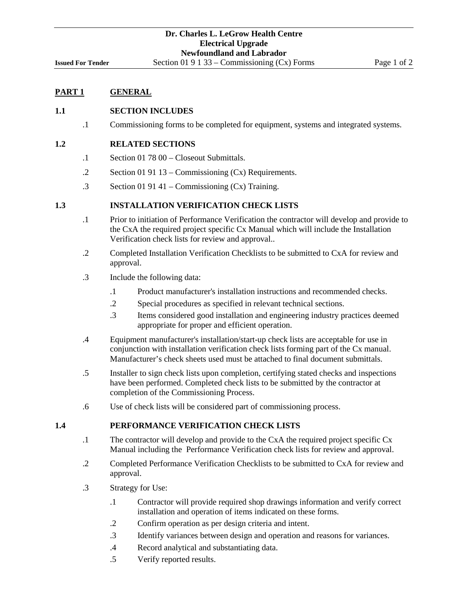## **PART 1 GENERAL**

#### **1.1 SECTION INCLUDES**

.1 Commissioning forms to be completed for equipment, systems and integrated systems.

#### **1.2 RELATED SECTIONS**

- .1 Section 01 78 00 Closeout Submittals.
- .2 Section 01 91 13 Commissioning (Cx) Requirements.
- .3 Section 01 91 41 Commissioning (Cx) Training.

#### **1.3 INSTALLATION VERIFICATION CHECK LISTS**

- .1 Prior to initiation of Performance Verification the contractor will develop and provide to the CxA the required project specific Cx Manual which will include the Installation Verification check lists for review and approval..
- .2 Completed Installation Verification Checklists to be submitted to CxA for review and approval.
- .3 Include the following data:
	- .1 Product manufacturer's installation instructions and recommended checks.
	- .2 Special procedures as specified in relevant technical sections.
	- .3 Items considered good installation and engineering industry practices deemed appropriate for proper and efficient operation.
- .4 Equipment manufacturer's installation/start-up check lists are acceptable for use in conjunction with installation verification check lists forming part of the Cx manual. Manufacturer's check sheets used must be attached to final document submittals.
- .5 Installer to sign check lists upon completion, certifying stated checks and inspections have been performed. Completed check lists to be submitted by the contractor at completion of the Commissioning Process.
- .6 Use of check lists will be considered part of commissioning process.

#### **1.4 PERFORMANCE VERIFICATION CHECK LISTS**

- .1 The contractor will develop and provide to the CxA the required project specific Cx Manual including the Performance Verification check lists for review and approval.
- .2 Completed Performance Verification Checklists to be submitted to CxA for review and approval.
- .3 Strategy for Use:
	- .1 Contractor will provide required shop drawings information and verify correct installation and operation of items indicated on these forms.
	- .2 Confirm operation as per design criteria and intent.
	- .3 Identify variances between design and operation and reasons for variances.
	- .4 Record analytical and substantiating data.
	- .5 Verify reported results.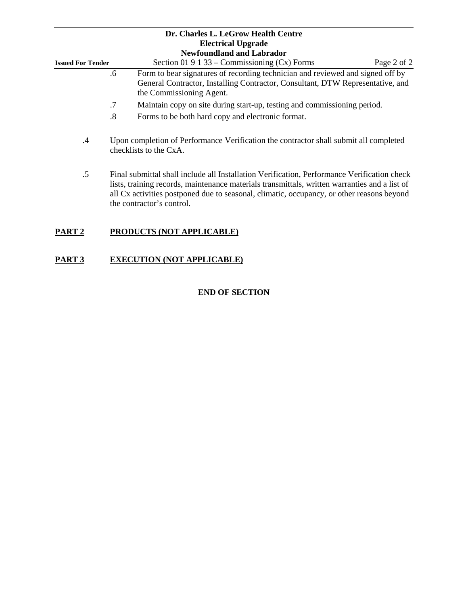|                          |    | Dr. Charles L. LeGrow Health Centre<br><b>Electrical Upgrade</b>                                                                                                                             |  |
|--------------------------|----|----------------------------------------------------------------------------------------------------------------------------------------------------------------------------------------------|--|
|                          |    | <b>Newfoundland and Labrador</b>                                                                                                                                                             |  |
| <b>Issued For Tender</b> |    | Section 01 9 1 33 – Commissioning $(Cx)$ Forms<br>Page 2 of 2                                                                                                                                |  |
|                          | .6 | Form to bear signatures of recording technician and reviewed and signed off by<br>General Contractor, Installing Contractor, Consultant, DTW Representative, and<br>the Commissioning Agent. |  |
|                          | .7 | Maintain copy on site during start-up, testing and commissioning period.                                                                                                                     |  |
|                          | .8 | Forms to be both hard copy and electronic format.                                                                                                                                            |  |
| .4                       |    | Upon completion of Performance Verification the contractor shall submit all completed<br>checklists to the $CxA$ .                                                                           |  |

.5 Final submittal shall include all Installation Verification, Performance Verification check lists, training records, maintenance materials transmittals, written warranties and a list of all Cx activities postponed due to seasonal, climatic, occupancy, or other reasons beyond the contractor's control.

## **PART 2 PRODUCTS (NOT APPLICABLE)**

## **PART 3 EXECUTION (NOT APPLICABLE)**

## **END OF SECTION**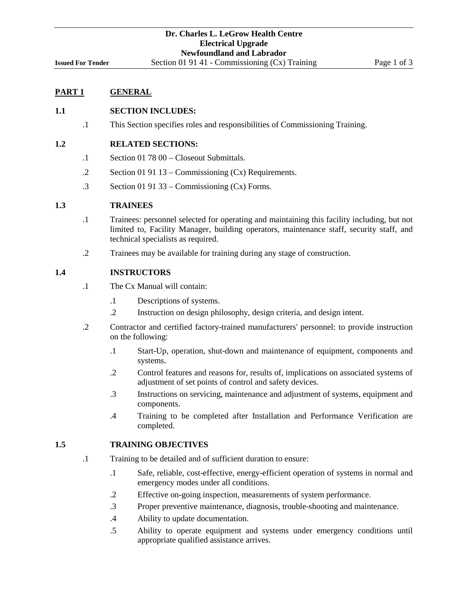## **PART 1 GENERAL**

#### **1.1 SECTION INCLUDES:**

.1 This Section specifies roles and responsibilities of Commissioning Training.

#### **1.2 RELATED SECTIONS:**

- .1 Section 01 78 00 Closeout Submittals.
- .2 Section 01 91 13 Commissioning (Cx) Requirements.
- .3 Section 01 91 33 Commissioning (Cx) Forms.

#### **1.3 TRAINEES**

- .1 Trainees: personnel selected for operating and maintaining this facility including, but not limited to, Facility Manager, building operators, maintenance staff, security staff, and technical specialists as required.
- .2 Trainees may be available for training during any stage of construction.

#### **1.4 INSTRUCTORS**

- .1 The Cx Manual will contain:
	- .1 Descriptions of systems.
	- .2 Instruction on design philosophy, design criteria, and design intent.
- .2 Contractor and certified factory-trained manufacturers' personnel: to provide instruction on the following:
	- .1 Start-Up, operation, shut-down and maintenance of equipment, components and systems.
	- .2 Control features and reasons for, results of, implications on associated systems of adjustment of set points of control and safety devices.
	- .3 Instructions on servicing, maintenance and adjustment of systems, equipment and components.
	- .4 Training to be completed after Installation and Performance Verification are completed.

#### **1.5 TRAINING OBJECTIVES**

- .1 Training to be detailed and of sufficient duration to ensure:
	- .1 Safe, reliable, cost-effective, energy-efficient operation of systems in normal and emergency modes under all conditions.
	- .2 Effective on-going inspection, measurements of system performance.
	- .3 Proper preventive maintenance, diagnosis, trouble-shooting and maintenance.
	- .4 Ability to update documentation.
	- .5 Ability to operate equipment and systems under emergency conditions until appropriate qualified assistance arrives.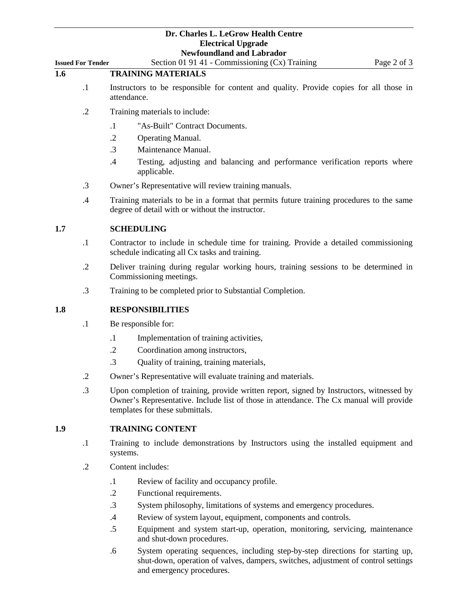|                          | Tww.manamatia.com                                                                                     |             |
|--------------------------|-------------------------------------------------------------------------------------------------------|-------------|
| <b>Issued For Tender</b> | Section 01 91 41 - Commissioning $(Cx)$ Training                                                      | Page 2 of 3 |
| 1.6                      | <b>TRAINING MATERIALS</b>                                                                             |             |
|                          | Instructors to be responsible for content and quality. Provide copies for all those in<br>attendance. |             |

- .2 Training materials to include:
	- .1 "As-Built" Contract Documents.
	- .2 Operating Manual.
	- .3 Maintenance Manual.
	- .4 Testing, adjusting and balancing and performance verification reports where applicable.
- .3 Owner's Representative will review training manuals.
- .4 Training materials to be in a format that permits future training procedures to the same degree of detail with or without the instructor.

### **1.7 SCHEDULING**

- .1 Contractor to include in schedule time for training. Provide a detailed commissioning schedule indicating all Cx tasks and training.
- .2 Deliver training during regular working hours, training sessions to be determined in Commissioning meetings.
- .3 Training to be completed prior to Substantial Completion.

#### **1.8 RESPONSIBILITIES**

- .1 Be responsible for:
	- .1 Implementation of training activities,
	- .2 Coordination among instructors,
	- .3 Quality of training, training materials,
- .2 Owner's Representative will evaluate training and materials.
- .3 Upon completion of training, provide written report, signed by Instructors, witnessed by Owner's Representative. Include list of those in attendance. The Cx manual will provide templates for these submittals.

### **1.9 TRAINING CONTENT**

- .1 Training to include demonstrations by Instructors using the installed equipment and systems.
- .2 Content includes:
	- .1 Review of facility and occupancy profile.
	- .2 Functional requirements.
	- .3 System philosophy, limitations of systems and emergency procedures.
	- .4 Review of system layout, equipment, components and controls.
	- .5 Equipment and system start-up, operation, monitoring, servicing, maintenance and shut-down procedures.
	- .6 System operating sequences, including step-by-step directions for starting up, shut-down, operation of valves, dampers, switches, adjustment of control settings and emergency procedures.